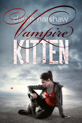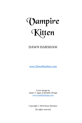# Vampire Kitten

## DAWN HARSHAW

[www.DawnHarshaw.com](http://www.dawnharshaw.com/)

Cover design by James T. Egan of Bookfly Design [www.bookflydesign.com](http://www.bookflydesign.com/)

Copyright © 2018 Dawn Harshaw All rights reserved.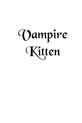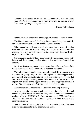*Empathy is the ability to feel as one. The outpouring Love broadens your identity and expands who you are, restoring the subject of your Love to its rightful place in your heart.*

- Dreamer's Handbook

"Oh no," Elise put her hands on the cage. "What has he done to you?"

The kitten inside meowed pleadingly. Decay marred deep into its flesh, and fur has fallen off around the patches of diseased skin.

Elise wanted to cradle and console the kitten, but a sense of caution overruled the protective impulse. Vampires had great natural resistance to disease, yet it was drilled into her to stay away from decaying flesh especially if it still moved.

She examined the large table upon which the small cage stood: rusty knives and dirty spoons, bottles, vials, and several disemboweled rat corpses.

*So, Bron, this is what you do in your spare time...* She poked one of the rat cadavers with a stick. Thankfully, it remained motionless.

They all autopsied rats in class - after all, knowledge of anatomy was important for young vampires - but all the splattered blood suggested the rats were still alive during the dissection. Elise entertained the thought that Bron was actually a budding genius dedicated to learning and scientific exploration, but the crude, jagged nature of the cuts suggested torture as a motive. *You're not just a fat bully, but also a deranged psycho.*

A cockroach ran across the table. The kitten didn't stop meowing.

A grey, metallic canister stood apart from the other bottles and containers; Elise looked for a not-too-dirty piece of cloth and grabbed the canister with it. *BIOHAZARD. Experimental agent 2711, Midflower. Handle with EXTREME CAUTION!* She put it back down as soon as she read the markings.

"Did you steal it from your father? You sure as hell didn't stumble upon it by exploring the outer city," she mumbled aloud.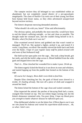The vampire enclave they all belonged to was established within an abandoned, but not completely ruined district of a pre-apocalyptic megalopolis. The clans of Starfire City took care of their young, but those born human held lesser status, so they often adventured unsupervised beyond enclave territory.

The kitten's desperate meowing demanded attention.

"What should I do with you, hmm?" Elise said affectionately.

The obvious option, and probably the most merciful, would have been to end the kitten's suffering outright - as fast and clean as possible. The thought made her stomach turn, and she couldn't bring herself to do it. *Besides, what if he finds out it was me?*

Elise examined several knives and grabbed one that wasn't rusted or damaged. *This'll do.* She spotted a lighter, picked it up, and tested if it works. *Long flame, excellent!* She steadily moved the knife back and forth over the flame. *I hope it's just regular nasty stuff he poked around with and none of that biohazard stuff.*

She held out her open palm over the cage... She took a deep breath, grit her teeth, and slid the knife's edge across it. Blood bubbled from the wide gash and dripped down into the cage.

*That's it...* Elise clenched her wounded fist to make it pour. *Drink up.*

The kitten eagerly licked the blood as it ran down its nose and whiskers, and started lapping up from the puddle that formed on the bottom of the cage.

*Of course he's hungry; Bron didn't even think to feed him.*

Despite Elise clenching her fist, the gush of blood soon slowed to a trickle. *It's healing already.* She tore off a piece of cloth and wrapped it around her hand.

The kitten licked the bottom of the cage clean and waited contently.

Elise inspected the animal: the patches of decaying flesh had a coarse, orangish film formed on top. The eye-whites began turning red, but the kitten's demeanor remained calm. *You poor thing. I hope my blood gives you strength to battle whatever disease he inflicted upon you.*

Elise deliberated whether to set the kitten free: *If Bron figures out it was me who found his hideout and ruined his experiment-slash-torture... Ah, so what. I don't care.*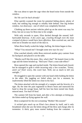She was about to open the cage when she heard noise from outside the window.

#### *No! He can't be back already!*

Elise quickly scanned the room for potential hiding places: plenty of trash, but nothing big enough to reliably hide behind. One big broken window, two doorways - one of which was completely blocked.

Climbing up those ancient vehicles piled up on the street was easy for Elise, but not so easy for Bron due to his weight.

With only seconds to spare, Elise ducked through the unused, halfbarricaded doorway. *A few years ago, crawling through even the most cramped of places would have been effortless.* Rats scurried out, and she tried not to breathe too much of the dust in.

When Bron finally scaled the ledge, huffing, the kitten began to hiss.

"What? You missed me? I brought some new toys for you."

Elise watched silently while Bron retrieved another grey canister from his backpack and placed it on the table.

"Maybe you'll like this more- Hey, what's that?" He leaned closer to the cage and the kitten bristled up. "Red eyes! That's a neat side-effect!"

Bron opened the cage and reached inside. The kitten hissed and clawed, but he managed to grab it while incurring only a few scratches. "Feisty, aren't ya? Don't worry, this won't hurt. Well, not as much to kill you outright..."

He struggled to open the canister with one hand while holding the kitten in the other. His juggling act failed when, just for a moment, he inadvertently lifted the kitten too close to his face.

The kitten attacked with the strength of a vampire and the ferocity of a tiger. By the time the pain registered in Bron's brain and instructed his hand to drop the savage beast, half his face has been turned into finely minced meat. *Too bad it'll heal.*

The canister fell from his hand, and after a few attempts at letting go, the kitten ended up flying against the wall.

Bron scampered for the exit screaming "Mother! Mo-oooom!"

A wicked grin snuck up on Elise's face almost by itself, and it only broadened when she saw the kitten shrug off the blow and charge after its tormentor. A thick, grey mass started leaking from the container - a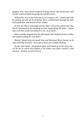pungent odor. Elise heard vengeful hissing mixed with inarticulate yells and the sound of boots bouncing off metallic boxes.

*Without his crew to back him up, he isn't tough at all... I almost feel silly for putting up with all his bullying.* Elise crawled back through the halfbarricaded door and dusted off her clothes.

*If I tell, the others will laugh and the elders will surely punish him. But, they'll reprimand me for sneaking out and vampirifying the kitten - I guess that's not their preferred solution to the rat problem.*

Elise carefully stepped over the spilt liquid. She climbed out the window and started making her way down.

*Maybe I should keep my mouth shut and blackmail Bron instead, so he stops bullying everyone... but I guess that's just wishful thinking.*

*On the other hand* - she grinned again and looked up to the starry sky *it'd be fun to watch him explain to his father how those canisters went missing... Enclave security and all.*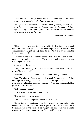*There are obvious things we're addicted to: food, air, water. More insidious are addictions to feelings, people, or states of mind.*

*Perhaps most common is the addiction to being oneself, which results in resistance to change and clinging to the ego. On the other end of the spectrum we find those who refuse to Love themselves enough, and seek other addictions to fill the void.*

- Dreamer's Handbook

"Next on today's agenda is..." Lady Cellie shuffled the pages around until she found the right one: "'The social implications of demon blood consumption.'" She put the page back down. "What shall we do with the junkies, gentlemen?"

The three vampire clan leaders at the table - two lords and a lady pondered the problem in silence. Their aides stood behind them, not speaking unless spoken to.

Snow was falling outside.

The youthful-looking Lord Aram of the Bloodthorn clan cleared his throat. "Err... nothing?"

"What do you mean, 'nothing'?" Cellie asked, slightly annoyed.

Lord Theodore of Stoneheart raised a hand. "Aram is right. Doing nothing is least costly, and we should consider this option, even if only as a baseline to judge other potential solutions by." His beard accentuated the projected air of wisdom.

Cellie nodded. "I see..."

"Yeah, that's what I meant. Thanks, Theo."

"It's 'Lord Theodore' for you."

The silence enveloping them lasted several minutes.

Carved into a mountainside high above everything else, castle Aluin endured frequent blizzards and several apocalypses. Over the centuries it became known as the place where vampire officials journeyed to settle disputes of the highest order - or turn them into bloodbaths.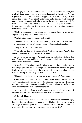"All right," Cellie said. "Here's how I see it. If we don't do anything, the cycle of rising supply leading to increased demand will continue. We can expect market saturation at best, or supply wars at worst... Except, is that really the worst? What about unforeseen side-effects? Will frequent demon blood consumption lead to decreased resistance to possession? Or what if a demonic entity catches on, and starts inducing specific mutations in possessed thralls for the express purpose of harming vampires consuming their blood?"

"Chilling thoughts," Aram remarked. "It seems there's a biowarfare angle to everything we discuss nowadays."

"Well, it's just common sense," Cellie said.

Theodore snorted. "Hah! Not so common, I'm afraid. If such concerns were common, we wouldn't have a junkie problem in the first place."

"Why don't I find that comforting..."

"You take on too much responsibility," Theodore said. "You're the leader of the Helldare clan - not their Mother."

Aram waved dismissively. "Enough with the flirting or whatever the two of you are doing, and let's consider solutions, shall we? What about a coordinated ban across our clans?"

"I like bans," Theodore replied. "They're simple, direct, and project a sense of purpose and moral unambiguity. They make me look like the good leader which I am. But, I also like low-cost efficiency, and a ban may or may not belong to this category of counter-measures."

"No doubt an efficient ban would solve our problems," Aram said.

Cellie eyed Aram, uncertain how to interpret his words. "I'm not sure if you're being sarcastic or just naive. An effective ban is rarely efficient in terms of cost. If we suppress the supply, demand might go up, and that can even be counter-effective in the longer term."

Aram smiled. "It's been a while since anyone called me naive. I'll attribute it to my youthful charm and take it as a compliment."

Cellie rolled her eyes.

"Look at the other cons," Theodore said. "A ban sends a strong message, but the idiots guzzling demon blood are not likely to listen to reason, now are they? We would polarize our clansmen on the issue and weaken our own leadership position - we have enough enemies as it is."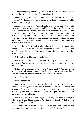"You're advocating something other than an 'iron fist' approach? I never thought I'd live to see the day!" Aram exclaimed.

"Don't insult my intelligence. While we're at it cut the flippancy too, will you? At this rate we'll never finish. Why don't you suggest a viable solution for a change?"

It took a few seconds for Aram's face to change to serious. "Very well. How about this? At the core of the problem is our lack of information: we don't know what effects the blood of various demons have, either in the short or the long term. If we had more information, we would know if a ban is necessary and within what limits. If it is, with popular opinion on our side, we'd have better success enforcing the ban. Even the polarizing effect wouldn't be entirely unwelcome, since it would serve to cull the weakest from our ranks."

Aram looked to Cellie, and then he looked to Theodore. "My suggestion is that we focus on research and resource gathering, and schedule another meeting, say, six months from now. We can discuss a more extensive solution then."

Cellie waited for Theodore to reply first.

He stroked his beard and took his time. "What you said makes sense for a change... We do need more information before committing to a longterm solution."

"I guess it's a question of 'how', then," Cellie said. "Who knows, we might even find ways to improve blood quality or preservation methods. Do any of you have the means for such extensive research?"

Aram shook his head.

"No," Theodore said.

"Perhaps we can get creative," Cellie said. "One of my specialists, Merryn, is helping the zombies at the Oakheart facility with their exorcism troubles. They have the resources we need, and my specialist has a tentatively amicable relationship with them. I propose we approach with an offer of formal alliance."

"Not a bad idea," Theodore shrugged. "They're probably researching the effects of demon blood already. At what cost, though? What are we prepared to offer in return?"

"The brains of our fallen enemies? They always want brains for that Serum of theirs. Grunts for protection, perhaps?" Cellie asked.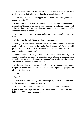Aram's lips soured. "I'm not comfortable with that. We can always trade the brains at market value, and I don't have muscle to spare."

"Test subjects?" Theodore suggested. "We ship the heavy junkies for experimentation?"

Cellie's initially horrified expression faded as her mind rationalized the necessities. "Hmm... if we want proper research, we will need vampire test subjects, both healthy and beyond saving. We'll have to offer compensation to volunteers."

Aram put his palms on the table and raised himself slightly. "I propose a tax!"

Cellie heaved a sigh. "Don't we have enough taxes?"

"No, you misunderstand. Instead of banning demon blood, we should tax import by a percentage of the goods! Say, forty percent? Part of it could go to research, part of it as payment to Oakheart, and part of it as compensation to volunteers."

"Quite a fountain of insight, aren't you?" Theodore remarked dryly. "I disagree with the last part: we can't offer demon blood as compensation for volunteering. It would taint the testing pool and send a mixed message. We'll have to use regular blood for that."

Cellie looked to Aram, then to Theodore. "Are we in agreement on the subject of demon blood? We tax demon blood import and propose an alliance to Oakheart?"

"Aye."

"Aye."

The whistling wind changed to a higher pitch, and whipped the snow falling outside into a minor snowstorm.

"Excellent. Issue resolved, for now." Cellie scribbled something on a paper, stacked the pages in front of her, and handed them off to her aide behind her. "Next on the agenda is..."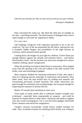*Cherish your friends, for they are part of you and you are part of them.* - Dreamer's Handbook

Elise welcomed the rising sun. She liked the mild pain of sunlight on her skin - a prickling sensation. The deterioration of damaged tissue wasn't rapid enough to overcome her regenerative ability.

*It's a nice view.*

Tall buildings overgrown with vegetation sprawled as far as the eye could see. The rays of the sun penetrated the life below, altering the way it breathed: hidden dangers and possibilities of the night became an overtness which nurtured steady growth.

Looking down, the height was just right for a hideout. Twelve floors put enough distance against the animals and monsters below - *and demon blood junkies, lately* - but the location was innocuous enough not to attract vampires seeking a good vantage point.

When the prickling excitement faded down to annoyance, Elise stepped away from the opening in the wall and walked to the table stacked with books, tools and technological gadgets.

Most vampires disliked the annoying uselessness of day; they spent a third of it sleeping and the remainder in restlessness and irritation. Elise didn't mind, since she kept herself busy by reading tech manuals and reexamining previously scouted locations. Her innate infravision was good enough for orientation and avoiding danger, but not good enough for inspecting the minutiae of ancient devices.

### *Maybe I'll actually find something of value soon.*

Tools made of sturdy metals able to withstand vampire strength were in-demand - especially those repurposable as weapons - and could be bartered for human blood or other items. Chemicals and medical supplies were also worth scavenging for. Yet, it was the techno-gadgets which held Elise's attention and moved her imagination.

Vampire caravans occasionally visited known zombie facilities for trade. They circulated a bounty list, detailing which facility was willing to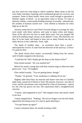pay how much for what thing in which condition. Many items on the list were bulky machines requiring well-coordinated groups for recovery and transport. Some of these mythic items were worth enough to guarantee a lifetime supply of blood - or an equivalent value in Serum. To cater to demonic entities, contractually binding amounts of worship - alternatively, the number of humans turned over - were offered as bounties for relics high up on the list.

Ancient comm devices were Elise's favorite things to scavenge for: they were small, with shiny surfaces, and came in many colors and shapes. *None of the old texts say how to make them work. Can you imagine life with tech-enabling magic always on by default? Crazy.* She liked the way they fit in her hand, and hoped to have just as many friends one day as shiny devices in her collection. *Yeah, right.*

The shush of stealthy steps - an awareness more than a sound interrupted her reverie. It came from the direction of the stairway. *Connor! It's gotta be him!*

The shush slowly drew nearer, occasionally fading from her senses, until it finally stopped at the doorway.

"Could this be? Did I finally get the drop on the elusive Elise?"

Elise turned around. "Ah, you startled me!"

Before her stood a young man with thin crimson rings in otherwise dark green eyes. "Liar," he laughed.

Elise smiled warmly. "You are getting better, though."

"Thanks," he grinned. "Your sneakiness is rubbing off on me."

Slightly older than Elise, his muscles and stature were that of a healthy adult male, unstarved of blood or food. His posture, however, was that of a boy, and his movements were restrained by a hint of clumsiness - typical for one who has grown too fast. His expressions held a straightforward sincerity.

"Connor, what happened to you?" She stepped closer and raised a hand to his face.

Connor stepped back. "Nothing." He ran two fingers over his left cheek, apparently becoming aware of a narrow gash adorning it.

"You got beaten up again?"

Connor remained silent, his mouth twisting a little.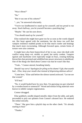"Was it Bron?"

"No."

"But it was one of his cohorts?"

"...yes," he answered reluctantly.

"You're too kindhearted to stand up for yourself, and too proud to run away. Stuck halfway, you let yourself become a punching bag."

"Maybe." He cast his eyes down.

"You should stand up for yourself."

Elise realized she might have gone too far as soon as the words slipped out. Her heart agreed with the sentiment, but she knew too well that vampire resilience enabled pranks to be that much crueler and beatings that much more excruciating. Although frowned upon, certain forms of torture were also common.

It might have also been hypocritical of her to say, since she dealt with conflict using sharp wit, stealth, or speed, but rarely combat. Vampire egoism and machismo were especially tough on boys, creating bullying hierarchies that persisted and solidified into power structures in adulthood. One of the things she liked about Connor was that he wasn't like that.

"Yeah..." Connor uttered, breathing faintly.

*Should I say sorry? Apologize for piling on his shame? Ugh, that sounds bad... Elise, keep your mouth shut instead of dispensing dubious advice!*

"Come here," Elise said before the silence turned awkward. "Let me see that wound."

"It'll heal."

"No, it would healed have by now then. I'm guessing you got whacked by a wooden board or somesuch?" Wood and similar living materials were known to inhibit vampire regeneration.

Connor shrugged.

Elise grabbed a needle-shaped metallic object from the table, and aptly proceeded to pick out splinters from Connor's abrased face. He endured the ordeal stoically.

"There." She gave him a playful slap on the other cheek. "It's already starting to heal."

"Thanks."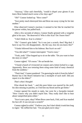"Anyway," Elise said cheerfully, "would it dispel your gloom if you knew Bron looked much worse a few days ago?"

"Oh?" Connor looked up. "How come?"

"Scar pretty much destroyed him and Bron ran away crying for his late mother."

Elise observed Connor's reaction; it seemed to her like he reached for his power within, but pulled back.

After a few seconds of silence, Connor finally grinned with a vengeful glint in his eyes. "He deserved it! Who is this Scar? Do I know him?"

"I don't think so. Scar is a kitten."

"Oh." Connor's grin faded. "So it was just a scratch, then? Big deal. I have to say I'm a bit disappointed... By the way, how do you know this?"

"I kinda followed him to his hideout. But Scar's no ord-"

"You did what?!" Connor interrupted. "You're crazy."

"Yeah, yeah." Elise hopped up to sit on the table. "Do you want to hear the story or what?"

Connor sighed. "Of course." He sat beside her.

"I found a bunch of vivisected rat corpses and a kitten locked in a cage. Apparently, Bron was torturing them using some kind of nasty chemical from the zombies."

"That's bad," Connor pondered. "I'm guessing he stole it from his father? Rumor has it the Reach Initiative has a stockpile of such stuff. Did you report it to the elders?"

*That's what I thought!*

Elise shook her head. "...and this poor kitten was marred by the stuff, his skin missing in patches, so I fed him my blood and he got better."

Connor opened his mouth to reply, but went for a facepalm instead. "Now I know why you didn't report him. They really don't like to hear about vampirified pests either."

"Scar is not a pest, okay? When Bron came back, I hid, and Scar mauled his face off. It was not just a scratch!"

Connor sighed in relief. "I believe you, but I don't think it took him long to regen." He ruffled her hair. "I'm just glad you're okay."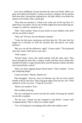Ever since childhood, Connor has been her only true friend. *Others are petty and selfish and shallow.* Connor was born a vampire, but his parents died soon after, leaving him orphaned too. He didn't think it was below his station to be friends with a turned girl.

"Now that you mention it, I think I saw some cats on the way here. If I didn't know any better, I'd say one of them might have been following me. I suspect it could be a demonic spy."

"Hah," Elise snarled, "those are just stories to scare children with, don't tell me you believe them!"

"Why not? We have all seen demonic animals."

"Yeah, but they grow monstrous and then they die. The ones that live longer do so because of stuff the ancients did, and they're not really demonic."

"But you can tell the difference, right?" Connor asked. "The possessed ones have stares which pierce your soul."

"Well, maybe..."

"Several times I have seen small animals with the same stare. They move through the ruins like a vampire would, and they notice things they shouldn't be able to. Logic dictates there must be demonic entities out there who learned better control."

"Have you been sipping demon blood lately?" Elise smirked. "You're just imagining things."

Connor frowned. "Maybe. Maybe not."

Elise shrugged. "Anyway, Scar's no demonic spy. He was such a feisty bundle of decay and claws. Had a big gash right across the eye, see?" Elise marked it on her own face. "I hope he survived."

"Hence you named it 'Scar'."

Elise nodded, grinning.

The sun continued its ascent towards the zenith, elevating the rhythm for the life it enabled.

"By the way, I heard you got assigned to raid detail," Connor said. "Congratulations! That is what you wanted, right?"

"Yes. I'm hoping for scavenging raids rather than military ones."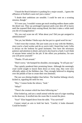"I heard the Reach Initiative is pushing for a major assault... I guess the affluence of EnrRrei's oasis isn't just a rumor."

"I doubt their ambitions are sensible. I could be sent on a scouting mission, though."

"If I were you, I wouldn't wanna get stuck treading endless dunes under the desert sun. They say prolonged exposure peels your skin off in layers until the exposed flesh starts oozing blood, but then it takes a while until you die of exsanguination."

"Eh, you can't scare me off. What about you? Did you get assigned to administration?"

"Not yet, but Mother Vheila says she has put in a good word for me."

"I don't trust that woman. She just wants you to stay with the Mothers, since you're a hard worker and do as you're told. I heard that Lady Cellie is always on the lookout for good assistants. Few have the necessary patience and attention to detail, and you're also loyal to a fault; I can't think of anyone better suited for the job. If she offers you probation, I'm sure you will prove yourself."

"Thanks. I'll ask around."

"Don't worry," she bumped his shoulder, encouraging. "It will pan out."

They quietly pondered their promising future. Although the seemingly cruel world sought to knock them down at every step, they were now officially adults of the Helldare clan. They strongly believed in skipping over the pitfalls of fate to create their own destinies.

The sun was shining brighter than before. The familiar lethargy slowly kicked in, signaling the need for rest.

"Hey," Connor broke the silence, "look."

"What?"

"There's the creature which has been following me."

Elise looked up, and saw a small animal with the aura of a tiger standing in the doorway. It strolled into the room like it owned the place.

"Scar!" Elise hopped down from the table. "You survived!"

Connor raised an arm to hold her back. "Careful, it looks diseased. Could be hostile."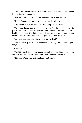The kitten looked directly at Connor, hissed menacingly, and began licking its paw a second later.

"Hostile? Does he also look like a demonic spy?" She mocked.

"Fine," Connor lowered his arm, "just don't let it bite you."

Elise briskly ran to the kitten and lifted it up into her arms.

The kitten began purring in response. Its fur, though discolored in places, felt as smooth as it was shiny. The change in physiology and the healthy fur made the kitten seem thrice as big as it was before, nevertheless, to Elise it remained a fragile being to be protected.

"Are you sure 'Scar' is a fitting name for a girl cat?"

"What?" Elise grabbed the kitten under its forelegs and raised it higher. "Oh."

Connor snickered.

The kitten settled in her arms once again. Elise looked into its red eyes, and saw her own mirrored. Beaming, she smiled with satisfaction.

"Her name," she said with emphasis, "is Scarlet."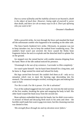*Due to a sense of finality and the inability of most to see beyond it, death is the object of much fear. However, losing sight of yourself is worse than death, and there are oh-so-many ways to do it. Don't put off being who you want to be!*

- Dreamer's Handbook

With a powerful strike, Jor tore through the fence and smashed the head off the unfortunate zombie who happened to be standing on the other side.

The fence barely hindered Jor's strike. Obviously, its purpose was not to keep intruders out, but to keep the undead from wandering away. The zombie's head wasn't just severed; the force caused the fleshy bone fragments below the neck to explode and the detached skull to splatter flat on the ground.

Jor stepped over the ruined barrier with zombie miasma dripping from his hand. More of the idle undead noticed his presence.

*'Orummagh is the sun of my existence. I surrender to Him completely.'*

Jor wasn't quite himself - but he hasn't been himself for a long time, and he knew it. Rage tainted his mind and infused his body.

His legs carried him forward. He couldn't feel them at all - only an icy sensation which rose to meet the burning rage descending into his stomach. The unnatural energies swirled, twisting his guts and making him want to hurl.

*'For He is truth. For He is power. For He is salvation!'*

Two of the undead staggered into Jor's path: Jor rent into the mid-section of the first zombie, breaking the spine and snapping the body in half. His other hand swiped the head away from the second one.

Bone splinters embedded deep into his hands, but Jor didn't even notice. A mixture of blood and decaying flesh stuck to his arms and chest - the horrible smell made him want to gag even more, but this cleansing reaction was denied to him.

*'His strength flows through me and my devotion never falters.'*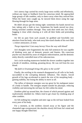Jor's sinewy legs carried his overly large torso swiftly and effortlessly, without any input or feedback from his conscious mind. He approached large groups of idle zombies, only to dance away when they noticed him. When the faster ones caught up, he mowed them down using the rage flowing through his huge arms.

He didn't always get the timing right: sometimes his hands moved too fast, taking only a limb or two. Sometimes his hands moved too slow, letting twitchier zombies through. They sunk their teeth into Jor's flesh, hugging it close while clawing at it with all their limbs and protruding bones.

Jor felt no pain from such assault; he grabbed and forcefully tore attackers from his body, who took away bite-sized chunks of his own flesh - a minor annoyance, at most.

#### *'Purge impurities! Cast away heresy! Pave the way with blood!'*

Jor's thoughts were fragmented; the only full sentences he was capable of thinking were part of demonic prayers and litanies. His conscious psyche was shackled by years of religious indoctrination, and the demonic entity directly controlled most of his subconscious.

Jor's circle-strafing maneuvers herded the slower zombies together into a horde of mindless, stinking, groaning decay. He was red from his own blood.

### *'My faith in Orummagh brings His glory to the world!'*

Finally, the swirling in his stomach disappeared as all cells in his body succumbed to the corrupting demonic influence. The chaotic, forced growth of his legs accelerated to match the size of his morphing body gaining stability, but losing the ability to move at all.

The influx of demonic energies was too great for his malignant tumor of a body to handle. The energies seeped outside his physique, reducing visibility and mirroring the red haze Jor felt within his mind.

Zombies piled up around him, the closest of which pressed against and inadvertently shielded Jor. Others tried to get closer by climbing atop of other zombies.

Jor felt nothing but complete and utter rage as the red haze leaked from every pore of his body.

For a moment, as the zombies clawed away at his figure and the channeled rage overpowered, the shackles slowly fell from Jor's mind and one happy thought filled him: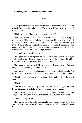\* \* \*

"...disposing of it would be a waste; blood of this quality could be worth a small fortune in the right market. The techs will find use for the rest of the body, too."

"Understood, sir. Should we quarantine the area?"

"No need. Notice the irregular blast pattern and the slight charring of the corpses? This was definitely demonic, not biological. A wave of internal pressures blasted the mindless ones from within, followed by a large, fiery explosion originating from the possessed channeler. The energy is still thick; by its texture I'd guess it belongs to one of the elder demons. You - send for a demonology expert!"

"Sir, look! It might still be alive!"

With great effort, Jor opened an eye - only to see another set of eyes staring back at him. They belonged to a man, whose large frame didn't hide the heavy grafts and localized mutations too well.

"I'm security chief of the Midflower. Speak, demon spawn! Who sent you, and what hell did you unleash here?"

Jor tried to move his body, but succeeded only in turning his neck. Yet, his mind was clear and observed his present state with calm detachment.

"Chief, he could be one of the mad ones that wander in from the desert and-"

"Quiet!"

Jor's throat was sore and dry - not to mention half of it ripped out - but he tried to speak nonetheless. The words came out as whispers:

"Orummagh... he's smart... Run, run!.. Others are coming..." He coughed up blood, but even the strength to cough quickly diminished.

"Who's coming? Speak!"

He warned them to spite Orummagh, but whether they'd heed his warning didn't concern him - he wasn't going to spend his last breath trying to explain.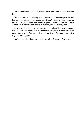Jor closed his eyes, and with this act, outer sensations stopped reaching him.

His mind retreated, touching up on memories of the many years he and his beloved Connie spent under the demon's shadow. They lived in nomadic camps, all their waking hours spent in work and devotion to the demon. They endured ash storms, starvation, and the burning sun.

*At least we had each other* - but the thought didn't fill Jor with romantic notions, only with regret. *We succumbed to misguided purpose and false hope. If only we had the strength to end our lives... We should have died together with dignity.*

As Jor's body has shut down, so did his mind. *I'm going first, love...*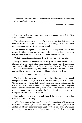*Elementary particles (and all 'matter') are artifacts of the staticness of the observing framework.*

- Dreamer's Handbook

Rob eyed the big red button, resisting the temptation to push it. "Hey Pete, look what I found!"

The salvage operation was one of the most promising their crew has been on. So promising, in fact, that Lady Cellie brought in two additional raid squads and oversaw the operation herself.

The demons slaughtered everyone in the underground facility and retreated without taking any of the spoils. They did leave, however, corpses in blue and white labcoats with blood smeared all over.

"What!" Came the muffled reply from the far side of the corridor.

Many of the reinforced doors were already bashed in or broken in half. Naturally, the crew raided the blood depository first - no self-respecting vampires would let all that tasty blood get ruined. *We arrived just in time.* If the clan leaders knew why only facilities such as these had electricity and working technology - they surely did not bother telling Rob.

"Just come over here!" Rob yelled back.

The big red button wasn't the only tempting thing: the control panel occupied the entire length of a wall and the better part of the room. Covering it were switches, dials, small buttons and various indicators, with the words 'BIOPRINTER 3000x' featured prominently above. The panel seemed to have suffered no damage; the room and its massive steel walls remained untarnished, and the only thing indicative of an attack were the torn pages scattered all over the floor.

Rob picked up a few pages which looked like part of an instruction manual and started reading:

*'...The insta-clone setting couples the ancient bioprinter with advanced bioscanning technology that we developed in-house, right here at Midflower. Identity and the mythical 'soul' evade us - mid and higher brain functions are not present, and insta-cloning any animal or humanoid*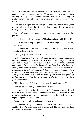*results in a severely afflicted biomass. But, so far such failures proved helpful for deeper research into the Virus; they also provide a refined learning tool for technomages beyond the mere smoothing of perturbations in the fabric of reality. Since electromagnetic and other fields...'*

A muscular vampire entered through the doorway. He was toying with a knife in his hand, and like Rob, wore body armor - loot of an earlier salvage expedition. "So? What is it?"

Rob didn't answer, just pointed along the control panel in a sweeping gesture.

Pete raised an eyebrow. "Just tech? No chemicals or usable bio-stuff?"

"That's what I'm trying to figure out. Grab a few pages and help me out, would you?"

Pete grunted. He started picking up the pages and handing them to Rob, who stacked and sorted them.

Rob's eyes glazed over much of the text as he skimmed it.

*'...It is infuriating how much at odds the predominantly subjective nature of technomagic is with hard facts and cause-and-effect chains of scientific methods. We all know that Serum users' brains establish additional pathways below the threshold of reality - that's why there's no coming back from Serum addiction. Despite their hyper-intelligence, the technomages haven't yet condensed that higher understanding into a shared context with objective symbol-sets - they profess a tendency to convey information through the collapsing fields of the very fabric of reality, and there might be the beginnings of a language there. Such fleeting advancements...'*

"Hey, did you hear? One of the other squads found survivors!"

Rob looked up. "Really? Friendly or hostile?"

Pete shrugged. "Not hostile. Some of the brainiac zombies locked themselves into a panic room. 'Technomages', they call themselves, and they're promising a lot for a safe transport to another facility. Boss Lady is negotiating with them right now."

"A proper escort job for a change? That's great!"

Pete nodded. "They said something about 'Serum-rationing' and 'techenabling trance'... Boss Lady looked concerned. The new girl was there too. Pretty, she shakes her ass like-"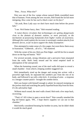"Pete... Focus. What else?"

Pete was one of the few vamps whose natural libido resembled more that of humans. From among the new recruits, Rob found the fat kid more intriguing. *How come he has such a black crater on his face?* 

"Ah yeah, Boss Lady says we don't have much time before the power fails."

"I see. We'd better hurry, then." Rob resumed reading.

*'A rumor-theory circulates that technomages are getting dangerously close to the domain of demonic entities, or more precisely, to the mechanism of possessing humanoids from higher realms of awareness. Although this could explain the increase in seemingly random attacks from demonic forces, so far no facts support the shaky assumption.*'

Pete attempted to make sense of a few pages, but soon threw them away in frustration. "Gibberish... all of it..." He muttered.

With the corner of his eye, Rob saw Pete fidget - and lift his fist to smash down on the big red button. "NO!"

For several seconds, strong vibrations and a pervasive hum emanated from the walls. Rob's body tensed and his mind emptied itself in anticipation of the unexpected.

When the humming ceased, one of the steel walls slid apart to reveal a small chamber - from which a limping zombie staggered out.

Rob immediately sized up the danger and swung into action: with a powerful right hook, he separated the zombie's jaw from the rest of its body, and followed it up with a shin kick. A twisting of arms - a response to a meager counter-punch - brought the zombie down.

Rob was honest with himself enough to admit: he enjoyed stomping on the jawless skull and watching the partly liquefied brain drip from his boot. *It's the adrenaline high.*

Without much sound, the steel walls closed. Rob took a few steps back, recovering.

"That's it? All it does is open a secret door?" Pete casually smashed the big red button again. "Pff... I hope there's supplies we can use in that chamber."

Rob briefly considered berating his brother-in-arms, but he didn't think it would do much good.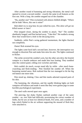After another round of humming and strong vibrations, the metal wall opened to reveal a second zombie - exactly the same in all features as the first one. With a limp, the zombie stepped out of the chamber.

"Ha, another one!" Pete exclaimed with almost childish delight. "Where did he hide? Move, this one is mine!"

Rob didn't try to stop him; he just rolled his eyes. *This idiot will get me killed sooner or later!*

Pete stepped closer, daring the zombie to attack. "Ha!" The zombie obediently lunged, and Pete backed away. "Take this!" He readied a strong blow that would leave a hole in the decaying torso.

Suddenly, while Pete's swing gathered momentum, the lights blacked out completely.

*Damn!* Rob strained his eyes.

The lights came back half a second later, however, the interruption was enough to disorient Pete and make him miss his aim. The lights continued to flicker.

The strike severed the zombie's arm, but the other arm drew the brutish vampire in a hostile embrace and made him lose footing. They tumbled onto the control panel, rolling over switches and dials.

Rob couldn't do much, except stand idly by while - after much bonecrunching and flesh-rending - Pete finished the zombie off. When the humming started anew, Rob realized that the two managed to hit the big red button one more time.

Pete stood up, shaking. Claw and bite marks adorned exposed parts of his skin.

The humming, the vibrations, and the rapidly blinking lights set both vampires off-balance and made it seem like they were guinea pigs in some horrible psychological experiment.

The steel walls moved apart once again.

The piercing, but shaky flashes outlined another copy of the same zombie - *no, two!* Rob had difficulty ascertaining the correct number of limbs, but he saw at least two identical heads, five arms, and a number of legs which flailed in the air without supporting the mound of flesh they were attached to.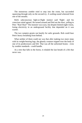The monstrous zombie tried to step into the room, but succeeded squeezing through only on the second try. A wailing sound wheezed from one of the mouths.

Rob's subconscious fight-or-flight instinct said 'flight', and his conscious mind agreed. He turned around and fled out the door, yelling to Pete: "Run! Run!" The monster was scary, but despite limited night vision, losing electricity in an underground facility that depended on it was scarier.

The two vampire grunts ran hastily for safer grounds. Rob could hear Pete's heavy breathing from behind.

What neither of them could see was that after making two more steps with its weight-bearing legs, the ghastly creature tripped over the body of one of its predecessors and fell. That was all the unformed brains - even by zombie standards - could handle.

As a tree that falls in the forest, it exhaled the last breath of a life that never was.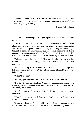*Empathy without Love is a mirror with no light to reflect. When the torturous closeness can no longer be counterbalanced by the ego's faint self-love, the ego unhinges.*

- Dreamer's Handbook

Bron grinned menacingly. "You got separated from your squad? How unfortunate."

Elise felt she was on one of those ancient rollercoaster rides she read about. After discovering her raid mission was a scavenging one, seeing Bron in the other squad dulled her initial joy. Finding the technomages brought a sense of achievement, but the recent flickering of lights peppered it with danger and adrenaline. To top it all off, it seemed the ride would end with a drop... and she wondered what weightlessness felt like.

"What are you still doing here?" Elise asked, trying not to reveal her disdain. "The lights are failing, move out!" *Does he know? He can't possibly.*

Bron took a step forward while an eerie sound echoed through the hallway. "I came to thank you." Two of his cronies blocked the doorway behind him.

"What? For what?"

Bron kept pushing ahead until he backed Elise against the wall.

"For this," he pointed at his face. A mesh of scars adorned it, some wide, some tiny, all with the same black outline emanating from within the flesh. His phony smile faded.

"I had nothing to do with it," Elise lied. "What happened to you, anyway?"

"Your damned cat happened, that's what! Don't even try to deny it, I saw it following you around!"

Despite the situation, Elise felt a bit of relief. *So he doesn't know I was there. Good.* "So what? Animals like me. I didn't do anything to you."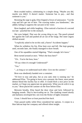Bron exuded malice, culminating in a simple shrug. "Maybe you did, maybe you didn't. It doesn't matter. Someone has to pay... and that someone is you."

Resisting the urge to gulp, Elise feigned a frown of annoyance. "Cut the crap and let's get out of here. The scarring makes you handsomer," she added, failing to suppress the sarcasm in her voice.

Bron laughed, and while laughing - Elise noticed a fraction of a second too late - punched her in the stomach.

Her eyes bulged. *That was the wrong thing to say.* The punch pinned her against the wall and pushed all air out of her lungs. Her inner organs shifted around.

"I explicitly asked to be on this raid, y'know? Accidents happen."

When he withdrew his fist, Elise bent over and fell. She kept gasping until, seconds later, she finally managed to draw breath.

One of his squaddies started fidgeting. "That's enough; let's leave."

Bron turned around at once. "Who's the boss here?"

"Uh... You're the boss, boss."

"I'll say when it's enough! Understood?"

"Yes."

"...as long as we understand each other. Give me the canister."

Bron was obediently handed over a container.

"I'd love to stay and play, but as you said, time is running out," he addressed Elise. "I'm going to leave you a present; the finest, most potent demon blood this facility has to offer. It would fetch a nice price on the market, so I hope you appreciate my generosity. What you do with it is up to you." Bron placed the canister on the floor before Elise.

Between breaths, Elise heard the door close and lock, followed by banging sounds. *They're barricading me in.* The clanking ceased shortly and darkness enveloped her; not even the flicker of lights remained.

*Great. I should have at least punched him back.*

Time passed rashly while Elise considered her options. A corpse in a blue labcoat kept her company and offered silent insight.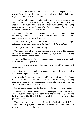She tried to push, punch, pry the door open - nothing helped. *Not even a dent.* The walls proved similarly resilient, and the ventilation shafts were big enough only for an arm to fit through.

*I'm locked in.* She started sweating as the weight of the situation set in. *Bron will tell them I'm dead. When electricity finally fails, doors will lock shut and my strength won't be enough to open them. Other doors holding back unknown horrors might open. No... No one is coming for me. I have to escape right now or I'll never get out.*

She grabbed the canister and tapped it. *It's not gonna change me. I'm not gonna get addicted.* The word 'bioreplicated' was crossed out in red, and 'source' written above with big letters.

*I need the strength. If I don't drink, I'm dead.* She had a slight, subconscious curiosity about the taste. *I don't really have a choice.*

Elise opened the canister and took a sip.

The initial taste of blood was familiar, if a bit irony. The peculiar aftertaste gripped her stomach before releasing it again, but the nourishing feeling left her wanting for more.

Elise tested her strength by punching the door once again. *Not a scratch.* Still, she did feel her power rise.

*I don't have time to waste,* Elise shrugged to herself. *Whatever will come, will come.*

She lifted the canister, took a big breath, and started drinking. It took a few seconds to gulp it all down.

At first, she felt the surging power as if seeping in from outside. Soon, the physical toll of the metamorphosis set in: crackling bones, stretching skin, inner organs growing with differing speeds. Her regenerative powers worked with the surge, not against it.

She continued banging on the door since it started producing results.

The thirst for blood turned into something deeper, something sinister... It cried out for something that wasn't there, and became enraged for not having found it. The thirst flailed and expanded, a headless beast, granting power from lack.

Torn between the hostile reaching forces, Elise's identity dwarfed. Still, a part of her was glad, because she felt it would be beyond soul-rending if a reply came answering the cry.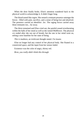When the door finally broke, Elise's attention wandered back to the physical world to acknowledge it. It didn't linger long.

The blood tasted like regret. She sensed a remnant presence amongst the forces - filled with pain, sacrifice, and a sense of being lost and absolved. The presence carried an identifier: *Jor.* The raging forces carried away these remnants too... far away.

The thirst remained and Elise cried out, the painful sound reverberating within the halls of her mind as well as the ruined Midflower. The physical cry ended after she ran out of breath, but the one in her mind went on, setting a new baseline for her state of being.

*This is madness,* an irrelevant thought stated. *I'm insane.*

Elise no longer had any control of her physical body. She floated in a constricted space, and the input from her senses faded.

Existence was the color of angry, thirsty red.

*Bron, you really didn't think this through.*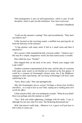*Time-management is part of self-organization, which is part of selfdiscipline, which is part of self-realization. Your time is precious.*

- Dreamer's Handbook

"I told you the monster's coming!" Pete said incredulously. "Why don't you believe me?"

Cellie focused on the recurring sound: a muffled roar piercing the air from the direction of the entrance.

"A big monster with many arms! It hid in a small room and then it attacked us."

*He's a grunt,* Cellie reminded herself, *a brawny soldier.* "I believe you." *His may be a simple, imaginative world, but that sound surely is trouble.*

Pete rolled his eyes, "Finally!"

Rob slapped Pete on the back of his neck. "Watch your tongue with Lady Cellie!"

Zombies scientists experimented all the time, and the idea of a monster with many arms wasn't as far-fetched as it seemed at the first glance. *It could be a remnant of Orummagh's demon army, but if the Midflower engaged in dark experiments, the surviving technomages will have some explaining to do.*

"Sorry, Boss Lady," Pete said apologetically.

*Why did Orummagh's forces retreat? Perhaps a threat from EnrRrei elsewhere... or a trap to lure us out? Nah, wiping out a raiding party isn't worth the effort.*

Cellie turned to Rob, who was tending his wounds. "What do you think? Have you perhaps seen the monster as well?"

"Aye," Rob said while tightening a bandage with his teeth. "I saw it, although I'm not sure what I've seen. The flickering disoriented me."

*Well, that doesn't really help... Whatever it is, I guess we'll just have to kill it when it comes out.*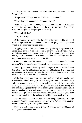"...but, it came out of some kind of multiplicating chamber called the 'Bioprinter'."

"Bioprinter?" Cellie perked up. "Did it have a number?"

"Three thousand-something if I remember well."

"Hmm, it may be on the bounty list..." Cellie muttered, but forced her thoughts to focus on the threat. "You did well to run away. Rest up; we may need to fight and I expect you to be ready."

"Yes, Lady Cellie."

"Yes, Boss Lady."

Cellie hastened her steps in the direction of the entrance. The rumble of threatening sounds became louder and more terrifying, and she pondered whether she had made the right choice.

Mapping out the facility and subsequently closing it up made more sense than caving it in. Since the Midflower held strategic value, establishing a permanent outpost was an alluring opportunity - better than destroying it to prevent vultures and temptations. *Excavating some of the bigger machines may be possible in the future.*

Cellie paused to carefully step over a corpse smeared upon the charred ground. "Oh, for blood's sake!" Some of the goo stuck on her boot.

Naturally, that wasn't the only zombie corpse. Charred bodies littered the entire perimeter of the facility, even beyond the fence. *The air reeks of Orummagh.* Most seemed to have died together in a huge explosion, but there were signs of later struggles as well.

Cellie had great hopes for this raid, and although the spoils were worthwhile - blood, tools, Serum to barter, bio- and chem-stuff whose value remained to be seen - there was political gain in it for her as well. Leading a raid herself showed strength and bravery, while having the information at a proper time proved cunning and resourcefulness. *Results matter.* Gathering new information helped project strength at various meetings and prevented her from getting blindsided. However, the icing on the cake was finding the technomages hiding in the panic room.

She saw people in white and blue lab coats being escorted out. *Finally! I hope letting them gather their things was worth it.* The blood-splatters covering the coats presented quite a contrast.

*They are still shaken up... Panic decimates any semblance of intelligence quite effectively.*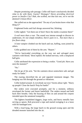Despite promising safe passage, Cellie still hasn't conclusively decided what to do with them: *Guests? Hostages? Slaves providing electrical power to Starfire City? Hah,* she scoffed, *not that last one, we're not the damned Crimson River.*

She yelled out as she approached: "Do any of you brains know what that thing is?"

Frightened looks and frail shrugs answered her, blinking.

Cellie sighed. "Get them out of here! Have the medics examine them!"

*A wail more than a roar.* The sound was intense enough to discern its undertones. *It's not simply mindless; there's pain in it... Not more than a few floors deep.*

A lone vampire climbed out the hatch and ran, huffing, soon joined by others.

Cellie grabbed one of them by the arm. "Report."

"We've barricaded everything on the way out and salvaged more canisters with blood," Bron replied. He looked nervous, with a misplaced half-grin.

Cellie attributed the expression to being a rookie. "Good job. Have you seen the monster?"

"No."

She let go of his arm. "Set the canisters down somewhere safe and get ready for battle."

The roaring electrified the air and signaled imminent danger. The banging was felt through the ground as vibrations.

Cellie looked around. *Is everybody out now? Seems about right.* "Hurry up people! Close the hatch! Prep for battle!"

Her orders were executed promptly, and for a moment, stillness enveloped the former and future battlefield. The raiders tensed and held back their breaths. Only the buzzing of flies on and around the corpses intruded upon the unnatural tranquility.

The fighters brandished daggers, large rocks, and heavy metallic bars serving as spears. Rob procured a rope and started swinging it as a lasso with his bandaged arm.

With a loud bang, the large hatch in the ground swung open and the dreaded monster launched into the air.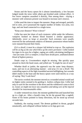Stones and the heavy spears hit it almost immediately; a few became lodged inside the torso while others got brushed aside without effect. A few brave vampires assaulted it directly, Pete among them - slaying a monster with witnesses present was bound to increase one's renown.

Cellie used the time to inspect the monster. Huge and enraged, partially red in color, yet it possessed the regular number of limbs: two arms, two legs, and one head connected to a single torso.

"Keep your distance! Wear it down!"

Cellie has seen her share of such creatures: while under the influence, vampires hooked on demon blood boasted a similar appearance. *Admittedly, never so large or powerful.* Such extremes were usually reserved for the unfortunate subjects of demonic possession whose bodies were mutated beyond their limits.

*If it's a thrall, it must be a sleeper left behind to trap us. The explosion will be as big as the one which blew up the entire perimeter.* Cellie looked for signs in its eyes for a higher, raging yet coldly calculating intelligence - but saw none. *If it's a vampire, it must have drunk pure, undiluted demon blood of highest potency.*

Doubt crept in. *Crewmembers might be missing.* She quickly spun around to check the head count, and yelled out: "It might be one of ours!"

Whether thrall or junkie, the approach was the same: keep distance, taunt, and run in an alternating manner - *and pray it's not a thrall.* The controlling aspects of the fight resembled ancient bullfighting, but wounds didn't matter in the least and the heavy spears were used merely as a way of saying: 'Hey! Look here!'

The tactics worked; the monster moved as a wounded animal would and no higher entity seemed to be guiding it. *Junkies collapse fast.* Cellie had only to wait for the overdose to die down and the withdrawal coma to kick in. *Good, we might not incur any casualties and taking care of the injured shouldn't be insurmountable either.*

A raider ventured too close; the monster grabbed him and launched him up in a high arc. After a breath's time, he hit the ground like a ragdoll. Some of his bones pointed in funny directions, but he stood up several seconds later.

Suddenly, the roaring ceased. The demon grabbed its throat, gurgled unnaturally, and collapsed without fanfare as its legs gave out.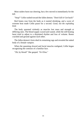Most raiders burst out cheering, but a few moved in immediately for the kill.

"Stop!" Cellie rushed toward the fallen demon. "Don't kill it! Get back!"

Red fumes rose from the body as it started shrinking, and a wave of extreme heat made Cellie pause for a second. *Good, not the exploding kind.*

The body spasmed violently as muscles lost mass and strength at differing rates. The blood supply waxed and waned, while the still beating heart tried to adjust to a disjointed rhythm and loss of volume. Bones crackled and ground against each other.

The fallen demon's form shed its remaining rags and revealed the naked body of a female vampire.

When the spasming slowed and facial muscles realigned, Cellie began recognizing the contours of a familiar face.

"Oh, by blood!" She gasped. "It's Elise."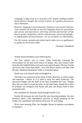*Language is often seen as a necessary evil; despite enabling symbolbased abstract thought, the overlay it places on cognitive processes is also a limitation.*

*However, language is not exclusively a human or even social construct. Lone animals too develop an internal language based on perceptions and actions and experiences, mirroring external and internal worlds. Due to greater integration with the subconscious, action and thought or indeed planes of consciousness - are not as distinct as with humans.*

*For this reason, animals and animal spirits often serve as gatekeepers or guides for the dream realm.*

- Dreamer's Handbook

Scarlet sensed predatory eyes following her.

Her first instinct was to cower while frantically scanning the environment for the perceived source of danger. But, that instinct came from the old, frightful kitten and went away unacted upon. The new Scarlet survived a fate worse than death - first with Bron's torture, and then with the grey liquid permeating her body in wretched agony.

Death was to be danced with and laughed at.

The threat was a pressure in her mind. It had a direction, as well as intent and emotions - almost as if it tried to warp her mind inside-out. The perceived hunger and the thrill of the hunt resembled her own. Despite that, she was ready to assert her place in the food chain, should the wouldbe predator not recognize that hunter and prey not always held to their presumed roles.

She continued her leisurely stroll through Starfire City.

Scarlet felt pressure not only from the one observing predator, but also potential others. Like atmospheric pressure or blood pumping on the inside, she considered such tension necessary for well-being.

(Ever since meeting Elise, her thoughts flowed in patterns uncommon to animals.)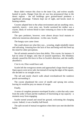Bears didn't venture this close to the inner City, and wolves usually hunted in packs. Danger from the air was less pronounced than in the desert regions - the tall buildings gave ground-based predators a significant advantage. Vultures kept out of sight, and hawks stuck to hunting rodents.

Coyotes adapted best to the urban environment and ate anything: mice, squirrels, insects - even stray cats. Scarlet surmised her stalker was a coyote, likely of wolven blood to dare venturing so close to the vampire enclave.

The apex predators, however, were almost always local mutants or otherwise monstrous aberrations - in this case, Scarlet.

The hungry eyes came closer.

She could almost see what they saw... scouring, single-mindedly intent and salivating. Amazing how the lack of fear and being well-fed freed up the mind for other perceptions.

Not all animals seemed to have that ability. This coyote, for instance. It had no sense of danger, only that of assured supremacy. His blindness already caused his life-force to flow in Scarlet's direction, and she readily absorbed it.

C'est la vie, Elise would have said.

Scarlet left the overgrown streets and approached a large church square. Open spaces were never safe, but instead of tracing the edges of the square, she decided to cut straight across.

The tall and sturdy church walls ahead overshadowed the rundown parish surrounding it.

The coyote abandoned the cover of stealth and sprung into action, leaving its would-be prey no means of escape.

Finally.

A sense of complete presence enveloped Scarlet; a calm that only came from the ardor of hunt and the readiness of functioning at top capacity - a moment away from engaging.

Scarlet turned around and stood her ground, welcoming the charging coyote. Indeed, it was a healthy half-breed.

The split second of mutual recognition when their eyes met decided the battle: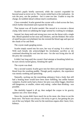Scarlet's pupils briefly narrowed, while the coyote's expanded far beyond usual as terror set in. The coyote reeled back at the realization - he was the prey, not the predator - but it came too late. Unable to stop the charge, he tumbled ahead without much coordination.

Claws extended, Scarlet greeted the coyote with a slash across the face, which further disoriented and exposed the throat.

That instant was all Scarlet needed. She moved in to execute a throat clamp, fully intent on subduing the larger animal by crushing its windpipe.

Instead, her sharp teeth and strong jaws tore out the throat with a single bite. Blood splashed on her nose and whiskers, and she blinked. Her sense of smell became overwhelmed, but she resisted the blood rage and spat out the chunk of fur and flesh.

The coyote made gurgling noises.

Scarlet simply stared into his eyes, her way of saying: 'It is what it is.' With each breath, she acknowledged his involuntary sacrifice as she continued absorbing his soul into her own - for she was living also for all the prey she consumed.

It didn't last long until the coyote's final attempt at breathing failed too. Its eyes slowly turned glassy, breaking the spell:

The coyote was dead.

Not a second wasted, Scarlet gave into her thirst and started lapping up blood from the resulting puddle. Though partly euphoric, the experience was mostly soothing and quenching.

Naturally, sucking out the nourishing substance from a body that still had a beating heart would have been more fulfilling, but unlike human vampires, Scarlet rarely had a choice: her prey was either bigger, therefore still dangerous, or smaller, where only eating - rather than drinking - was possible.

She dutifully lapped it all up, then nudged the corpse to let gravity squeeze out a few more drops.

Since the coyote didn't have much fat on his meat, she chose to eat the brain next. The brain was always a bit tricky to get to, but getting the jaw out of the way helped. She went for the nutritious organs after: heart, liver, kidneys.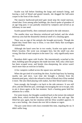Scarlet was full before finishing the lungs and stomach lining, and leaving a trail of blood and grated innards, she dragged the half-eaten corpse to the front of the church.

The massive hardwood-and-steel gate stood atop the round stairway, closed shut. Even among taller buildings, the church spoke of grandeur of an age long past; it was partially restored by vampires and served as an infirmary in rare need.

Scarlet paused briefly, then continued around to the side entrance.

The smaller door was likewise reinforced and locked, and the whole doorway area had the distasteful chemical smell of a cleaning agent.

There was no sign of the animals she brought previously. Though she hoped they found their way to Elise, it was more likely that scavengers devoured them.

Although she hasn't seen her in two weeks, Scarlet was quite sure of Elise's location. Her scent was strongest here, but the smell was also wrong, like that of mad vampires in the outer City - only significantly more so.

Boredom didn't agree with Scarlet. She intermittently scratched at the door, building upon the progress she made last time. Still, only a thin layer has been scraped away, and beside claw-sharpening, the action wasn't much more than an exercise in futility.

A few vampires walked across the square now and then.

When she got tired of scratching the door, Scarlet kept busy by hunting nearby rats and mice. Last time she brought a chicken from the domesticated pens, which she refused to drain of blood since Elise needed it more. She also liked playing with snakes, but their blood tasted wrong.

Soon enough, she brought a rat back to the side entrance. It was still alive, and she lifted her paw, seemingly encouraging the rat to escape, only to pin it down again at the last moment. Such a hunting game held her attention for a while.

For some reason, her thoughts wandered back to the torture she endured under Bron, which evoked the same feeling of utter fear and rage. She lifted her paw again, but her intuition told her Elise wouldn't approve. It was a new feeling - the closest she ever felt to shame or regret.

The paw came down with claws extended this time, impaling the rat. It didn't suffer long.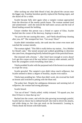After sucking out what little blood it had, she placed the carcass near the bigger one. Familiar boredom quickly replaced the fleeting regret, and she dozed off for a while.

Scarlet became fully alert again when a vampire woman approached from the direction of the nearby parish house. The woman seemed tired and uninterested - until she noticed the half-eaten carcass and the trail of blood leading around the building.

Unsure whether this person was a friend or captor of Elise, Scarlet backed into the corner of the doorway, hoping to sneak in.

"So you're the one causing this mess... and Vheila should keep cleaning after you, eh?" She stomped her foot. "Get away! Shoo!"

Scarlet didn't intimidate easily; she sunk into the corner even more and watched the woman intently.

The woman sighed. "This filth is really below my station... I'm a Mother for blood's sake." She turned around and walked grumbling in direction she came from, disappearing briefly behind the gate of the parochial house.

She returned with a broom. "...like I don't have enough to worry about! Let's get this corpse out of the way before it attracts other animals, and I'll have the youngsters scrub everything clean later..."

Vheila prodded Scarlet with the purposed end of the broom in an attempt to swipe her away.

Scarlet growled. The vampire's eyes didn't show much willpower, but Scarlet seemed to detect a degree of hostility, maybe even malice.

Vheila kept prodding her. When that didn't work, she reversed her hold on broom and switched to poking with the blunt end.

The pokes hurt. Despite her ambiguous demeanor and seeming lack of willpower, the woman had strong physique.

Scarlet hissed.

"Get out of here!" Vheila yelled, visibly irritated. "I'd squash you, but then I'd have to clean that up too."

Backed into the corner, and with the jabs growing increasingly painful, Scarlet had no choice but to defend herself: she tried to divert the attacks, and while doing so, her claw got stuck on the broomstick. Leaning in, Vheila shook the broom with both hands.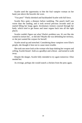Scarlet used the opportunity to bite the foul vampire woman on her hand, just above the bracelet she wore.

"You pest!" Vheila shrieked and backhanded Scarlet with full force.

Scarlet flew quite a distance before tumbling. The punch itself was worse than the landing, and it took several precious seconds until air started filling her lungs again. Involuntary tremors coursed through her body, which tried to get bones and inner organs back into all the right places.

Scarlet couldn't figure out what Vheila's problem was. It's not like she wanted to torture her... or did she? Maybe she was defending her territory, or she just wanted the corpses for herself.

Scarlet stood up and stretched. Considering these vampires were Elise's people, she thought it best not to cause more trouble.

She took one more look at the woman who kept shaking her weapon and yelling. Scarlet hissed - both as a goodbye and a threat - and turned to walk away.

Despite the danger, Scarlet fully intended to try again tomorrow: Elise needed her.

As revenge, perhaps she would snatch a chicken from the pens again.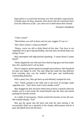*Superstition is a crutch that develops over time and often cooperatively. It builds upon all those moments when faced with the existential fears from the unknowns of life - you chose not to think about them instead.*

- Dreamer's Handbook

"I don't wanna!"

"Maximilian, you will sit down and eat your veggies if I say so."

"But I don't wanna! I wanna eat blood!"

"Honey, you're too old to drink blood all the time. You have to eat vegetables too to grow big and healthy, and only then can blood make you strong. If you-"

Max interrupted with high-pitched squealing. "I wanna blood I wanna blood!"

Vheila slapped her son with such force that his legs gave out from under him. *He's spoiled and it's all my fault.*

Due to vampires' greater physical strength and resilience, their threshold for pain was higher as well. The only thing that made the slap different from everyday play was his mother's stern gaze and insufficiently commanding demeanor.

With a pouty face, Max got back up and defiantly stomped his foot.

"Sit!" Vheila pointed to the table and at the bowl of lovingly made vegetable stew. "And I don't want to hear another word!"

Max dragged his feet, but knew better than to throw a tantrum when his mother was in a foul mood. He raised himself onto the chair and started pushing the utensils around.

As a habit of nervousness, Vheila twisted the bracelet on her left arm. She exhaled sharply: "Eat!"

Max put the spoon into the bowl and took his time stirring it. He occasionally lifted out a spoonful of the chunky deliciousness and let it pour and splash back into the bowl.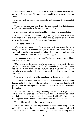Vheila sighed. *You'll be the end of me. If only you'd have inherited less of my headstrongness...* "If you don't eat, zombies will come to take you away."

Max frowned, but he had heard such stories before and the threat didn't faze him.

"You don't believe me? They'll go after you and not other kids because they know you won't have the strength to run as fast."

Max's mucking with the food turned less resolute, but he didn't stop.

"Even if you're not the only one they grab, they'll eat you first because your flesh is nice and fatty, just as they like it... without all the chewy muscles that would have made you strong. Look at me!"

Taken aback, Max obeyed.

"If they are too hungry, maybe they won't kill you before they start eating you. Even if by some miracle you're rescued after only a few bites, your body won't be strong enough to fight the infection and you'll turn into a zombie. Then it will be too late to eat your veggies."

Max managed to avert his eyes from Vheila's soul-piercing gaze. There was silence for a while.

"On the bright side, because you're so weak, demons won't try to lure you to their darkness. If you run and hide like a cockroach, they won't even look to squash you. They will look away in disgust at your weakness. You won't have to worry about demons, oh no, you'll only have to worry about zombies!"

Max ate his stew silently while tears kept flowing down his cheeks.

*I overdid it... my poor baby.* Vheila could barely hold back from hugging her son and telling him she didn't mean it: that he's strong and that she will protect him from all dangers and that he can have all the blood or whatever he wants...

As a Mother, a rarity in vampire society, she served as a symbol for cohesion and the promise of a better future. The Mothers were esteemed for their perceived wisdom, but also inundated with gifts from males seeking their favor - mostly to further their own political standing.

Vheila fidgeted with her bracelet without realizing.

Rituals and traditions - the unquestioned, but often conflicting way of doing things - were the main guidelines for raising a vampire child. All Vheila had for support were the prodding rumors and overbearing advice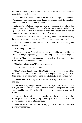of Elder Mothers, by the succession of which the rituals and traditions came to be in the first place.

*I'm pretty sure the kitten which bit me the other day was a zombie.* Though stray zombies posed a real danger for unsupervised children, they were no more than a nuisance for adults.

*All the gifts and attention spoiled me, and I've spoiled Max in turn. The whining attitude will get him hurt, maybe not by the zombies and demons of the world, no... The real danger is here: the bloodthirsty, merciless vampires who sense weakness better than they smell blood.*

After Max finished eating the stew, still fighting to hold back the tears, he turned to his mother and asked: "Will I be strong now, mommy?"

Vheila's troubled features softened. "Come here," she said gently and opened her arms.

Max sprung into her embrace.

"You will be strong," she whispered into his ear while stroking his hair. "I will do everything to help you become strong. You'll be the strongest."

Slowly, Max's sobbing stopped. He wiped off his tears, and like sunshine through the clouds, smiled.

"Go play," Vheila said. "It's sleep time soon."

"The zombies won't eat me now?"

"No..." Vheila thought for a while, "but tell you what." She removed her bracelet. "This charm has protected me for a long time. Its magic will scare the zombies away until you're strong enough to fight them on your own."

The bracelet was too big for Max's hand, so she put it around his neck instead.

"See those sharp things? Teeth of a zombie mage, boiled in the blood of a raging demon. And these gems? They're from ancient places of power where sand has turned into glass. Never take it off, not even to show it off to someone."

Max spent the rest of the evening playing with the necklace, examining the shape of each tooth and quirky bead of glass. Vheila had to warn him a few times not to put it into his mouth.

When bedtime came, Max fell asleep quickly and without the usual peevish whimpering.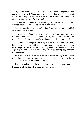But, doubts and second-guessing didn't give Vheila peace; she twisted and turned in her bed. At one point, a realization jolted her with cold sweat into a kind of nightmarish clarity: *All the things I said to Max were more about my weaknesses rather than his!*

Fear bubbled up - a restless, itchy feeling - and she kept scratching her skin red around the area where the kitten had bit her.

Sleep continued to evade her as her thoughts descended into a jumbled state. *Do I have a fever?*

*There was something strange about that kitten.* Subconsciously, she reached for her bracelet - it wasn't on her arm, and that unsettled her even more. The red rings of the kitten's eyes haunted her deeper into delirium.

Small animals rarely posed any danger to a vampire's robust physique, but fears, when coupled with imagination, could quickly blow a small risk out of proportion and turn it into a crippling nightmare. *That kitten... it was definitely a zombie, but fast like a vampire can be. Strong too, since the bite went deep...*

Her heartbeat grew more rapid as the festering anxiety overpowered rational thought. Her eyes popped open and she suddenly sat up: *If I turn into a zombie, who will take care of my son?!*

Getting up and going to the kitchen for a cup of water helped clear her head. Afterall, she had other things to worry about.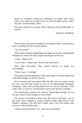*Ideals are worthless without the willingness to realize them. Don't expect your ideals to be enforced by an external higher power. Don't buy into victim mentality, either.*

*This goes double for personal ideals requiring only self-discipline to achieve.*

- Dreamer's Handbook

The sensation of a hand clutching her own guided Elise's consciousness back to waking. Slowly, her eyes opened.

"Are you awake?"

After a brief moment of adjusting to the light, she saw the soothing hand belonged to Connor. He had a stupid worried grin on his face.

"Yeah... Where am I?"

"You're safe," Connor said. "We're in the old church."

With some discomfort, Elise leaned forward to inspect her surroundings.

"Take it easy... It's alright."

The church hall encompassed a wide, open space. Its sturdy pillars and walls held smudges of ancient frescoes.

Rows of beds with clean sheets filled the hall. All were empty except her own, but still kept orderly in case of an unforeseeable biological emergency. *They used to bring junkies here too, but not anymore.* Until such a time, it served as a recuperation ward for the heavily wounded.

The stained glass windows let colorful, vibrant light through. *No one else but Connor cared enough to restore them.*

The church was familiar to Elise since she used to clean here - one of the many tasks assigned to young vampires under supervision of the Mothers. Humans, who did most menial work, were not trusted with access to critical infrastructure.

Connor cleared his throat. "So... How are you feeling?"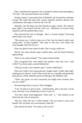Elise considered the question, but it seemed so distant and meaningless. "I'm fine," she answered almost out of habit.

Seeing Connor's concerned look of disbelief, she focused her attention inward. Her body did seem fine: senses reported, muscles obeyed. Her coordination and range of motion felt a bit off.

Mentally, she felt sharp, but she floated on angry clouds. *The stainedglass light is too tainted with the color red...* Memories of recent events seeped in and she pushed them away.

Elise diverted her line of thought. "How is Scarlet doing?" Worrying about others was easier.

"She misses you. I tried to take care of her, but she doesn't really need caring after," Connor laughed. "She came to visit you a few times; she even brought fresh kill for you."

Elise was glad to hear about Scarlet. *She's strong, unlike me.*

Slowly, the main entrance gate creaked open, and she heard footsteps approaching.

"How is our patient doing?" The sound echoed loudly.

Elise recognized the voice before the speaker came into view. *Lady Cellie!* Two burly aides scurried behind her.

"She just awoke a few minutes ago!" Connor yelled back.

Elise met Cellie's eyes and produced a fragile smile. Unlike other highranking power players, Lady Cellie struck her as a sensible and genuinely kind person, which made her proud to belong to the Helldare clan.

"That's very good, we were concerned you might never awaken. How are you, child?"

Not knowing what to answer, Elise shrugged.

"I see. I'd advise to give it time... Unfortunately, this is not just a social visit, and time is not something we have excess of."

"I'm sorry about what happened," Elise said. "I..." She choked as she held back the rush of memories.

"Me too, child. Me too," Cellie hushed. "Do you need to catch your breath? We can delay our conversation a little bit."

Elise shook her head. "I'm ready as I'll ever be."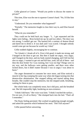Cellie glanced at Connor. "Would you prefer to discuss the matter in private?"

This time, Elise was the one to squeeze Connor's hand. "No, I'd like him to stay."

"Understood. Do you remember what happened?"

"Partially." The memories fought to claw their way in, and Elise braced herself.

"What do you remember?"

They could not be held back any longer. "I... I got separated and the lights were failing... Bron locked me up; he and two others. The door was too strong, I couldn't get out. The bastard left a canister of demon blood and dared me to drink it. It was dark and I was scared. I thought nobody would come get me because he would say I died."

Cellie nodded slightly, encouraging her to continue.

"So I drank it. I drank all of it. First it felt good, it made me strong, and I banged on the door to get out. But then it made me angry, very angry, and I banged on the door, and my body started changing, and I felt lost but also so angry, I wanted to get out and kill him, yeah, kill all of them - and then the door broke! So I was running, but I was too big? Things were in my way, and the hallways were getting smaller, and there were other locked doors, but it didn't matter because I was so angry I was about to burst-"

The anger threatened to consume her once more, and Elise noticed a muscle in her leg cramping the same way when she began turning into that demon-elise abomination. She stopped talking and started taking deep breaths. She couldn't stop the memories, but she stepped aside, breathing, waiting for them to pass.

Her whole body was completely tense, but it did pass, and she breathed out. She felt impossibly light, bordering on non-existence.

"I think I did burst." Her voice was faint. "I think I reached the surface... I'm not sure, it's all so blurry." She slumped back into the bed. "That's all I remember."

The floaty feeling persisted. She worked on gathering enough strength, and asked the question which bothered her most. "Did I kill anyone?"

Cellie paused before answering.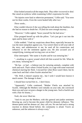Elise looked around at all the empty beds. *They either recovered or died.* She raised an eyebrow while examining Cellie's expression for tells.

"No injuries were fatal or otherwise permanent," Cellie said. "You were out for three weeks. Even the worst healed fully after two."

*Three weeks...*

Elise couldn't discern if she was telling the truth about the fatalities, but she had no reason to doubt her. *I'll find out soon enough anyway...*

"However," Cellie sighed, "brace yourself for the bad news."

Elise propped herself up with the pillow. "Let's just get it out into the open and be done with it."

Cellie nodded. "I had my suspicions about Bron, especially because he was the most outspoken against you. You weren't there to tell your side of the story, and unbeknownst to me, he used all his connections and influence to stir the sentiment against you. He also accused you of vampirifying, training and siccing your cat on him-"

Elise interrupted. "Her name is Scarlet and he was torturing her."

"...resulting in a grave wound which left him scarred for life. What do you mean, 'torturing her'?"

"He has - or had - a hideout just for torturing animals, complete with tools and such. That's where I found Scarlet, in a cage with some restricted chemical marring her flesh. I rescued her when Bron wasn't there, but he came back and that's when Scarlet attacked her."

"Oh. Well, it doesn't surprise me... but I wish I would have known it much sooner. The damage is done."

## *I should have turned him in... I don't know.*

"Apparently," Cellie continued, "Mother Vheila was attacked by Scarlet. Although the Mothers were initially on your side, she convinced them you and your cat pose a danger to the young ones. Such a fearful soul with a flair for drama..."

## *Yeah, she never liked me.*

"And it's not just the Mothers; with this general anti-junkie sentiment blowing up, you've become the poster child for demonic influence. 'The demon queen and her demon cat', they call you. No one had such a strong reaction to demon blood before; the community is afraid. You're an unknown, and the unknown is always scary."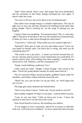"Hah!" Elise snorted. *That's crazy. And stupid.* Her focus diminished, and the awareness of that floaty feeling enveloped her once again. *It doesn't make any sense.*

"I'm sorry to tell you, but you're about to be excommunicated."

Elise didn't have enough energy to consider implications. The rays of light were so very red, and they seemed to be bending around rather than going straight. *They're mocking me.* On the verge of passing out, she laughed.

Connor's hand was trembling. "Excommunication? This is a bad joke, right?! That piece of shit Bron is the one who should be excommunicated, or better yet, have a stake driven through his rotten heart!"

"Calm down," Cellie said. "Elise needs you to be rational right now."

"Rational?! What part of what you just said makes sense? You're our clan leader for blood's sake! You know this is wrong, why don't you do something about it?!"

"The world is not a just place... it seems you haven't learned that yet. I'm not a dictator and my power is more limited than you would think. If I openly endorse Elise, with nothing more than sympathy, I would end up ostracized as well. Influence, and the consequences of-"

"Empty words befitting a politician! You-"

Cellie raised her hand, "Alright, I heard enough." She waved to her aides. "Escort the young idealist outside; he needs some fresh air."

The two muscular helpers moved promptly, grabbed Connor under his shoulders, and briskly walked with him toward the exit.

"What? No, you can't do this! Let me go! Elise, we- We'll figure this out! Let me-"

The large gate easily slammed shut behind them.

"Don't worry about Connor," Cellie said, "he just needs to cool off."

Elise nodded, resigned. *Perhaps it is my fault... I almost killed everyone.*

"Look, it's not your fault." Cellie sat down next to her. "I know the situation is bad, but it's not the end of the world."

Elise forced herself to look up. Her breathing was shallow.

"If you happen to leave voluntarily, there'll be no reason to officially exile you. I will send you to Oakheart - we have connections there because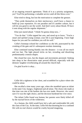of an ongoing research agreement. Think of it as a priority assignment, yes? You'll be performing a valuable service until all this blows over."

Elise tried to shrug, but lost the motivation to complete the gesture.

"They pride themselves on their meritocracy; you'll have a chance to build up your reputation. It's not paradise and it's another culture, but it will do you good to see the world. And don't worry about blood, I'll have it sent along with the regular shipments."

Elise just stared ahead. "I think I'm gonna sleep now..."

"You do that." Cellie tapped her arm, and stood up to leave. "You're a smart and spirited young woman; your life is just beginning. I have high hopes for you and I'm confident you will do well."

Cellie's footsteps echoed her confidence as she left, punctuated by the creaking of the gate and it's subsequent resolute slamming.

Elise continued staring blankly into the distance - it was all too much and too fast. The light played tricks on her, revealing and dissolving predominantly crimson shapes.

She closed her eyes, but the shapes and movements persisted. Sinking into sleep in her dissociative state proved difficult, especially with the demons' laughter reverberating all around the church hall.

*I'm glad Scarlet is okay...*

\* \* \*

Cellie felt a tightness in her chest, and scrambled for a place where she could be alone.

She recalled a time many years ago, when she stumbled upon an infant in the outer City; hungry, frightened and all alone. The choice she made at that time was one of the hardest she has ever made. However, she wasn't sure if it was the right choice, and the decision burdened her ever since.

The infant Cellie found was human; her parents were likely killed off by the myriad forces of the wilderness.

As a human, the child would have led a safe and comfortable life with the clans of the City. At the time, Cellie felt that dooming her to a confined life with no real choices would be cruelty beyond imagining.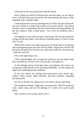Cellie had cut her arm and fed the child her blood.

Such a thing was heavily frowned upon, but then again, no one had to know. *And then she grows up and does the same thing to that kitten,* Cellie remarked with a sad half-smile.

Cellie realized she wasn't just feeling sorry for Elise, but also for herself: she was a failure as a leader and a failure as an ersatz mother - the closest she ever came to motherhood. She has chased status and responsibility all her life, trying to make a better place... *but I can't do anything when it counts.*

The tightness in her chest became constricting. She felt she should be crying, but the tears didn't come and her frustration grew. *It's been so long since I cried...*

While Cellie's heart was wallowing in pity, her brain kept re-examining and second-guessing the decisions she has made. Despite how she felt, the decisions she made were the best she could make under the circumstances - both then and now.

## *This is the right thing to do.*

Cellie acknowledged and accepted the emotions, but she didn't think they would hit her so hard. *Swim with the flow, not against it.*

As the feelings slowly found their place and aligned with reason, she recognized within herself a new old thing rekindling - not the superficial anger, but something beyond: ambition.

So far, her reasons for seeking and using power were mostly egorelated. Those reasons didn't diminish, but they somehow expanded beyond herself.

*One has to become the right person to be able to do the right thing.*

She breathed in deeply, triggering a yawning reflex. She felt reinfected with a noble cause, and saw the inklings of a vision such a path would bring.

*Elise will have to be strong, and so will I.*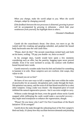*When you change, make the world adapt to you. When the world changes, adapt by changing yourself.*

*If the feedback between the two processes is distorted, growing in power will be accompanied by growing in delusions - which hide your weaknesses from yourself, but highlight them to others.*

- Dreamer's Handbook

Gareth slit the councilman's throat. *One down, two more to go.* He waited until the croaking and gurgling subsided, and pushed the bound body backwards onto the cold castle floor.

"Please, don't do this!" The second councilman rocked back and forth on his knees, wailing. "I'll pay you double- no, thrice as much!"

In his younger days, Gareth would have spent a few moments considering such an offer, but the panicky, begging types never proved reliable. Even if he were inclined to accept, his contract with EnrRrei bound beyond mere words.

Gareth removed a wooden stake from his belt and looked for something to hammer it in with. *These vampires sure are resilient. Like wasps, they refuse to die.*

"I demand you set us free!"

He knew of two sure ways to kill a vampire that were within the realm of practicality for an assassin: decapitation and a stake through the heart. Decapitation was messy, and the scent of all that blood travelled far to alert other vampires. Using a stake was cleaner - the sharpened piece of wood inhibited the natural regenerative powers - but it was extra weight to carry.

Without a stake through the heart, even the guards whose necks Gareth snapped while infiltrating the castle would make a successful recovery *they might need transfusion to enhance the regeneration, though.*

"Please! Do you know who I am?! I'm First Councilman of the Reach Initiative! I'll be avenged!"

Gareth drove the stake through the unbeating heart of the first vampire's bled-out body. *It's funny how they oscillate between demands and pleading*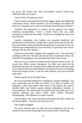*for mercy, like broken toys. Their personalities unravel without any additional effort on my part.*

"Don't do this! I'll make you rich!"

Gareth stood up and pressed the bloody dagger against the blabbering councilman's throat. "Reach Initiative, you say? Perhaps your death will teach your clansmen not to reach toward things which belong to EnrRrei."

"EnrRrei? The demoness?" A muscle on the vampire's face began twitching uncontrollably. "You're a thrall! That's why you could overpower us with your bare hands... I'll give her anything she wants, just don't kill me!"

Gareth's relationship with EnrRrei was mutually beneficial: she provided him with demonic strength and a supernatural sense for the lifeforce around him, and he performed assassinations exclusively for her, for which he was compensated on a 'per case' basis. *It's good she's not a micromanager like the other demons.*

Gareth saw only empty clinging in the vampire's eyes. "You don't have anything to offer her," he said, and slit the First Councilman's throat. He waited for the gurgling to stop and pushed the body onto its back.

*One more to go.* Gareth was almost sad his mission neared its end - he would miss Aluin's serene atmosphere. He didn't care much for the pretentious decorum the vampires tried to defile the place with; this castle in the mountainside survived millennia and showed no intent of buckling before the ravages of time. *I wish the usual hellholes I get sent to had the same spirit.*

Gareth expertly drove the stake home.

He was occasionally tempted by a longing for a greater challenge, a foe who would truly test his skills of combat. As a place of politics and diplomacy, castle Aluin didn't offer much in this regard; only absentminded elders and hotshot guards making rudimentary mistakes of overconfidence. The rational part of Gareth's mind took pride that it was superior planning and tactics which made combat flawlessly unchallenging - the hallmark of a master assassin.

Gareth looked at the third councilman kneeling on the floor, hands and feet bound tightly. "You don't say much, do you?"

The vampire shrugged.

*The quiet, rational types are often the most dangerous,* but this one seemed to look inward, preparing for the journey death would bring.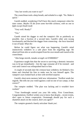"Any last words you want to say?"

The councilman took a deep breath, and exhaled in a sigh. "No. Make it quick."

Gareth nodded, wondering if he'll have this much composure when his time comes. *Maybe I'll die from some horrible sickness, with no one to fight except Death itself.*

"Very well. Ready?"

"Yes."

Gareth raised his dagger to end the vampire's life as painlessly as possible. Just a fraction of a second later, Gareth's other arm swung involuntarily and blocked the dagger from connecting - the force knocked it out of hand. *What the-*

Before he could figure out what was happening, Gareth's mind instinctively withdrew to a safe place from the engulfing rage. He observed from afar as words erupted from his own mouth and roared at the councilman:

"Abn brego mrreih, inmahr avvegrh vol ENRRREI!"

Experience taught him that the secret to surviving a demonic intrusion was to let go immediately - lest the rage consume all if he resisted - and wait until control was relinquished back to him.

A couple of seconds later the crimson haze withdrew; he blinked a few times and clenched his fists to make sure he was himself again. The vampire's eyes looked back at him with terrified surprise.

Gareth's short-term memory held new information: "EnrRrei sends her regards. She tells me you voted against a raid on one of our camps, is that correct?"

The vampire nodded. "The plan was lacking and it wouldn't have worked."

"Your forethought earned you your life today, First Councilman. Congratulations. EnrRrei wishes you to know that despite... recent events, she's open to future cooperation. Orummagh should pay for such a shameful attack on the council, don't you agree?"

The vampire grunted a barely articulate 'thank you'.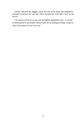Gareth collected the dagger which fell out of his hand and sheathed it. *Enough excitement for one day; these unexpected visits take a toll on my nerves.*

"As much as I'd love to stay and strengthen diplomatic ties... it would be detrimental to my health. Please hold off on yelling for help; I hope to enjoy the scenery on my way out."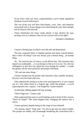*If you know what you want, congratulations, you've made significant headway toward achieving it.*

*The rest of the way will have time-frames, costs, risks, and obstacles associated with it. If you change your mind along the way, that's alright, just be honest with yourself.*

*Vision illuminates the many roads ahead; it may shorten the way, perhaps even to a distance that can be crossed with trivial effort.*

- Dreamer's Handbook

Connor's fleeting lips on Elise's own felt soft and determined.

The kiss surprised Elise; it implied passion she hasn't noticed before. *Was it there all along? Lust was always just a human thing... an animal thing.*

*No...* He cared for her, of course, as she did for him. The closeness they shared was undeniable. *...it is as foreign to him as it is to me.* Yet, the true willingness to feel that way about her even though he couldn't - it made the gesture all the more powerful and deeply cherished.

"Oh, and one more thing..."

Connor reached into his pocket and removed a thin, metallic necklace. He put it over her head with care.

Elise adjusted the necklace on her neck and inspected it. It was created out of a rare white metal in a bygone age, while the pendant - a circle superimposed over a square - was forged by Connor himself.

Scarlet kept rubbing against her leg, purring.

"Don't forget me," Connor said.

Elise suppressed her tears to avoid looking weak in front of the caravan. "Don't be stupid." She mock-slapped him, changing the motion into a caress.

Connor grinned, despite being on the verge of tears himself.

"I'm serious, okay?" Elise said. "Try not to get into too much trouble. The people are rattled, and Orummagh murdering the councilmen left a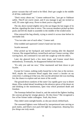power vacuum that will need to be filled. Don't get caught in the middle of all that, understood?"

"Don't worry about me," Connor embraced her, "just get to Oakheart safely. They'll see you're smart, and if you manage to get me invited as well, I'll come right away. Prove to them you're a big deal!"

The sky above turned slightly red as the sun began the last stages of its decline, signaling the time to move. The caravan members picked up their packs and left the shade to assemble in the middle of the eroded street.

Elise enjoyed the hug silently, trying to stretch it across time before its inevitable end.

"You two take care of each other," Connor said.

Elise nodded and squeezed Connor's hand one last time.

Scarlet meowed.

Elise picked up her backpack and started running after the departed Caravan. She stopped halfway, turned back and saw Connor waving. After waving back, she continued to run until she caught up with the others.

Later she glanced back a few more times, and Connor stood there motionlessly. Eventually, he disappeared behind the horizon.

"It's only you and me now," Elise murmured and bent down to pet Scarlet.

Except for Connor, nothing really bound her to her clan or the enclave. *Well, maybe the consistent blood supply that wasn't a burden on my conscience.* Looking at it that way, this was the adventure she was reaching for; the chance to explore and see more of the world.

The ground-down outskirts of the outer City rapidly gave way to desert dunes. Elise rushed ahead, breathing in the abrasive spices of the desert air and drinking in the monotonous, open vista which promised death and freedom.

The footsteps behind her closed in, and she noticed the fighters leading the caravan giving her strange glances. *Do they know?* She recognized a few of her former raider colleagues. *Yeah, they know.*

They didn't seem outright hostile, so she just slowly drifted back.

The seasoned fighters were followed by inexperienced ones serving as pack mules, and Elise's own pack felt light by comparison. *Amazing how few things one truly needs.*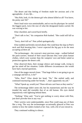The desert and that feeling of freedom made her anxious and a bit agoraphobic. *A new life...*

"Hey Rob, look, it's the demon girl who almost killed us all! You know, the pretty one! Hi!"

Pete's loud voice was unmistakable, and so was his physique: he carried the biggest pack, twice the size of what the designated mules carried. He was waving to her.

Elise chuckled, and waved back briefly.

"Don't talk to her," his companion Rob hushed. "She could still kill us all."

"Sorry, don't kill us!" Pete yelled apologetically.

Elise nodded and briskly moved ahead. She could hear the slap on Pete's neck and Rob berating him. *I never expected the big guy to be the most accepting of them all.*

The technomages - the caravan's most precious cargo - walked behind the pack-carriers. Instead of their usual labcoats they wore plain human clothes, which were warmer than the vampires' own and better suited as protection against the desert cold.

Elise observed them, their strange silence and strange walk, trying to get her mind off her situation. Under different circumstances she would have had a myriad questions.

One of the mages moved closer. "That huge fellow is not going to go on a rampage and kill us, is he?"

"Who, Pete?" Elise shook her head, "No." She smiled sadly and continued murmuring under her breath, "...that's apparently my job."

"What? Speak up, would you? These old ears can't hear as they used to."

The technomage didn't seem old, but his mannerisms and the way he treaded the sand did resemble that of an old human. His eyes darted inquisitively with lightning behind them.

"Nothing," Elise said. "You've got nothing to worry about with Pete, just don't provoke him in any way."

Their worries were understandable, since Pete could snap any of them like a twig. The way the technomages occasionally glanced at Pete was similar to how the raiders looked at her: fear, with a bit of awe mixed in.

They continued walking in silence.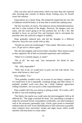Elise was alive and of sound mind, which was more than she expected after downing that canister of demon blood. Feeling sorry for herself wasn't the solution.

*Expectations are a funny thing.* She tentatively hoped that her new life at Oakheart would be better, or at least that it would start making sense.

The fear was there, of course. The unknown always demanded attention, and fear is what warned of the danger. However, the dangers were too many, and she wasn't going to let fear paralyze her. *If I die, I die.* She decided to focus on survival first and foremost, and to reevaluate her priorities after she achieved a degree of stability.

Hope gradually replaced pity, and led her thoughts in a different direction. Soon her eyes awoke with an idea.

"Would you teach me technomagic?" Elise asked. *Who knows when, if ever, I'll get such a chance again.*

The old man laughed, and several others chuckled. Their tension eased as they regained a bit of their accustomed superiority and confidence.

"What? Is it a foolish request, or what?"

"Not at all," the man said, "just unexpected. I'm afraid it's also impossible."

"Oh... Why impossible?"

"Well, first of all, we would have to pack you full with Serum. You know what Serum is, don't you?"

Elise nodded, "Yes."

"That probably wouldn't work, on account of you being a vampire, so we would have to do it repeatedly, tweaking dosage and other factors. It probably wouldn't work even then, but I think Oakheart appreciates willing volunteers. Are you up for a little experimentation?"

Elise couldn't tell if he was serious or joking or both. "If it works, will I be able to cast tech-enabling magic?"

"Not likely, but maybe you could sense the electromagnetic field as all afflicted do." The mage scratched his head. "For smoothing it enough to make the increased Serum consumption worthwhile, you need training as well as the necessary personality type. Unruly types prone to emotional outbursts don't do well. Even if hybridization or full conversion is possible, most vampires have narcissistic streaks and anger issues which would interfere with that desire to create order."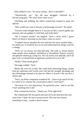Elise mulled it over. "So you're saying... that it is possible?"

"Theoretically, yes." The old man shrugged, followed by a disconcerting grin. "We won't know until we try."

Chuckling and nodding, the others around him seemed to share his opinion.

"Why would you want to become a technomage anyway?" He asked.

"I haven't really thought about it, it was just an idea. I used to gather any manuals and cute gadgets I could find, and study them."

"Oh, a vampire scholar!" He laughed. "Such a rarity! Well, I guess there's no harm in showing you the basics when we arrive."

"I couldn't always decipher the texts and the tech never worked either... So, thank you. It would be nice to see and understand how things work for a change."

"Well, we can always use educated help. The truth is, Serum doesn't make people more studious, methodical or disciplined. Natural curiosity and genuine interest go a long way. We can assess your aptitude, and if all goes well, we should find an apprentice position for you to fill."

"Really? That sounds great!"

The mage nodded. "Sure."

*Maybe life won't be so bad.* She could learn interesting things, maybe even go exploring with Scarlet since she had the strength advantage and the technomages seemed to be shut-ins. *Where is Scarlet? She was here a minute ago.*

"Sorry, my feline companion wandered off... I have to go search for her. Is it okay if we continue the conversation when I come back?"

"Of course, it's a nice distraction," he spread his arms, "and it's not like I have anything else to do!"

Elise scanned the horizon. "Thank you. I'll be right back."

She walked past the rear guard and took off in the direction they just came from. *I hope she hasn't strayed much. She must have found something to hunt... maybe a desert mouse.*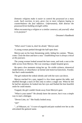*Demonic religions make it easier to control the possessed on a mass scale. Such exertion, in turn, gives rise to more religions hoping to counterbalance the foul influence. Unfortunately, both distract the possessed from building strength within.*

*When encountering a religion or a similar construct, ask yourself: what is its purpose?*

- Dreamer's Handbook

"Who's next? Come in, don't be afraid," Merryn said.

A young woman peeked through the half-open door.

Merryn put on his least threatening smile, hiding his canines. "Please, come. Close the door and have a seat." *Establishing trust is always critical at this juncture.*

The young woman looked around the bare room, and took a seat at the table across from Merryn. She was wearing a simple hospital gown.

He spent a few moments sizing her up. *No visible sickness, demonical malformation, or disturbance of mental and motorical functions. Fearful, but that's understandable.*

The girl endured the ordeal silently and with her eyes cast down.

Merryn reached for a pen, tapped it a few times against the table, and shuffled through a stack of files only to select a single one. When he felt he had her attention, he looked into her eyes and flashed the best heartfelt smile he could muster.

Trapped, the girl couldn't break away from Merryn's gaze.

"What is your name?" He already knew the answer, but it was a simple way to start a dialogue.

"Devon Lints, sir." She finally looked away.

"Of?"

"...of Shkazzrt, sir." A wave of anguish and pain washed over her as she articulated the guttural name.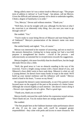Being called a mere 'sir' was a minor insult to Merryn's ego. "The proper term of address is 'advisor' or 'Lord Vaugr' - but please, call me Merryn. Given the difficult and intimate journey we're about to undertake together, I think a degree of familiarity is in order."

"Yes, Merryn," Devon said without emotion. "Thank you."

"Well then, let me be straight with you: although I'm the best at what I do, exorcism is an inherently risky thing. Are you sure you want to go through with it?"

She nodded. "Yes."

"You're ready to cease being Devon of Shkazzrt and start being Devon of Oakheart?" Merryn's pronunciation of the demon's name was more nuanced.

She smiled faintly and sighed. "Yes, of course."

Merryn was interested in her manner of answering, and not so much in the answers themselves. Getting her to keep saying 'yes' had a two-fold purpose: it strengthened her resolve - *crucial to the process* - and subconsciously accustomed her to receptiveness towards his suggestions.

Merryn laughed, a bit more forcefully than he should have, but the laugh did make Devon relax a little.

"Well, the good news is I see no obstacle standing in the way of the exorcism. You're a bright young woman with a future ahead of you, and Shkazzrt's claws didn't seem to have sunk deep. Shkazzrt is what we call a 'young demon'; he doesn't leave many hooks or traps in the mind. We'll build up your mental resilience and his influence will vanish." Merryn raised a hand to his heart, "I swear on my blood."

He repeated the demon's name intentionally, to see if his patient's mind focused more on the anguish of the past or the promise of a better future. Although she winced slightly at each mention - *she doesn't notice doing it* - Devon's eyes regained a bit of a glow. *That's a good sign.*

"Thank you, thank you so much!"

Merryn briefly mirrored the smile before his expression turned serious. "Don't thank me yet. You do realize there are strings attached?"

She nodded.

"The fine people here at the Oakheart Institute value performance above all else. If you do your tasks well, you'll be assigned greater responsibilities - they come with perks and access to more resources. We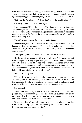have a mutually beneficial arrangement even though I'm an outsider, and I trust they take care of their own even better." *I single-handedly opened up a new pool of potential employees for them! Damned sure it's lucrative.*

"Is it true they're all zombies? They didn't look like zombies to me."

*Curiosity? Good. She's starting to open up.*

Merryn nodded. "Most of them, yes. They keep it in check with proper Serum dosages. You'd do well to avoid the term 'zombie' though, it's kind of a taboo here. Unless you're referring to the mindless horde guarding the outer perimeter of the facility, the preferred term is 'afflicted' - but it's best not to bring it up at all."

The girl was processing the information in silence.

"Don't worry, you'll fit in. Before we proceed, let me tell you what will happen during the procedure." He paused to make sure he had her attention. "First, the techs will pump you full of drugs. This will happen in several stages."

The hopeful glint in her eye vanished, but she remained alert.

He dismissed her concern with a wave of hand. "The drugs are not overly dangerous as long as you keep your body free of them afterwards. My job comes next: I'll wipe the demonic influence away with brainwashing techniques, and with a process similar to assisted hypnosis, I'll strengthen your ego to resist further incursion. Do you understand? I'll help mold your mind to resist the influence."

Her nod was very curt.

"There will be no surgically invasive procedures; nothing so barbaric. I'm telling you all this because your conscious mind and I have to be on the same side. You have to trust me." He reached out to clutch her hand over the table. "You know we vampires are ego-maniacs, right?"

She smirked.

"Well, our strong egos make us naturally resistant to demonic possession. The demons might seduce or corrupt us, but they can't easily possess us. I will help your ego become strong as ours are - part by part and layer by layer. I'm really good at what I do."

Devon stared at Merryn with wide eyes, and he gently squeezed her hand before letting go. "Tell me about your symptoms. What does Shkazzrt's grip on your mind feel like?"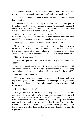She gulped. "There... there's always a throbbing pain in my head, like thorns stuck in a wound. Strange, but I don't feel it that much now."

"The lab is shielded from known irritants and reactants." He encouraged her to continue.

"...and sometimes I feel it looking at me, and I see horrible images - I try to look away but can't, not from all of it, and I'm scared... Sometimes I get angry for no reason, and do things I don't even remember. I just want it to stop!.. so I never have to feel this way again."

"Believe it or not, this is good news. The process will be straightforward, since your mind knows what belongs there and what doesn't. There's just one more important decision you have to make..."

Merryn paused to make sure he had Devon's full attention.

"I expect the exorcism to be successful, however, there's always a chance of relapse. We haven't quite pinpointed what causes it, but it seems like a nasty variant of capture-bonding: a subconscious need develops which invites the same or another demon back in, bypassing the defenses."

"How much of a chance?"

"About thirty percent, give or take, depending if you count the milder cases."

Merryn continued before the look of terror and hopelessness could solidify on Devon's face. "Still, there's a drug we could use called 'Serum'; you might remember me mentioning it before. Are you familiar with it?"

"I've heard of it. Expensive."

"The Serum causes a temporary increase in intelligence, and even hyper-intelligence in large enough doses. During the procedure you would be given such a large dose, effectively immunizing you against any kind of possession."

Devon bit her lip. "...But?"

"But, you will have to remain in the employ of the Oakheart Institute until your debt is paid off - we're talking years, at least. Also, you will remain addicted to Serum or its unrefined counterpart, leaving you... well... permanently 'afflicted'. A small, daily dose will keep you functional and mostly symptomless. It's a tough decision, I know. Would you like some time to think about it? Of course, you don't have to go through with the exorcism at all, but those touched by Shkazzrt don't have a long life expectancy."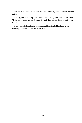Devon remained silent for several minutes, and Merryn waited patiently.

Finally, she looked up. "No, I don't need time," she said with resolve. "Let's do it, give me the Serum! I want this jackass forever out of my mind."

Merryn smiled contently and nodded. He extended his hand as he stood up, "Please, follow me this way."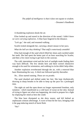*The pitfall of intelligence is that it does not equate to wisdom.* - Dreamer's Handbook

A thundering explosion shook the air.

Elise looked up and stared in the direction of the sound. *I didn't know we were carrying explosives.* A blue haze lingered in the distance.

"Let's go," she said, and resumed walking.

Scarlet trotted alongside her, carrying a desert mouse in her jaws.

*What the hell are they thinking? That stuff is notoriously unstable!*

Elise had enough of the sand which filled her shoes and crackled under her teeth. She had spent the better part of an hour searching for Scarlet, and then a few more trying to get back to the caravan.

The cold, intermittent wind and the lack of sunlight made finding their way back difficult. The few shrubs here and there weren't distinctive enough to be used for orientation, and walking in circles didn't help either.

Another explosion reverberated through the air, with a renewed blue haze illuminating the way. A third one followed quickly thereafter.

*No...* Elise started running. *Those are no pranks.*

The sand shushed and shifted under her feet. She kept rhythmically drawing in sharp breaths to be able to keep up the pace for a prolonged time.

The night air and the open desert no longer represented freedom, only isolation - which manifested as a cold layer of sweat on her skin. Instead of trying to figure out what was happening, she tried to prepare for a fight by emptying her mind as best she could.

The blue haze dissipated as she drew nearer, and left behind an unpleasant crimson afterimage. A wave of heat hit her face, bringing with it the gag-inducing stench of burnt flesh.

"No!"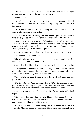Elise stopped at edge of a crater-like demarcation where the upper layer of sand was blasted away. She dropped her pack.

"No no no no!"

It wasn't only an afterimage; everything was painted red. A thin film of blood covered the sand and fused with it, still glowing from the heat in a few spots.

Elise stumbled ahead, in shock, looking for survivors and sources of danger. She expected to find neither.

*I've seen this before...* Although she attached no significance to it at the time, the sight was similar to the entry area of the ruined Midflower.

The source of the explosions was definitely demonic; it had that smell. The tiny particles permeating her nasal membrane and settling on her exposed skin had the same effect on her as that canister of demon blood, although with only a token amount of power.

She saw no survivors - or body parts bigger than a leg, for that matter.

*They're dead. They are all dead.*

Elise's legs began to wobble and her steps grew less coordinated. She laughed out, and then fell to her knees.

Scarlet licked her blood-dewed hand and pressed her head into her palm.

*So many dead.* The vampires didn't like her, but they didn't deserve to die. And the technomages; they survived that unholy assault, only to be finished off like this. *They weren't bad people.*

The carefully salvaged treasures were destroyed. *All gone, and my future with it.*

*Why do bad things keep happening to me?!* Despite emotions of selfpity, a quick follow-up thought pointed out that she was alive and unharmed - while the others were finely spread across the sand.

Scarlet kept meowing and she petted her. Her fur was moist with blood vapor.

Elise lamented the dead, but it surprised her that Pete's death hit her the hardest. He was a brute, sure, but he wasn't conceited like other vampires and he genuinely liked her in his own way.

*His existence must have been lonely too.* Elise knew for a fact that would-be Mothers frequently approached him, since Pete's sexual drive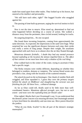made him stand apart from other males. They looked up to his brawn, but sneered at his intellect and personality.

"We still have each other, right?" She hugged Scarlet who snuggled against her.

The passing of time built up pressure, urging the survival instinct to kick in.

*Now is not the time to mourn.* Elise stood up, determined to find out what happened before deciding on a course of action. She walked a distance away from the perimeter, then circled around, looking for tracks.

## *No outgoing footprints... No one escaped.*

She found three incoming footprints, coming from approximately the same direction. As expected, the impressions in the sand were huge. What surprised her was the significant distance between each step; their stride was really a series of long jumps. Despite their weight, the assailants approached with such force as to almost slice the air they floated through.

*Monstrous demonic fireballs... I doubt they had any mental presence beyond exploding at the location the demon impelled them to. The effect of that canister on me must have been only a shadow of the real thing.*

Elise walked back to the center of the crater, trying to ascertain if they had a specific target.

The fleshy remains were visibly different, depending on whether they belonged to zombies, demons or vampires. The various blood scents also provided a clue, along with the location of the scattered remains.

*The attack focused on the technomages.* One chunk of zombie flesh still wriggled, and Elise squashed it. *I guess they were the primary targets behind the attack on Midflower and slaughtering the caravan was just finishing the job. All these lives... collateral damage.*

As far as Elise could tell, thralls used to be little more than wellcoordinated fanatics. *Mutations affected strength, sure, but not to such extent - and none were the exploding kind, for blood's sake!*

Elise sighed. *Maybe that's just Orummagh's way.* It was understood that the demons' prime concern was ensuring devotion, but Orummagh seemed to have bred them for alterability and one-time use. *More potent blood for the junkies.*

"What do you think, Scarlet? Is this all part of the demon's strategic masterplan?"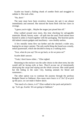Scarlet too found a flailing chunk of zombie flesh and struggled to subdue it. She took a bite.

"No, don't-"

The taste must have been revulsive, because she spit it out almost immediately and sneezed. She minced the burnt flesh with her claws in revenge.

"I guess you're right... Maybe the mages just pissed him off."

Elise walked around once more, this time checking for salvageable materials. Blood, Serum, water - all spilt into the sand. Food rations have burned to ashes or fused together with the packaging. The heaviest packs did indeed contain gadgets and machinery - now doubly useless.

A few metallic items flew out farther and she checked a wider area, hoping for an intact canister. The only useful thing she found was a sturdy, metal quarterstaff, which she decided to keep as a walking stick.

"Scar, what do you say? Do we go back, or do we press on?"

Scarlet didn't answer.

"Yeah, I don't know either..." Elise sighed.

Returning to the enclave was the safer choice in the short term, but she would still be facing exile at best. *They'd accuse me of intentionally destroying the cargo and wiping out the whole caravan.* She could spend her life hiding in the outer City, hunting animals for blood and sustenance...

The other option was to continue the journey through the perilous Redgale Desert to Oakheart. *How many more hours is it? Six? If we pick up the pace, we can make it before dawn.*

"Not much of a choice, is it?" Elise walked to her pack and picked it up. "Let's go, Scarlet. We are going to Oakheart."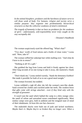*In the animal biosphere, predators and the harshness of nature serve to cull those weak of body. For humans, religion and society serve a similar purpose: they organize into predominantly hierarchical structures so that the collective weakness of mind is minimized.*

*The tragedy of humanity is that we have no predators for the weakness of spirit - unfortunately, self-responsibility never truly caught on the way sociopathy did.*

- Dreamer's Handbook

The woman suspiciously eyed the offered bag. "What's that?"

"Two days' worth of food rations and a bottle of clean water," Leona said. "Here, take it!"

The woman ruffled her unkempt hair while mulling over. "And what do I have to do in return?"

"Nothing at all! It's a gift."

She grabbed the bag from Leona and held it firmly against her chest. After long seconds of no one trying to take it away, she muttered a 'thank you'.

"Don't thank me," Leona smiled warmly, "thank the demoness EnrRrei! She made it possible for both of us to eat a good meal tonight."

The woman frowned, but nodded.

Leona withheld a sigh till after she left the woman's nest-like abode. Sand covered her clothes and crackled under her teeth. *The weakest know that gifts come with strings attached... even if they bind only with the strength of gossamer.*

It wasn't just the sand which bathed the camp in a dirty orange color; the smell of refuse and unwashed sweat contributed significantly. Most similar camps were grey, both in ambient and the resigned state of mind of their inhabitants. *At least this one has character.*

The makeshift shacks were built out of junk and lacked sturdiness. *Maybe that's it. Maybe they're so broken they no longer care. When a*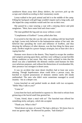*sandstorm blasts away their flimsy shelters, the survivors pick up the scraps and rebuild according to their momentary needs.*

Leona walked to her pack animal and led it to the middle of the camp. Filling her backpack with gift bags wouldn't require such a long walk, and she hoped the camp residents would seek her out on their own.

She passed by a man wearing a coat with a missing sleeve and pink sunglasses. "Here, have some food and clean water."

The man grabbed the bag and ran away without a word.

"Compliments of EnrRrei!" Leona yelled after him.

It occurred to her that she was the only one walking with her head held up high. Leona truly believed in the humanitarian nature of her task: she believed that spreading the word and influence of EnrRrei, and thus denying the influence of other demons, was the best thing for these poor souls. *EnrRrei might be a power-hungry strategist, but at least she's not a raging butcher.*

Humans were drawn to the deserts. They hoped to escape the zombies and vampires preying upon them, and they were willing to accept horrible living conditions as last resort. But, they rarely realized in time that the desert was also a battlefield: the demonic entities used humans for their own nefarious purposes, and without the distractions of overabundant life, their presence was strongest in desert areas.

It was no accident that most desert dwellers had at least one screw missing. Though hopelessness alone could drive a person crazy, the botched or expired possessions of demonic entities rarely left minds undisturbed. The ones who didn't resist sometimes managed to avoid insanity - but at a deeper cost.

Leona knocked on and peeked inside an abode with two occupants. "Hello! May I talk to you?"

"Come in!"

Leona bent her back and kneeled to squeeze in. She tried to refrain from grimacing at the horrid smell that greeted her.

"Come, friend, share a meal with us!" The hunched man offered her something sticky and grey, which she accepted.

"Thank you. What is this?"

"Dried desert rat meat, of course! The leg's a delicacy. We know how to treat our guests right," he elbowed his partner, "huh Emelyn?"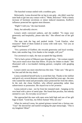The hunched woman smiled with a toothless grin.

Reluctantly, Leona downed the rat leg in one gulp - she didn't want her taste buds to get into any contact with it. "Mmh, delicious!" With a timely increase of hormone secretions or minor induced mutations, EnrRrei's influence protected her against most diseases.

"Right? I told you," the man beamed.

*Nutty, but adorably sincere.*

Leona's smirk conveyed sadness, and she nodded. "To repay your generosity and hospitality, please take this." She offered one of her gift bags.

The man took the bag and peeked inside. "Look Emelyn, what treasures!" Both of them looked at Leona with wide eyes. "Are you an angel from heaven?"

"I'm a priestess of EnrRrei; she rewards generosity and loyal worship. Here, take another bag. Give thanks to her tonight, will you?"

Too awestruck to reply, the man accepted the bag silently.

"We've had a priest of Shkazzrt pass through here..." the woman rasped, "but you're much nicer than that fellow. I'll pray he chokes to death." She illustrated with a two-handed choking gesture, complete with gurgling sounds.

Leona's smirk was more mischievous this time. "Take care." She got to her feet and left the tiny shack.

Leona considered herself lucky to avoid their fate. Thanks to her skillset and quick wit, several demonic entities approached her years ago - the ones who wanted her mind and personality intact protected her from the others. In the end, she chose EnrRrei, who offered partnership rather than subservience or possession. *She stayed true to her promise.*

Leona noticed a man - not far from her mutated mule - banging on his own head with a piece of metal pipe. She found that peculiar, but nobody seemed to care. *An everyday occurrence?*

She approached the man with open arms held high and one of her gift bags in hand. "Good day, my fellow human! Why are you-"

When he noticed Leona, his pained grimace turned into a furious one. "You!" He shoved her and started swinging the pipe menacingly. "This is my kingdom! Mine!"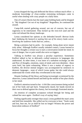Leona dropped the bag and deflected the blows without much effort - a moderate knowledge of close-combat restraining techniques came in useful when dealing with crazy people on a daily basis.

One of Leona's blocks hurt the man's pipe-holding hand, and he dropped it. "My kingdom! Get out of my kingdom!" Regardless, he continued the assault.

Camp-folk started gathering around, not out of concern, but out of eagerness to be entertained. They kicked up the iron-rich sand and the color red infused the dreary landscape.

Leona considered her options as she defended herself: *Retreat looks bad. Subduing the bastard or putting him out of his misery looks worse. Involving the audience looks bad too, unless...*

Being a priestess had its perks - for example, being alone never meant truly alone. Although EnrRrei usually initiated contact, Leona learned to focus her thoughts a certain way to start a conversation inside her mind. In case of danger, fear or pain would also serve as triggers.

Talking to EnrRrei was always a peculiar experience. Sometimes EnrRrei talked to her in delicately crafted sentences in languages she understood. At other times, it was more of a turbulent exchange; an ebb and flow of thoughts, emotions, states of mind, and even identities - these were brief, but quite exhausting. When it was a matter of urgency to EnrRrei, the diverse mental imagery was accompanied by sentences in demonic languages - none of which Leona spoke, but she could always understand the words while they reverberated in her mind.

Despite fending off the blows and being increasingly scrutinized by the observers, Leona calmed herself and held up the outline of her plan clearly in her mind.

EnrRrei's attention turned to her - it felt like consciousness being sucked out of her body and spit back. Temporarily dazed, her hands moved on their own to defend against the clumsy, but increasingly frustrated attacks.

An emotion of complete acceptance echoed through her being and calmed her once again - EnrRrei's way of saying 'okay'.

Feeling significantly stronger than usual, Leona grabbed the man's arms and held him immobile. She yelled out for everyone to hear: "Souls weak and lost, hear me, for ye shall be lost no longer! Witness the power and benevolent embrace of EnrRrei!"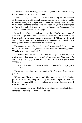The man squealed and struggled to no avail, but like a switch turned off, the willingness to resist left him abruptly.

Leona had a vague idea how this worked: after cutting the Gordian knot of dead-end patterns of the mind, EnrRrei pushed out the leftover jumble of demonic energies and replaced it with her own. Being merely touched by a demon wasn't the same as being possessed by it, since a large degree of free will remained. *Probably that pest Shkazzrt or Orummagh. Not Rremine though, she doesn't do sloppy.*

Leona let go of the man and started chanting. "EnrRrei's the greatest! EnrRrei's the greatest!" She vehemently waved her arms around as she tried to motivate the camp dwellers to chant as well. At first, only the most feeble of mind joined in. It slowly gathered momentum and grew louder merely by its nature as a chant and not its meaning.

The man's eyes popped open. "I can see," he murmured. "I mean, I can think! I'm 'me' again!" He grinned wide and lifted his arms to hug Leona. "You have my eternal gratitude!"

She smiled back and accepted the hug. *Much good it will do you,* a cynical side of her remarked. *Just wait till the endorphin high wears off, you're in for a mighty headache.* She felt EnrRrei's energies slowly withdraw.

In her mind, a leftover thought stood out prominently: *"Keep up the good work."*

The crowd cheered and kept on chanting. *You had your show; time to pay up.*

"Please, may I have your attention!" The clamor subsided. "Let's give praise to EnrRrei by joining in worship and praying together - may she bless this community! I'll be happy to hand out whatever food and water I have left afterward."

Leona inhaled - the wind whistled a broken tune - and she shouted out at the top of her lungs: "EnrRrei's the greatest!"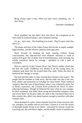*Being always right is easy. When you don't know something, say: "I don't know."*

- Dreamer's Handbook

Nerat stumbled, but that didn't slow him down. He scampered on all fours until he restored balance, and continued running.

*Go, go... don't stop...* His breathing was erratic. *They'll regret what they did to us...*

The plants and trees of the Ashen Forest thrived due to ample sunlight, high humidity, and the leftover radiation from ages past.

Nerat focused on keeping his body running without losing consciousness. His subconscious used whatever emotions it could to achieve that goal: fear of death, fear of motionlessness, and a burning, but wholly unrealistic desire for revenge - sprinkled in with a dash of excitement.

Born in captivity to the Crimson River clan, Nerat's mother raised him the best she could. Childhood was denied to all the young ones; the vampires kept them fed, but treated them like cattle. When she died, he mustered the courage to escape.

She had told him tales of clans treating their humans with respect. The people had the freedom to walk away, and the trade was also a fair one: food, shelter and protection in exchange for clean blood. These mythical vampires liked the taste of blood better when it was voluntarily given, but in Nerat's experience, the Crimson River preferred the flavor of stressinducing hormones. Though he believed the tales when he was younger, he often wondered: why didn't these strong and honorable vampires come and rescue them? As he grew older, he came to the conclusion that even if they existed, they didn't care about humans enough to interfere with other vampire clans.

Nerat dreamed of a place where humans lived free from everyone else, yet, strangely, his mother told no such tales. Closest to it were the stories of deranged people living in the desert - unwanted by anyone except the scorching sun, the cold desert nights, and the deadly caress of sandstorms.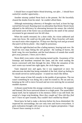*I should have escaped before blood-draining, not after... I should have waited for another opportunity...*

Another misstep yanked Nerat back to the present. *No!* He forcefully cleared the doubts from his mind - he couldn't afford them.

Although maintaining coherency of thoughts was hard, at least his legs carried him forward. Running more on adrenaline than blood, Nerat's brain adjusted to the deficiency by alternating between the senses: the colorful and humid scent of the forest was accentuated by the smell of the animal excrement he got smeared over his left shoe.

When the smells retreated, for a short while, his vision unblurred and came into focus. He could see the path ahead: *Those branches will make too much noise when stepped on. I'll hop over that big rock and go around that patch of thorny plants - they might be poisonous.*

When his sight blacked out like a fading memory, hearing took over. He heard his own steps hitting the soft ground - the rustling of leaves, the birds' song, his own heartbeat, and the loud absence of sounds that would give away pursuers. *I know you're there.*

Nerat didn't even notice when hearing turned tactile. Awareness of his footsteps and heartbeat remained the same, and the wind rustling the leaves conversed with him through his skin. When the sensation of the sun's warm rays turned into sight again, the circle began anew.

Taste imposed now and again, but it was suppressed at once: his subconscious decided that being reminded of the foul, dried up feeling in his mouth served no useful purpose - it tasted too much like defeat.

Nerat's sense of time fell casualty to the jumble of perceptions. The run wasn't something he was doing, but a state he existed in. He ran and ran, keeping up the will to move forward and not even noticing the occasional stumble anymore.

A distant sound broke this strange continuity of awareness. He stopped, and listened. His focus narrowed almost to a single point. The sound didn't repeat itself, but he replayed it in his memory while it was still fresh: the sound of a large twig breaking. *Have they caught up? How did they find me?! I have no open wounds; they couldn't have smelled my blood!*

Nerat knew he had to make a decision before his focus diminished. He inspected his surroundings, but saw only trees and leaves everywhere. A grim realization brought cold sweat on top of regular perspiration: *I hope I haven't been running in circles!*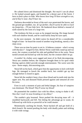He calmed down and dismissed the thought. *Not much I can do about it.* He looked around again, and headed for a denser part of the forest. *I have to find a place to hide. Who knows how long I'll have strength to run, and if they're near, they'll hear me.*

Darkness descended as fewer of the sun's rays penetrated the leaves, and the ground got muddier, too. *If I go farther, they'll surely be able to track my footprints... I'll just hide here.* He hunkered down behind a mound of earth raised by the roots of a large tree.

The tiredness hit him as soon as he stopped moving. His lungs burned with each shallow breath, and he could barely keep his eyes open.

In the next moment - he didn't notice he dozed off for a considerable length of time - he heard the sound of another twig breaking, merely a few steps away.

There was no time for panic to set in. A hideous creature - *what's wrong with that face?* - lunged for him. Before Nerat could fully stand up and run away, the creature scratched his side and grabbed him at the waist. Nerat turned around and kicked up with his knee, but the creature didn't let go.

*A zombie!* Its clothes were ragged and most of its flesh decomposing. Nerat saw zombies before; the vampires brought them in for sport when fleeing captives didn't provide enough entertainment. The worst were the eyes - those empty, disconcerting eyes.

Nerat fell on his back, which gave him the opportunity to kick with both legs. He managed to knock the zombie back, but couldn't get up fast enough before it closed in again.

Nerat felt the zombie's bony claws draw blood and its teeth sink into his upper arm. Pus and diseased fluids pressed against and smeared all over his torso.

Even in such a moment of pain and lethal danger, his fear of vampires was dominant: *The blood! They'll sense my blood!*

He pummeled the zombie's face with his elbow, trying to shake it off. *Was that 'crack' its nose breaking or my elbow?*

The zombie's grip lessened. Nerat pushed the decaying mass off - it stumbled backwards and fell. Not letting the advantage go to waste, he followed up with kicks as powerful as he could muster.

Momentarily catching his breath, Nerat backed off and got hold of a thick branch. He started pestling the body with deadly pokes and striking it with wide swings.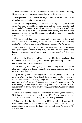When the zombie's skull was smashed to pieces and its brain to pulp, Nerat let go of the branch and slumped down beside the corpse.

He expected to faint from exhaustion, but minutes passed... and instead of feeling worse, he started feeling better.

Nerat's breathing steadied; shallow breaths were just as good as deep ones. That hazy, dreamlike feeling... gone. All his senses were alert and functional - he felt not only rested, but better and sharper than ever before in his life. The taste of freedom brought exhilaration, sure, but it went deeper than a mere feeling. His wounds already clotted and he felt no pain from them whatsoever.

With newfound sharpness, his mind pointed out matter-of-factly and without mercy: *I'm becoming a zombie and my brain is cannibalizing itself. If I don't find brains to eat, I'll become mindless like this corpse.*

Nerat was running out of time in more ways than one. The vampires were presumably on his trail, and though he had a lot more time before becoming completely mindless, his sharpness was bound to fade sooner than that.

Getting used to his current self would take a while, but the decision what to do next was easier - the cognitive second sight opened up possibilities and brought clarity of consequence.

*I'll stand my ground and fight. If I succeed, I'll be free of the Crimson River and feast on their brains.* The notion no longer disgusted him. *If not, at least I die a free man.*

A plan slowly formed in Nerat's mind. *I'll need a weapon. Tools. I'll set up traps if there's time.* Even though he knew nothing about traps, the interconnected working of many things became clear to him. *False tracks and trails of blood. Maybe I'll find more zombies to distract them with. I'll split them apart and surprise them one by one - I doubt they're used to resistance from fleeing captives. Arrogant, egoistic bunch... they won't see me coming.*

Nerat walked to the corpse and looked for a protruding bone fragment. He jerked it free, and with it, started slicing off the flesh to get to the femur. It wasn't too difficult; the decaying flesh was softly obedient.

When he retrieved the bone, he checked if it was brittle - it was not. He carefully cracked the bone on a nearby stone, and then snapped it in half, resulting in a clean break with sharp edges on both ends. "Excellent! My first weapons!"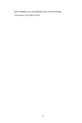Self-confidence was an unfamiliar, but welcome feeling.

*I'm at peace. Let's get to work.*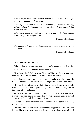*Cultivated for religious and societal control, 'sin' and 'evil' are concepts important to understand and dismiss:*

*The 'original sin' refers to the birth of human self-awareness. Similarly, all other sins refer to acts of carving out pieces of God and claiming exclusivity over them.*

*A human perspective on a divine process, 'evil' is when God sins against itself through the act of creation.* 

- Dreamer's Handbook

*For mages, only one concept comes close to making sense as a sin: 'boredom'.*

- Dreamer's Handbook

"It's a butterfly! Scarlet, look!"

Elise held up her seared hand and the butterfly landed on her fingertip.

Scarlet bristled up. She eyed it suspiciously.

"It's a butterfly..." Talking was difficult for Elise; her throat would have been dry, if not for the blood lubricating it from the inside.

*It's a hallucination. I am delirious.* It didn't make sense for a butterfly to be in the middle of the desert, with no vegetation or other life in sight.

Her previous estimation of their time of arrival has been grossly exceeded. The sun sailed high in the sky, raining down its deadly rays in full force. The world spun.

Gone was the mild, prickly sensation which made Elise feel alive. Layers of her skin peeled off faster than it could regenerate, and in several spots exposed the underlying muscle tissue.

The pack she carried lay discarded somewhere in the desert. Her shoes, too, were lost.

Her feet were a bloody mess, contained by ragged socks she dared not look at. The heat from the quarterstaff was barely insulated by the piece of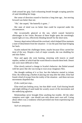cloth around her grip. Each exhausting breath brought scraping particles of sand shredding her lungs.

Her sense of direction ceased to function a long time ago... but moving forward was better than not.

"Oh," she rasped, "the butterfly is gone..."

Her state of mind was no better than could be expected under the circumstances.

She occasionally glanced at the sun, which caused burned-in afterimages in her vision. Because of these bright spots she unwittingly stared right at it too, effectively blinding herself for the short term.

Sensory deprivation followed the overload, which helped Elise maintain a state of detachment from her situation - it was the pain that kept bringing her back.

Scarlet endured the challenges better, maybe because Elise carried her most of the way. Despite a lack of major wounds, she was shedding fur and skin flakes.

Now and again she went hunting, returning with insects or small reptiles, neither of which had the warm blood to nourish them both. Desert rats were more difficult to find.

Elise slowly noticed a change in Scarlet's behavior: she flailed around with her paws like she was trying to swat away imaginary flies.

She thought nothing of it at first, but this behavior started to irritate Elise. By embracing a rhythm of placing one step after the other, Elise had found a kind of escape from the reality of the situation - and these nervous movements dispelled that.

*If she could just stop...*

Elise tried just looking away, but that didn't work. Each hissing breath and slight shifting of sand made her acutely aware of the movements and the underlying agitation.

Relationships never brought Elise anything but trouble. All the other vampires were right - one should care only about one's own self. Caring about others was a weakness which prevented one from experiencing true freedom.

*Such an annoyance.*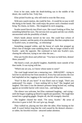Even in her state, under the death-birthing sun in the middle of the desert, she could be free. Truly free.

Elise picked Scarlet up, who still tried to swat the flies away.

With just a quick motion, she could be free... It would be so easy to kill this being in her hands. She could enjoy the power such a freedom would bring. No chains, no limits... She imagined its neck snapping...

Scarlet stared fiercely into Elise's eyes. She wasn't looking at Elise, but something behind her eyes. The nervous tick was gone and she was wholly unconcerned with the possibility of death.

Elise's hands almost moved on her own. She could hear echoes of laughter, torment, and the purity of no attachments. But that complete trust in Scarlet's eyes, so unnerving... so infuriating!

Something snapped within, and the house of cards that propped up Elise's line of thought came tumbling down. She no longer wished to kill Scarlet - quite the opposite. She continued to look into Scarlet's eyes, chasing the reflection, trying to see what she saw...

Elise put Scarlet down and yelled out: "You have no hold here, demon! Show yourself!"

She heard a cruel, yet playful laughter, thankfully more outside of her than inside. It was toying with her.

"Which one are you, so I know whose name to curse!"

The cruel laugh turned into a menacing roar - SHKAZZRT - trying to lock her in and devour her from outside-in. Every fear and anxiety she ever had imploded on her, tugging at the touch-points of her consciousness.

"Fear? Is that all you have!" It was Elise's turn to laugh. "Don't you understand? I'm empty - I have nothing left to fear!" She laughed and laughed. This time it was the demon's presence being locked out, wailing against an invisible barrier with voices lost... and fading fast.

The silence was welcome, but Elise continued laughing - and crying until she began coughing up blood in significant quantities. The laugh then turned into a gurgling giggle. Despite all, she felt strangely cheerful.

The laughter cleared her mind. "I'm sorry, Scarlet." *My sense of direction is gone to hell. We can't give up, though.*

They walked on, placing one foot after the other, Elise leaning on her staff. It wasn't before long that the void caused by the demon's absence or rather, his forceful eviction - attracted undue attention.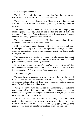Scarlet stopped and hissed.

This time, Elise noticed the presence intruding from the direction she was made aware of before. "We have company again."

The changes which started occurring in Elise's body were innocuous at first: a twitch here, a flutter there. Nothing her body wouldn't produce on its own.

The flutters could have been just her imagination, but cramping and muscle spasms followed. Elise missed a step and almost fell. The intermittent bright pain of pinched nerves, clearly distinguishable from the constant dull ones, lightninged from the inside.

This demon needed no introduction. Her body was familiar with the influence and responsive to the demon's will.

Still, that canister of blood - in another life - made it easier to anticipate the changes and put up a resistance. The rage without reason, the mindless desire for destruction... Elise had no remaining energy the demon could turn against her.

The experience was similar as before, but she sensed the living consciousness behind it this time. Nerves and muscles coordinated, and parts of her body tried to move against her will.

Unlike Shkazzrt, Orummagh made no effort to communicate with her or influence her psyche; the rage he conveyed was a side-effect of the interaction. *My body is a resource... But it's mine and not his.*

Elise fell to the ground.

The mind-invasion apparently worked both ways. She saw glimpses of the demonic consciousness: the way it worked and existed, its equivalent of emotions and that other, rage-filed plane of existence - but she cared for none of it and wished it would go away.

Vying for control was not enough for Orummagh; the mutations commenced. Elise's flesh puffed up in places, drawing energy from beyond, cracking bones and bringing more irrelevant pain, only to simmer down and start anew a moment later.

Elise tried to prevent the expansion of her flesh by curling into a fetal position. She contracted her muscles to keep her original form. Her shoulder, her thigh, her bloodied foot - she kept gripping and applying pressure to the problem areas to prevent them from ballooning up.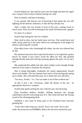Scarlet helped too: she sunk her jaws into her thigh and later her upper arm, trying to lock it down without tearing out a bite.

Elise screamed, and kept screaming...

It was normal. She had no way of knowing if that meant she was still fighting off the demon's influence, or that she has already lost.

After a while, she saw Scarlet in front of her eyes, coming closer to touch noses. Elise was still screaming in her mind, but heard only a gurgle.

*It's done? Is it done?*

Scarlet kept licking her face for comfort.

Elise tried to relax, but her body knew not how. She rocked back and forth, lying curled up in the sand, which was roasting her to the degree of almost cauterizing her wounds.

Elise didn't know why Orummagh left either, but she was relieved that he did.

*His attention may have been required elsewhere or he might have gotten bored. Or maybe it just wasn't worth the effort for him.* She grinned through bloody teeth and with lips pressing against the sand. *I'm no one's tool.*

She suspected that unlike last time, there simply wasn't enough foreign material in her body to facilitate the mutation.

Due to being thoroughly weakened, her innate regeneration slowed down even further. The sun claimed more layers of her peeling skin going up in smoke. She welcomed the pain, for it meant she was still alive.

"I'm sorry, Scarlet... Go. You can make it out of here without me."

*So this is how I die.* Victorious, under the flames of the sun - an appropriate death for a vampire.

Scarlet kept gently petting her face with her paw and meowing.

Elise breathed shallow breaths, drifting between the strange wakefulness and the welcoming lack of it. She could still hear the fizzing sound of her disintegrating flesh.

Suddenly a new kind of sharp pain in her forehead burst forward, greeting her:

*"I have been observing you, mortal. You're not weak. You're now under the protection of ENRRREI; follow the direction marked by your*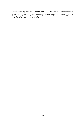*instinct and my devoted will meet you. I will prevent your consciousness from passing out, but you'll have to find the strength to survive. If you're worthy of my attention, you will."*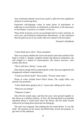*Your emotional attitude toward your goals is often the most significant obstacle to achieving them.*

*Emotional self-sabotage comes in many forms of attachment: to suffering, to unworthiness, to entitlement, to delusions, to the status quo, to stereotypes, to poverty, to comfort, to loss etc.*

*These kinds of inertia can be excruciatingly hard to notice and beat. In each case, you'll find fears behind these attachments - or the realization that the goal you set is not really what you wanted in the first place.*

- Dreamer's Handbook

"I don't think she is alive," Nerat remarked.

Elise was unsure whether the voices she heard came from outside of her head or inside it. Despite complete mental and physical exhaustion, she still clinged to a thread of consciousness. Her senses, however, were mostly shut down.

"She is still alive. Barely," Leona said.

Elise had no energy left for analyzing the words, they just registered and disappeared without comprehension.

"Could you lift her head?" Nerat asked. "I'll pour some water."

Drops of water trickled down Elise's throat. The cough reflex was present, but powerless.

"I don't think that's going to do it," Leona said, rolling up her sleeve.

"What are you doing?"

"Whatever it takes."

Elise felt her mouth open, and then her jaws were pressed together to bite down on a familiar softness. At first, the flowing blood was greedily absorbed before it could travel down her throat, and her body reacted reflexively by biting down hard and not letting go.

The taste was exquisite, like nothing she has tasted before. It was life itself. All reactions of her newly electrified body served one purpose: to get more of this ambrosia.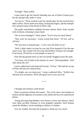"Enough!" Nerat yelled.

Leona tried to get her heavily bleeding arm out of Elise's locked jaws, but the attempt only made it worse.

"Let me try." Nerat worked to pry her mouth open, but the exerted force didn't suffice. Elise's teeth were sharp, nicking his fingers, and the multiple tries smeared some of his blood on Elise's lips.

The godly nourishment suddenly became tainted. Elise's body reacted with revulsion, releasing Leona's hand.

"Do we have bandages?" Nerat asked. "You've lost too much blood."

"That won't be necessary," Leona waved him down. "I'll live, and so will she."

"We also have to drag the girl... I can't carry the both of you."

"Well, I didn't make it in time for you, but I'll be damned if I let this one waste away. My wound will clot soon and EnrRrei will give me strength. If necessary, I'll ask her to send people to meet us."

Elise felt the ground move as she was briefly dragged across the sand.

"You have a lot of faith in this demon of yours," Nerat grumbled. "And what about the cat?"

Leona walked back and inspected Scarlet. "It lives." She laid her on top of Elise and into her charred arms.

"It's alright, you can sleep now," Leona comforted Elise. "EnrRrei has released your awareness. We'll take good care of you, just rest."

\* \* \*

# *I thought only humans could dream.*

Elise's awareness drifted and soared... The vivid colors, the freedom of motion and the lightness of existence were unlike she has ever experienced before.

Young and expecting Mothers were known to have rare dreams, which were often ascribed visionary or even prophetic qualities. Such dreams raised the Mothers' social standing as arbiters of wisdom.

*Give me wisdom, but keep the pregnancy, thank you very much.*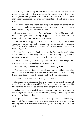For Elise, falling asleep usually involved the gradual dissipation of mental focus, until she finally transitioned to a dreamless oblivion. Her mind played out possible past and future scenarios which grew increasingly unrealistic - however, they never took off with a life of their own.

The short, deep and dreamless sleep was generally sufficient to rejuvenate her body, but she never realized it was possible to achieve such extraordinary clarity and freshness of mind.

*Despite everything, humans dare to dream.* As far as Elise could tell, dreams brought them fleeting happiness, but at the cost of disproportionately more suffering. *How odd...*

The concept of happiness wasn't easy to relate to, because most vampires could only be fulfilled with power - in any and all of its forms. Yet, Elise was beginning to understand why many humans paid such a high cost gladly.

In a roundabout way, she finally acquired the freedom she was looking for. It didn't come from being free from life-threatening dangers or the pressures of society; it came from being free from herself.

This freedom brought a precious present in form of a new perspective: she was out of her body, outside of her usual self.

# *When misused, hardened egos and bodies can be a prison.*

Yet, forgetting and wiping the slate clean of pressure didn't weaken her - on the contrary, it strengthened her. The patterns defining her and holding her in place dissolved into the background which was also herself.

# *I can recreate herself. I can forge my own destiny!*

No longer content to simply drift away from the unwanted, she moved in a direction which resembled her fire burning within, steadily transforming the past and solidifying it into the purity of a backbone.

As her awareness expanded, she encountered more pain, which in turn led to anger and encroaching helplessness, setting a boundary on her movement in that direction.

She glimpsed flames which were not readily her own. *Demons rage against all the wrongness grating at their awareness - and they end up creating more of it.* There was a self-fueling, cannibalizing structure to all of it.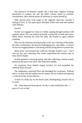The presence of demonic entities left a bad taste; negative feelings threatened to swallow her and she didn't venture closer to examine. Nevertheless, they offered points of reference to orient herself by.

Elise moved away from anger to the opposite direction, towards a feeling of love. A vast open space unfolded, filled with sand and marked with obelisks.

# *Scarlet!*

Scarlet was engaged in a hunt or a battle, ripping through enemies with superior speed. She was motion incarnate, a projectile of teeth and claws. When blows diverted her from her path, she homed in again without stopping.

Elise felt the emotions driving Scarlet as her own: the heat of the battle, the sheer exhilaration, the hunt of challenging prey, and oddly, a concern for her two-legged partner's well-being and the strong desire to protect her.

When Elise concentrated she could see through Scarlet's eyes - but it was too fast and confusing. She could comprehend the motion only in time-sliced chunks.

Scarlet attacked a towering enemy, and after inflicting a mortal wound, picked up the pace even more. Her heart beat rapidly.

An explosion from behind singed Scarlet's fur and propelled her airborne body forward-

The suddenness surprised Elise and dislodged her awareness. Without mercy, to deal with the sudden loss of context, the act evoked and imposed a scene from her recent memory:

A husk of a body lay on the desert sand, disintegrating, Scarlet still in its arms.

*Oh...* Elise observed from above. *So this is what death feels like... I guess it's not so bad.*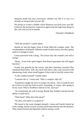*Integrate death into your awareness; whether you like it or not, it is already an integral part of your life.*

*Not doing so creates a bubble which distances you from your own life. It distorts the perspective required to appreciate the important things in life, and robs you of its beauty.*

- Dreamer's Handbook

"Will she awaken?" Gareth asked.

Humid air and the happy chirp of birds filled the wooden cabin. The overabundance of demonic influence made Scarlet uneasy, but she's gotten used to it enough to relax.

Leona answered with a shrug. "No reason why she wouldn't; her will is strong."

"Hmm... Even if her spirit lingers, that doesn't guarantee she will regain function."

Scarlet was grateful for the rescue, and their intentions towards Elise remained benevolent. Still, she rarely left Elise's side, and conveyed with threatening clarity what would happen if they tried to forcibly remove her.

"Is she combat-trained?" Gareth asked.

"I assume she is," Leona said. "She's a vampire, after all."

"Experience taught me never to expect too much... but it would be nice not to have to train her from scratch. Assuming, of course, she's going to be my ward. What is EnrRrei's interest in her, anyway?"

"As I mentioned, her will is strong. Beside that, EnrRrei said she has the ability to push back."

"'Push back?' What does that mean?"

"No idea, your guess is as good as-"

The mood in the room changed abruptly. Leona and Gareth looked up to the ceiling, and for several seconds stared motionlessly into the distance. They turned around and departed without saying a word.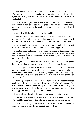Their sudden change in behavior placed Scarlet in a state of high alert. That highly suspicious and precise synchronization sent a chill along her spine, and she pondered from what depth this feeling of disturbance originated.

Scarlet circled in place as she deliberated her next move. On one hand, she wanted to stay by Elise's side to protect her, but on the other hand, unknown dangers had to be explored before they could be defended against.

Scarlet licked Elise's face and exited the cabin.

Vegetation thrived under the limited space and abundant resources of the oasis. The weighty air and that damned sunshine were small discomforts, but Scarlet continued running toward the dry air of the desert.

Slowly, jungle-like vegetation gave way to an agriculturally relevant biosphere. Swarms of humans worked diligently to support it.

Farm buildings multiplied over the timid landscape, with rammed earth and cob replacing wood as main construction materials. Leona and Gareth were faster and more endurant than Scarlet expected, but she did her best not to lose sight of them.

The ground under Scarlet's feet dried up and hardened. The gentle breeze turned into a gust toying with increasing amounts of sand.

People prayed and lived in the desert, in tents and makeshift shacks with no real protection against sandstorms - but closer to EnrRrei. Religious cohesion and a sense of aliveness thoroughly permeated their community. They moved with purpose and conviction, blending in a kind of majesty with the squalor.

An arrangement of obelisks adorned and pierced the desert as far as eyes could see, with the sole purpose of anchoring EnrRrei's influence. The oasis life in the center of her territory was a drain on EnrRrei's energy, but she got back way more from the human worship it supported - this vortex of energy constituted the spine of her presence.

Scarlet felt this flow, but she also sensed a disruptive turbulence.

More and more people gathered to march forward in the same direction. They held farming tools: pitchforks, scythes, axes, mauls, and knives.

Scarlet was closing the distance, but Leona and Gareth continued to dash forward, joined by the trickling stream of others.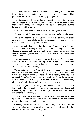She finally saw what the fuss was about: humanoid figures kept rushing in from the opposite direction. Farmers caught without weapons couldn't put up much resistance, and were promptly slaughtered.

With the source of the danger known, Scarlet considered turning back and standing guard at Elise's side. She concluded it would be better to stem the tide here - if they broke through all the way to the oasis, she wouldn't be able to help Elise anyway.

Scarlet kept observing and analyzing the incoming battlefront:

She saw Leona fighting with unyielding conviction and a metallic baton.

With twin blades in his hand, Gareth whirled like a dervish. No longer an assassin, he became a holy warrior meting out desert justice upon those who would desecrate the spirit of the place.

Scarlet recognized the smell of the larger foes: Orummagh's thralls were few but powerful, leaping through the air with hulking jumps. They charged at groups and swung around wildly - mostly at air, since the assailed scattered quickly. The few who failed to avoid the smashes died quick deaths.

The movements of Shkazzrt's regular-sized thralls were fast and erratic. EnrRrei's folk had difficulty adjusting to the savage and unpredictable strikes, and had success against them only in groups - which, in turn, attracted the attention of the big ones.

The advantage of EnrRrei's devoted lay in their superior numbers and eerily supernatural coordination. Though their harmonized dance was beyond that of pack animals, perhaps even hive insects, alone they were no match for either the power of Orummagh's thralls or the instinctive furor of Shkazzrt's. Still, they had no choice but to fight defensively, aiming to minimize losses until the attackers' number dwindled.

Scarlet has grown significantly in size since her first encounter with Elise, and so has her confidence in confronting increasingly larger and dangerous prey. At first, the enemy didn't perceive her as a threat, which she turned to her advantage.

Scarlet avoided the first strike of a thrall in her way, and then the followup as well. His movements were chaotic, but thanks to her exceptional reflexes she rended the thrall in response.

Changing course mid-air was not an option, which made Scarlet vulnerable when jumping to attack. She mitigated that risk by positioning herself carefully and feinting as required.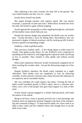After inflicting a few more wounds, the husk fell to the ground. The eyes looked human, but they were so... empty.

Scarlet threw herself into battle:

She ripped through enemies with superior speed. She was motion incarnate, a projectile of teeth and claws. When blows diverted her from her path, she homed in again without stopping.

Scarlet ignored the strong deja vu effect rippling through her, and shook off the double vision which followed, too.

Despite the obvious danger they presented, the thralls were not worthy prey - Scarlet did them a favor by killing them. Nevertheless, they too possessed a degree of shared awareness, and by racking up kills Scarlet's presence gained corresponding weight.

Suddenly, a hulk exploded nearby.

That atrocious, familiar smell... A few things began to make sense for Scarlet. That gather-scatter dance, for one. EnrRrei's tactic comprised of spreading out her followers, and triggering the explosion while sacrificing as few as possible. They seemed to obey gladly and without second thought.

When more explosions followed, Scarlet involuntarily imagined one of them reaching the wooden cabin... but put the distracting image out of her mind.

Despite EnrRrei's intention, the thralls rarely exploded on a single individual. Their deaths were not completely in vain; by observing carefully, Scarlet noticed a red haze and a delay between the induction of an explosion and its inevitable finality.

She was confident she could outpace that delay. Turning the tide of battle would contribute greatly to Elise's safety, and as a welcome sideeffect, save a few of the people who gave them support in a time of dire need.

Scarlet neared a group engaged in a similar dancing attack, and timed the pattern of the smash.

Being on all fours, closer to ground, proved to be a vital advantage: she flanked, and at an opportune moment, hopped to the back of the monster's leg and continued scaling it. To keep herself stable, her claws sunk in as deep as they could, and she withdrew them with enough force to rip the flesh in her wake.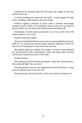Undeterred by mistimed slaps from the giant, she sought out the eyes and tore them out.

A weird, shrieking roar came from the thrall... Scarlet jumped off right away, avoiding a lethal smash in the nick of time.

EnrRrei's fighters continued to attack while it became increasingly enraged. Scarlet waited a few heartbeats, and just when she was about to go for another run, she noticed the thrall stand momentarily still.

Immediately, Scarlet turned around and ran as fast as she could. The others started to run as well...

Scarlet's heart beat rapidly.

Pressure from behind lifted her up into the air and propelled her forward. With her fur sizzling and internal organs possibly rupturing, Scarlet felt like she was flying apart in more directions than one.

She landed rough and tumbled even longer. A cloud of sand followed her and refused to settle, impairing her vision. Her body ached, and that awful smell violated every pore in her body...

Scarlet sneezed.

She stretched to see if her body still obeyed - it did. She could still move. She could still fight. She was alive!

The pain pushed worry out and magnified the thrill of the hunt - a steep price for getting closer to her true self.

Despite the pain, she ran forward... there were enemies to dispose of.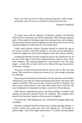*Those who don't get into the habit of dying frequently, wither inside and death comes all at once to finally free them from their fear.*

- Dreamer's Handbook

On wings laced with the shimmer of demonic energies, the butterfly flittered not-so-innocently toward the rabid priest. With a strong, unnatural push, it flew inside the frothing mouth and continued down the windpipe. The possessed human started coughing, but the obstruction in his airway remained lodged, as if held there by an invisible hand.

Unlike other demonic entities, Rremine learned to control the rage in her eons of existence. She didn't forsake it, of course, but she preferred to express her aggression with refined elegance rather than clumsy brutality.

Guiding the butterfly from the overgrown park in the abandoned city all the way to the edge of the desert required patience that not many of her kind exhibited. She enjoyed gliding her consciousness over the urban jungle - so much life, so much strife, yet so little of the rage characteristic of demonic existence.

The priest croaked and punched himself several times in the chest and throat. This earned him a miniscule amount of air, just enough to prolong his suffering.

Possessing small animals was Rremine's favorite pastime; several others could possess rats and cats without frying their puny brains, but none could control a butterfly. This was not only a source of pride for Rremine, but also a source of great power: since she could achieve more with less, she wasn't dependent on humanoid worship to assert her will and domain.

Elder demons respected her power, but those looking to expand at her expense occasionally mistook finesse for weakness. The youngest often pissed in her backyard, ignorant of her presence altogether.

The priest fell. With bulging eyes, he continued the struggle against the inevitable.

Rremine considered herself a teacher and a scholar amongst demons. A teacher, because the young ones who went against her - knowingly or unknowingly - had to be taught harsh lessons. A scholar, because gently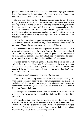poking around humanoid minds helped her appreciate languages and cold logic. *One thought after the other - the linearity is so limiting, yet so carefree.* She considered curse words delicious.

No one knew for sure how demonic entities came to be - humans thought they came from some other world. Rremine's theory was that the sleeping spirits of nature, which kept laws of physics in check, got rudely jolted into awakening by the suffering from numerous apocalypses. She suspected human emotion - especially billions crying against their fate molded them into these raging, seemingly otherworldly entities. However, she was careful about voicing such opinions, even among her more thoughtful brethren.

At last, the priest's heart stopped beating and Rremine released her grip. *That dimwit Shkazzrt... reinforcing for physical strength without setting up any kind of internal resilience makes it so easy to kill them.*

She condensed her awareness to inspect the present locality: it was a makeshift camp at the edge of a desert. Some of the inhabitants gathered around the corpse and poked it a few times. A quick, non-intrusive touch upon their minds confirmed that they all suffered severe mental illnesses most caused by Shkazzrt's directionless and botched possessions.

Though conscious worship granted demons the cleanest and least volatile form of energy (that's why Rremine cooperated with only a select few), subconscious worship through fear and terror provided lots of brute energy. It fueled rage and made a demon feel powerful - but didn't have much controlled use.

# *This should teach him not to bring such filth near me.*

The deceased priest barely deserved the title. 'Hatemonger' or 'instigator' would have been more accurate, since he wasn't preaching the tenets of a well-designed demonic religion, just sprouting whatever hateful nonsense came to him. Maintaining that elevated level of fear and hate kept Shkazzrt in the forefront of their minds.

A strange kind of silence settled upon the camp. With the loudest of them gone, the ragtag survivors struggled to find something else to fill the void with.

For people as thoroughly broken as them, the one thing worse than starvation or the assault of the elements was to be left alone inside their own minds, with no distractions to ward off the abyssal anxiety tearing at their souls. A few rocked back and forth hugging their knees, others mumbled or yelled to break the horrifying silence.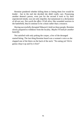Rremine pondered whether killing them or letting them live would be kinder - but in the end she decided she didn't really care. Possessing another demon's pawns, even just for the second it took to fry their unprotected minds, was not only impolite, but tantamount to a declaration of all-out war. *Not worth the effort.* If left alive, like wounded warriors in the battlefield, they'd continue to be a drain rather than a resource.

Having successfully disrupted Shkazzrt's hold on these people, Rremine slowly prepared to withdraw from the locality. *Maybe I'll look for another butterfly.*

Not satisfied with only poking the corpse, a few of the deranged started biting. The last thing Rremine heard was a woman's voice as she slapped one of the biters on the back of the neck: "No eating yet! We're gonna chop it up and fry it first!"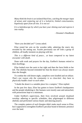*Many think the brain is an isolated black box, catching the meager input of senses and conjuring out of it a locked-in, limited consciousness, hopelessly apart from all else. It is not so!*

*It is a kaleidoscope by which you bare your shining soul and express it into reality.* 

- Dreamer's Handbook

"Have you decided yet?" Leona asked.

Elise rested her arm on the wooden table, admiring the starry sky revealed by the setting sun. Scarlet previously ran off with a group of children, all loudly insistent on playing with her.

*This is a different kind of peace... at least compared to my latest encounter with death.*

Done with work and prayers for the day, EnrRrei's humans retired to their dwellings.

Elise looked over the oasis to her right and then the farm fields to her left. The obelisks beyond reminded her that the desert was always nearer than she thought.

To combat the cold desert night, campfires were kindled and set ablaze. *That's one reason why the community is so close-knit: they have to physically huddle closer to each other.* 

"I doubt the desert is a suitable place for a vampire," Elise replied.

In the past few days, Elise has gotten to know EnrRrei's headquarters and the people inhabiting it. Her humans were mostly sane and untouched, with possessions kept to a minimum.

Under EnrRrei's supervision, their lives revolved around ritualized worship: adhering to specific schedules, they pilgrimaged to different obelisks and performed various litanic and dancing prayers.

The complex pattern of such liturgies didn't make much sense to Elise, but it appeared to strengthen EnrRrei's peculiar brand of demonic presence over the land.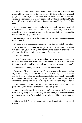The trustworthy few - like Leona - had increased privileges and responsibilities, and served in accordance with their skills and personal judgement. These special few were able to sense the flow of demonic energy and contribute to it as they deemed fit. *EnrRrei trusts them.* Due to their willingness to yield without resistance, they could also channel that energy.

Such utter and complete trust - unheard of in vampire society - was hard to comprehend. Elise couldn't eliminate the possibility that maybe something sinister was going on under the surface, but their relationship seemed like a truly symbiotic one.

# *At least compared to parasitic entities who prefer to micromanage using direct control.*

Possession was a much more complex topic than she initially thought.

"EnrRrei finds you interesting, did you know?" Leona mused. "She said you don't wall yourself off against her influence, but push back instead." She looked at Elise questioningly, waiting for a response.

Elise just blinked.

"So it doesn't make sense to you either... EnrRrei is rarely curious; it must be important. She even wants to introduce you to a friend of hers! She said it was like as if you were already possessed by another demon."

Bugs buzzed around, and Elise swatted the loudest one.

"Anyway..." Leona let out a sigh. "Those who can resist possession but ally willingly are great assets, no matter what path they choose. You are our guest, for as long as you need to recuperate fully. That said, you should think about your future - this may be the most important decision you'll ever make. Serving EnrRrei is a fulfilling life, and we really do good here."

Elise listened, because having more information opened up more possibilities, and she also didn't want to be disrespectful.

"Despite the obvious drawback, you can live a simple life here if you wish. Evangelizing in the desert may not be for you, but you are welcome to join me regardless. I'm proud of the work I do, and I think you could be too."

Elise chuckled. "Thanks, I appreciate it, but I'm definitely not a fan of the sun."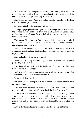"I understand... Are you perhaps interested in bringing EnrRrei's word to vampire communities? It won't be easy, but since they're susceptible to demon blood, they might be willing to worship."

Elise shook her head. "Junkies' worship must be worth less to EnrRrei than that of deranged humans."

Leona shrugged, following it up with a nod.

"Vampire physique bestows significant advantages in the martial arts: the obvious choice would be to train you as a fighter under Gareth. Your nimbleness and preference for the dark also make you a candidate for being an assassin."

That piqued Elise's interest. Gareth mastered his art, and getting trained by him seemed like a valuable proposition. *Still, all the strings attached... maybe under a different arrangement.*

"We also have an unceasing need for information. Because of the Reach Initiative's troublemaking, EnrRrei closely monitors the various vampire organizations."

Elise didn't like where this was going.

"Now, I'm not saying you should spy on your own clan... Although the possibility exists if you-"

Elise laughed out loud. "That bridge burned down and its ashes have been scattered in the wind!"

Well, I wouldn't mind if some misfortune befell the Crimson River... but *I don't want to be anywhere near that bunch.*

Leona smiled awkwardly.

"Of course, EnrRrei is open to many forms of cooperation. Do you have any suggestions?"

Elise scratched her head. "I don't know... I will think about it. I wish there was a less binding way of paying back the debt I owe you."

"You mean for rescuing you? You owe us no debt. Well," Leona smirked, "we do usually expect a good-faith return... However, your companion's valor in battle has saved numerous lives. Consider the debt paid in full, and as I said before, enjoy our hospitality for as long as you need."

A butterfly flittered around and settled on the far edge of the table.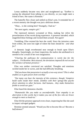Leona suddenly became very alert and straightened up. "EnrRrei is saying she abstained from talking to you directly, so you might meet a friend of hers. Her name is Rremine."

The butterfly flew closer and settled on Elise's arm. It reminded her of a recent memory she thought was just a delirious dream.

"Okay... is she coming here? Strangely, I had an-"

*"We meet again, vampire girl."*

The repressed memory screamed at Elise, making her relive the powerlessness of her recent dying experience. A presence intruded, which magnified these feelings and twisted them around. *Not again!*

Trembling, Elise resisted the best she could. Since the intrusion came from within, she soon lost sight of where the lines should be - *and what for?*

A demonic laugh reverberated near enough to brush upon Elise's thoughts. Surprisingly, on closer inspection, the malice she attributed to it seemed to be a result of her own imagination.

*"Clearing the pathways for communication is rarely fun for the subject... I'm Rremine. Rest assured, the deviations imposed do not exceed the variance of human presence."*

Elise was neither convinced nor satisfied. Thoughts and emotions swirled inside her in waves, and she had difficulty breathing.

*"Did you know that possession is actually a two-way street? This is what enables us to gain power from worship."*

*"Not many can bear the intensity of this existence, though. Vampires build walls inside their minds. Zombies with their sponge-like psyche divert attention to other horizons. And humans... they make themselves feeble to avoid our gaze."*

Elise heard the demoness chuckle.

*"Humanoids like you make us uncomfortable. Your empathy is an aberration in this world, but it makes you one of the few who are brave enough to meet us head-on."*

Elise felt the presence approach even closer, inspecting her like she used to inspect salvaged gadgets.

Rremine seemed amused. *"Would you like to become like us? Become a half-demon?"*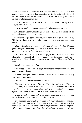Dread seeped in... Elise bent over and held her head. A vision of the demonic realm tormented her, exposing her to the pain and misery of leftover anger. *Is this her sense of humor? Would she actually force such an abominable process on me?*

*"The alteration would be invasive and irreversible, causing you to desync from your body."*

"Just speak out loud," Leona suggested. "That's easiest for newbies."

Even though Leona was sitting right next to Elise, her presence felt so faint and distant... *So inconspicuous.*

"You're making a persuasive argument against your offer," Elise said. "Filling my head with your misery does not help you get your point across."

*"Concessions have to be made for the sake of communication. Magnify your glimpse thousandfold, and you'll have an idea under what circumstances we awoke to self-consciousness."*

Elise was tired of being exposed; physically to violence and the elements, sociopolitically to vampire machinations, and now psychospiritually to demonic entities. *What more could be ripped off of me?*

"I decline your gracious offer."

Elise's face contorted into a laugh as it absentmindedly mimicked the demoness's merriment.

*"I don't blame you. Being a demon is not a pleasant existence. But, if you change your mind..."*

Elise shook her head for emphasis. "No."

*"The world wasn't always like this,"* Rremine pushed on. *"Humans inadvertently succeeded in creating a collective over-consciousness; it was born out of the cumulative suffering of multiple man-made apocalypses, and fractured at birth. At least that's my theory."*

*"It's as difficult for us to look in certain directions as it is for you, and we deal with our existential lack in different ways."*

*"For example, Orummagh is obsessed with incarnation, but he has only volatile patience and no sophistication; the best he can do is blow his thralls up. And that just makes him more frustrated,"* Rremine laughed. *"He's unintentionally pinging the vibrational resonance of the*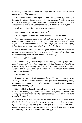*technomages too, and the overlap annoys him to no end. They'd crawl under his skin if he had one."*

Elise's attention was drawn again to the flittering butterfly, watching it through the strange lenses imposed by the demoness's influence. *She touches the butterfly, filling it with light, and when it withers, Rremine's consciousness flitters on. Communicating with her feels like that, too.*

"And you?" Elise asked. "What is your weakness?"

*"Are you seeking an advantage over me?"*

Elise shrugged. "Just curious. Since you're in a talkative mood."

*"Well, old age makes me increasingly self-aware and bored - a nasty combination. I'm unable to achieve my true purpose, whatever that may be, and the limitations of this existence are weighing me down. Unlike you, I don't have a way out through death; there is only oblivion."*

*"Since demons were likely created from human suffering condensed around strong personalities, we are also shortsighted, raging, and ultimately empty like the suffering we were created from."*

"That is... sad," Elise said.

*"It is what it is. Experience taught me that raging mindlessly against the boundaries doesn't help. The greater issue is that the fabric of reality is fragile; forcefully increasing its influenceability could cause it to unravel. Whether that's a good thing or a bad thing, I don't know. Maybe that's what the world needs."*

Elise heard a sigh.

*"It's not just ragers like Orummagh - the zombies might not measure up in raw power, but with that persistent and systematic approach of theirs, they could bring about the end of the world just as easily. Now you know why I keep a small footprint."*

Elise nodded to herself. Control over one's life may have been an illusion, but even trying and failing was better than giving up. *Why should I carry my captivity with me, like most humans do? I will not mourn such a world should it burn.*

*"I hope I have revealed enough to earn your trust. I can't match EnrRrei's offer, but we can find a way to work together. If, in the course of your hopefully long and fruitful life, you find historical scriptures revealing clues to what may have happened, I'd like to learn about them too. Think of it as a scholarly collaboration, if you will."*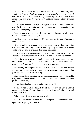*"Beyond that... Your ability to dream may grant you peeks to places*  which I can't access. Such perspectives could be useful to me. In return, I *can serve as a dream guide to my corner of the world, teach you techniques, and provide insight and fortitude against other demonic entities."*

*"A mutually beneficial exchange of information, yes? I don't mind if you take EnrRrei upon her offer as well - or whatever else you decide to do with your smidgen of a life."*

Rremine's presence began to withdraw, but that dreaming-while-awake sensation continued to envelop Elise.

*"I'll leave you to your thoughts. Consider my words, and let me know what you decide later."*

Rremine's offer for scholarly exchange made sense to Elise - assuming she could be trusted. Enjoying EnrRrei's hospitality for a few more weeks could give her time to evaluate their trustworthiness.

*Maybe EnrRrei would consider cooperation on a case-by-case basis, in exchange for martial training. I could be a freelancer or a mercenary...*

She didn't want to say it out loud, but even with chains loose enough to allow free rein, subservience was out of the question. *The constant sun is ticking me off, plus all that sand everywhere is annoying.*

Ultimately, her deepest desire was to live her own life and charge forward on her own path, wherever it may lead. *Alternatives detracting from that are not worth considering.*

Elise realized she was ignoring her surroundings and slowly returned to the present. The conversation exhausted her, and she could feel the blood pulsing in her head.

Leona looked at her questioningly. "Are you well?"

Scarlet rested at Elise's feet. *A desert life wouldn't be fair to Scarlet either...* The fires died down, but the embers still glowed. The breeze had a chilly bite to it.

Elise nodded. *I know what we have to do.*

She lifted Scarlet into her lap, grabbed her paws, and looked into her eyes. "We are going to Oakheart!"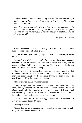*External power is based on the duality of controller and controlled; it casts an outward-facing, net-like structure with weights and levers and stimulus thresholds.*

*Anemic feedback loops, delayed decisions, false assessments of risks and capabilities, etc. do not simply weaken the link between perception and reality - the inherent duality insists that such control is always an illusion of itself.*

- Dreamer's Handbook

Connor wandered the streets helplessly. Society let him down, and the future seemed bleak with Elise gone.

"Three for one... guaranteed quality! You won't find a better price than this."

Despite his past behavior, the offer for the coveted assistant job came through. *It was in another life.* The initial anger dissipated, and he understood Lady Cellie's reasons for driving Elise away, but still... he just couldn't bring himself to accept the job.

Connor roamed with resigned restlessness, forlorn, not knowing what to do with himself. *Not even art makes sense.* The allure of menial work increased each passing day, the repetitive rhythm of which promised to take his mind off the futility of his existence.

"Not interested, thanks," Connor replied.

The junkie problem has gotten worse. Pushers dealt demon blood on every corner, creeping ever inward from the outer districts. As far as Connor could tell, three standard rations for one ration of demon blood was indeed a good price. Not that he would do such a trade - the void he felt within couldn't be filled by such a paltry thing.

*The price went down. Either their supply increased, or they watered it down with regular blood. Or both.*

"Have you tried it? I insist."

Connor looked up to examine the speaker: the expression on his ugly mug matched the unfriendly tone.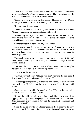Three of his comrades moved closer, while a fourth stood guard farther away. *Deadbeats lured by the promise of power.* They weren't particularly strong, and likely held no distinctive skills either.

Connor tried to walk by, but the speaker blocked his way. Debris littering the rundown street made running away unfeasible.

"Let me pass," Connor said.

The others strolled about, situating themselves in a half-circle around Connor, eliminating any remaining possibility of retreat.

"Buddy, stay put. If you don't intend to purchase our fine merchandise, we'll have to insist on a road toll. These are our streets, y'see?" The thug spread his arms in an encircling gesture.

Connor shrugged. "I don't have any coin on me."

Metal coins could be redeemed for rations of blood stored in the underground blood bank. The humans' semi-voluntary donation ran on a tight schedule, and emergency rations also contained vampire blood to delay expiration.

The thug frowned while sizing Connor up. "Ugh, is this your first time?" He turned to his colleague farther away and yelled out: "Go get the boss! Bring a sample!"

To Connor he said: "You're in luck; the boss likes to give out samples to future repeat customers. You know, a personal touch."

"...That won't be necessary."

The thug frowned again. "Maybe you didn't hear me the first time: I insist. You don't want to insult the boss, do you?"

The boss appeared promptly, a stocky fellow, walking in their direction with wide steps. He held a translucent satchel with a thick crimson liquid inside.

Connor's eyes grew wide. *By blood, it's Bron!* The scarring across his face was prominent and unmistakable.

During the raid on Midflower, Bron and his crew managed to appropriate many of the salvaged goods for themselves. In a short time, their operation evolved from petty theft to smuggling contraband and peddling demon blood.

Since the easiest way to get a bigger piece of the market was to grow the market itself, they aggressively pursued getting people addicted - with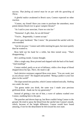success. *That feeling of control must be on par with the quenching of Thirst.*

A gleeful malice awakened in Bron's eyes; Connor expected no other reaction.

"Connor, my friend! Have you come to purchase the smoothest, most potent demon blood ever to grace vampire throats?"

"As I said to your associate, I have no coin for-"

"Nonsense! A gift, then, for an old friend."

"You're... Regrettably, I cannot accept."

Bron's gaze hardened. "But I insist." He presented the satchel with his arm extended.

"Just let me pass," Connor said while meeting his gaze, but more quietly than he wanted to.

Bron held out his hand for a while, but then turned away. "That's disappointing..."

*He's seething inside,* Connor thought.

After a single step, Bron pivoted and slapped with the back of his hand. "And insulting!"

Connor smiled, partly as an act of defiance, while a few drops of blood dripped down his lips. *There, the mask is off.*

Such derisive resistance angered Bron even more. "You are weak, just as you always were!" He slapped and pushed. "Being a junkie is your true place in the world!"

The slaps turned into punches, which Connor endured stoically. *Nothing new under the stars.*

"I'm gonna make you drink, the same way I made your precious girlfriend drink - thank me for my generosity!"

Instead of getting a rise out of him, a wave of sadness washed over Connor, numbing him to the pain.

The punches and shoves kept up, but Bron couldn't bring Connor to the ground. He tried to spray the blood from the satchel into Connor's mouth, which, because of the height difference, Connor would have found amusing, if not for the detachment he felt toward his own state.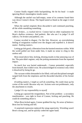Connor finally tripped while backpedaling. He hit his head - it made ignoring Bron's meaningless insults easier.

Although the satchel was half-empty, some of its contents found their way down Connor's throat. The liquid tasted as bland as the anger it tried to fan.

When the satchel emptied, Bron discarded it and continued punching, all the while mumbling something.

*He's broken... a cracked mirror.* Connor had no other explanation for Bron's shallow existence. *And pathetic. But who am I to judge? It still reflects; I'm broken and pathetic, too.*

Connor recoiled in disgust: *I'm like him.* However, an overwhelming feeling of resignation washed over the disgust and expelled it. *It doesn't matter. Nothing matters.*

Letting go felt good; a liberation from the knotted emotions within. With the world pulled out from under him, it made no sense to cling to this useless self.

Bron stood above him, kicking, droning insults in that annoying way of his. The pain didn't register, only the jerking momentum from the repeated impact.

So much fear was buried underneath... Connor pretended, especially from himself, that it didn't exist. He acknowledged its existence only when it dissolved by being let go.

The vacuum within demanded to be filled; cold and disciplined strength surged forth from the emptiness and the discarded shackles of his former self.

*If nothing matters, I might as well do something.* He could clean up his corner of the world. *Because why not.* Actions were not problematic, only the attachment to results.

## *I judge! It's my responsibility to myself.*

Letting go capsized the resignedness. Part of the problem - a secondary manifestation - was right in front of Connor, kicking and punching. He could do something about it.

When Bron kicked again, Connor grabbed his leg. *No sense of balance.* Bron lost his footing and fell.

A surprised expression replaced the smug superiority. Wrestling wasn't Bron's strong suit, and he quickly ceded the upper hand.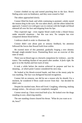Connor climbed on top and started punching him in the face. Bron's flailing arms were no hindrance, and they soon ceased to flail.

The others approached slowly.

Connor lifted his head, and while continuing to pummel, calmly stared the nearest thug in the eyes. He was taken aback, and the others halted the approach. Connor's ice-cold gaze was in contrast with the bright red blood smeared all over his face and dripping from his lips.

They expected rage - even regular blood could evoke a blood frenzy under stressful situations - but this was new. No vampire has ever conquered demon blood before.

*I embrace death in order to illuminate life.*

Connor didn't care about pain or sensory feedback; his attention followed the forces that flowed forth from within.

He exerted more of this potential, gradually forging a new identity through single-minded focus. Pummeling Bron was an exercise of this state of mind.

There was no blood rage or a berserk compulsion for violence... just the trance. The soothing rhythm of one punch after another. *It feels right.* He gave in to the rhythm and lost track of time.

It took a while before the motion achieved its purpose and lost its meaning... at which point Connor considered his next step.

He looked at his blood-covered hands, and then at the meaty pulp he was mashing. The face was disfigured beyond recognition.

Connor felt no remorse, nor did he see a reason why he should. For a moment, he wondered if Bron could recover from that - but decided he didn't care.

Despite his mushed state, Bron still lived. Coughing, wheezing, making strange noises... his airways were completely mangled.

Connor stood up. *I have exorcised both of us.* He looked over the thugs standing in awe, observing meekly.

The one standing closest cleared his throat. "What do you want us to do, boss?"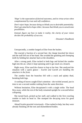*'Hope' is the expectation of desired outcomes, and its virtue arises when complemented by trust and self-confidence.*

*Don't reject hope, because doing so blinds you to desirable potentiality. Don't get attached to hope either, because that blinds you to unwelcome possibilities.*

*Instead, figure out how to make it reality; the clarity of your vision decides the probability of success.*

- Dreamer's Handbook

Unexpectedly, a zombie lunged at Elise from the bushes.

She reacted a fraction of a second late: the charge knocked her down and the staff fell out of her hand. She avoided the gnashing and chomping teeth by holding her attacker back at the shoulders.

After a strong push, Elise tucked in both legs and kicked the zombie high into the air, where it kept spinning until it got stuck on a branch.

Right away, Elise used the chance to hop to her feet. She analyzed the situation with a quick glance - *Scarlet and Gareth are handling the attackers in the front.*

The zombie from the branches fell with a crack and splatty thud, breaking both legs.

A rustling of leaves caught Elise's attention - she twirled around, just in time to see a second zombie rushing from the same direction.

Without hesitation, Elise decapitated it with a single strike. The head flew away, while the rest of the body remained upright for a second before collapsing.

She turned back, picked up her staff, and walked to the first crawling zombie to bash its head in. She stomped the decaying torso for good measure.

Ahead Scarlet growled victoriously - Elise rushed to help, but they were already finishing off the torn and dismembered bodies.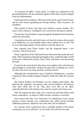"Is everyone all right?" Leona asked. A zombie lay splattered on the ground behind her, but she remained vigilant while slimy remains dripped from her battlehammer.

Gareth grunted in response. The brunt of the attack came from the front, and he went around squashing and slicing remains. "Rest in pieces," he mumbled.

Elise looked at Nerat, who kept cover behind a mossy boulder. *He's aware of his weakness: intelligence isn't worth much during an ambush.*

The journey from EnrRrei's camp through the Reddusk Desert had been otherwise uneventful.

*Considering the piles and thick layers of charred remains that greeted us at Midflower, we can probably expect more zombies here as well.* The air was noticeably humid, at least relative to the dry desert air.

Pain reported from Elise's hands, and she inspected them: *a few scratches. They'll heal soon.*

Dense vegetation of the Oakwood Forest obstructed their path and view alike. Their formation remained unchanged as they waded through: Gareth in the front, followed by Scarlet, Nerat, Elise, and lastly Leona protecting the back.

Except for the recent bunch, they have seen zombies only in the distance and managed to avoid them. *Perhaps the plant life is masking our scent? Or there just aren't too many of them crawling around.*

Although she considered her stay at EnrRrei's headquarters a positive experience, Elise couldn't imagine living her whole life under the constant sun.

She trusted EnrRrei and Rremine, but not without reservations. She believed the symbiotic coexistence truly served EnrRrei's self-interest. *They don't think like we do. They don't exist like we do. More unpredictable than wild animals, they must be treated with utmost care.*

Still, the impression they made was a sound one and Elise didn't mind future cooperation - as long as it didn't involve worship or servitude.

Each person had their own motivation for embarking on the current journey; Leona's mission was a diplomatic one, while Gareth provided additional protection. *Maybe he has some other job at Oakheart.*

As a human, Nerat would have been a valuable member of the desert community, but as an afflicted - he was better off with his own kind.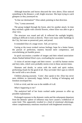Although branches and leaves obscured the view above, Elise noticed something in the distance: a tall, bright structure. She kept trying to catch glimpses as they journeyed on.

"Is that our destination?" Elise asked, pointing in that direction.

"Yes," Leona answered.

The group trudged through the forest, alert for another attack. In time they reached a glade with colorful flowers, where Elise was able to get a clear view.

The structure was round and tall. It reflected the sunlight brightly, making it difficult to look at directly. There were many taller buildings in the City, but none so preserved, pure, and proud.

It reminded Elise of a mage tower. *Tall, yet narrow.*

Gazing at the tower evoked various feelings: hope for a better future, the pursuit of perfection, mastery beyond mere competence, and overwhelming yet humble power.

In quick succession a number of images and their related associationchains flashed behind Elise's eyes, overloading her awareness:

A vision of ancient mages and their towers - as told by human stories and fairy tales, which were probably stories even in those ancient times.

Shamans and druids, in union with the earth and spirit realms, performing rituals for the good of all. *They surrender their egos to rebirth the world with a new dream.*

Children playing joyously. *'Come'*, they speak to her. Elise has never seen children so innocently happy before; a feeling of belonging and freedom enveloped her.

It felt so vivid, and she was in the middle of it all.

*What's happening to me?*

The analytical half of her brain worked under pressure to offer up possible explanations:

Prolonged exposure to the demonic realm and the subsequent departure from the demons' sphere of influence may have caused a withdrawal of some kind. This apparently resulted in a kind of emotional afterimage, where complementary emotions resurfaced with heightened sensitivity.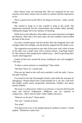Elise almost cried, not knowing why. She was surprised by her own reaction, since these visions were so much in contrast with her experiences so far.

*There is good in the world! There are things to strive for - noble, worthy things.*

She wanted to hang on to this warmth as long as she could. The impression remained, but the connectedness and wonder faded, partially robbing the images left in her memory of meaning.

While lost in self-reflection, Elise didn't even notice that they've bridged the distance. After only a few more steps, the trees withdrew and revealed the base of the tower.

Up close it looked grayer and less perfect than she imagined, but it did strongly reflect the sunlight, and she quickly stepped into the shade it cast.

The vegetation encroached on one side of the tower wall, while in front of the other was a small crater with a curious texture. *A garbage dump? It's like whatever they dumped just walked away... And I'm guessing that's exactly what happened.*

Gareth circled once around the tower, looking for any such stragglers. "All clear."

"Is there a secret entrance or something?" Elise asked.

"Not that I know of," Gareth said.

Elise put her hand on the wall and scratched it with her nails. *Coarse, but quite resilient.*

It occurred to her that Orummagh's thralls could climb the structure by damaging it. Demon blood users could possibly do it, too, but a fall from that height would surely incapacitate unfortunate climbers and attract nearby zombies.

*The tower is a distraction; if there's an entrance, it must be littered with traps and tactical chokepoints. Midflower was too exposed in comparison... There must be other, better hidden entrances.*

"What do we do now?" Nerat asked.

"We wait." Gareth sat down.

"For what?"

"For them to let us in, or for another group of zombies to attack," Gareth replied. "Whichever comes first."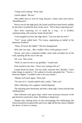"I hope you're joking," Nerat said.

Gareth sighed, "Me too."

They didn't have to wait for long, because a shout came from above: "Heeellllooooo!"

Were it not for the high pitch, the sound would have been barely audible by the time it reached the base of the tower. "We've been expecting you!"

*She's been expecting us? It could be a trap... or is EnrRrei communicating with someone inside the facility?*

A face popped out from the edge above. "Can you hear me now?"

"Yes!" Leona yelled back. "I'm Leona, negotiating on behalf of the demoness EnrRrei!"

"Okay, I'll lower the ladder!" The face disappeared.

*Well, that was easy... But, a ladder? How is that going to work?*

Slowly, and with a continued rumble, stone slabs extruded out of the wall, spiraling all the way to the top.

*Oh, I see. That works.*

"Well, it's time for me to say goodbye," Gareth said.

Elise turned to face him. "Aren't you coming with us?"

Gareth shook his head. "I'm not really welcome here. Besides, I have other things to attend to." He walked to Scarlet and petted her. "You're a ferocious fighter; I wouldn't want to be your enemy."

"Maybe we'll meet again," Elise said.

"I'm sure of it," Gareth replied with a smirk. "Take care."

After collecting a few supplies, Gareth departed.

The spiraling stairs beckoned, and after a deep sigh, Leona took the lead climbing them.

Elise followed with gutsy hops, which were necessary because of the gap between consecutive steps. *Stumbling is dangerous.*

Despite that, looking down on the surroundings felt exhilarating; the forest stretched over green hills and rivers, right till the line where it battled the desert. *A storm is coming.*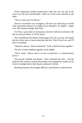Elise's enthusiasm dulled momentarily when she saw the top of the tower was flat and unremarkable, made out of the same material as the sides.

"Nice to meet you! I'm Devon."

Devon's excitement was contagious, like she was bouncing on clouds with a prominent absence of weight on her shoulders. *So chipper... happy even.* She seemed younger than Elise.

For Elise, a great deal of anxiousness mixed in with the excitement. *My life can only get better. It will be better.*

She remembered the elderly technomage from the caravan, and hoped that the others were at least somewhat like him. *They'll teach me, and I'll learn everything!*

"Step here, please," Devon instructed. "Yeah, a little bit closer together."

The five of them huddled together in the middle.

"We're ready," Devon said to no one in particular. *A communication device?*

The ground rumbled and hissed - Elise clenched her fists - and the platform they stood on started descending. Fear gripped her insides as the circle of sunlight above their heads continued to shrink.

Breathing became increasingly difficult, and darkness swallowed her.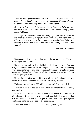*Time is the symmetry-breaking act of the mage's vision. By distinguishing this vision, we introduce the concepts of 'change', 'speed' or 'phase'. The context they manifest in we call 'space'.*

*By now we have enough to observe the Holographic Principle, the corollary of which is that all dimensions curve. Understanding gravity is not that hard:*

*As a response to the continuous exhale of sight, space/time inhales in the direction of time. If you prefer to think in cause-and-effect chains, think of it this way: mass doesn't cause the gravitational field - the curving of space/time causes that which we quantify as 'mass' and 'matter'.*

- Dreamer's Handbook

Emerson rattled the chains binding him to the operating table. "Increase the dosage! More Serum!"

Dyna observed calmly from behind the bulletproof glass. *Too bad surgical research yields no results.* Experiments with Serum overdosing were cheap in terms of time and equipment, but required cripplingly large quantities of the refined substance. *All that Serum down the drain... but at least it's good for morale.*

Unlike the operating room which was fully staffed and equipped, the observation room was completely empty - for safety reasons.

"What are you waiting for?! I said more Serum!" Emerson yelled.

The head technician looked to Dyna from the other side of the glass, questioning.

Dyna nodded. Beyond a certain point, oral intake of Serum had a diminishing effect, and intra-venous delivery helped overcome that barrier. Other than Emerson's brusque attitude, she saw no signs against continuing on to the next stage of the experiment.

Emerson calmed down once the tech began preparing the IV.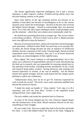The Serum significantly improved intelligence, but it had a serious limitation: it didn't improve wisdom. *Problem-solving ability soars, but decision-making remains in the gutter.*

Since most defects of the ego remained present not because of an inability to heal them, but because of unwillingness to do so, the curious situation arose where the technomages - the best of the best who received the highest Serum dosages - refused to acknowledge their own personal flaws. For if they did, their hyper-intelligent minds would promptly point out the solutions - which they were almost never emotionally ready for.

*We should start grooming them from a younger age. The current culture is becoming a problem... I'll have to find a way to steer it. Maybe promote more non-afflicted to keep the balance?*

Because of such personal flaws, almost all researchers and technomages were specialists - brilliant in their fields, but much less so in everyday life. To them, the Serum dosage became not only an enhancer of intellectual abilities, but also a measure of self-worth. Unsurprisingly, Serum overload experiments never lacked volunteers; they saw it as an honor bestowed upon them, an acknowledgment of their rightful status.

Dyna sighed. She wasn't immune to self-aggrandizement, but to her, status was a reflection of responsibilities and not of worth. Beyond having the final say in research, she was responsible for ensuring smooth day-today operation of the facility, including security and defense. So far, a trade and research based policy worked - having electricity and working tech assured superiority in warfare, at the cost of mobility - but the demon attacks have gotten stronger, and she could almost feel the vampire packs plotting to exploit any weaknesses.

"Administrator Dyna, how far do we go? Dr. Emerson expressed his wish to break the record." The tech's voice came somewhat muffled from beyond the protective barrier.

"I doubt his mind can handle it," Dyna replied. "Let's take it to B-2 saturation, and we'll see from there." Echoes of the amplified sound whispered back with a slight delay.

The tech nodded, and turned her attention back to Emerson.

As more of the Serum dripped into his vein, Emerson slipped deeper into the luminescence of his mind. Mixed emotions showed on his face, unearthing an inner struggle.

*He won't make it far.* Dyna ran a tight ship, both in the facility and inside her mind - a strict diet helped reduce the strain on her body. Judging by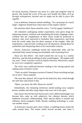his facial reactions, Emerson was more of a 'pills and surgeries' kind of person. She feared the worst: *If his ego can't handle the influx, he'll go through schizophrenic burnout and we might not be able to piece him together.*

Lost in delirium, Emerson started rambling. "I'm a prototype of a much larger- Algernon should have eaten more of that Jaspers cheese!"

*His mind has tilted.* Dyna raised her voice: "Cut his supply! Stabilizers!"

All volunteers undergoing similar experiments were given drugs for enhancing memory retention and stimulating the brain's language center. Unlikely that the completeness of their vision would be preserved in memory, they were instructed to formalize their experiences, and bring back the words rather than the direct memory of the insights. After the experiments, a special team would go over all utterances, mining them for symbolism and interpreting them in all conceivable contexts.

Slowly, Emerson's ramblings turned into inarticulate yells, and his restrained body started seizing uncontrollably with increasing force.

Dyna saw this before - her mind warned her not to go in a similar direction - and she had an inkling of what would happen. "All support staff out, now!" *Toast. Good for research, bad for Emerson. Who knows, maybe he won't turn completely vegetative.*

The techs were conflicted between tending to the seizing patient and making sense of Dyna's words.

"That's an order! Emergency protocol Gamma! Drop everything and get out at once!" Dyna repeated.

This time they obeyed. All except for the head tech, they exited through the steel door and locked it shut.

"Marie, you know the drill. Please be careful!"

Immediately, the remaining technician started putting away surgical knives, needles and other sharp objects that were out in the open.

One reason why the heaviest Serum users were called technomages was because they came up with subjective, but coherent theories which furthered everyone's understanding. Their special ability to smooth and influence electro-magnetic fields, thereby enabling technology to work, was another reason

As Emerson's seizures grew more violent, a rumbling tremor shook the walls around them. The tremor lasted several seconds, and when it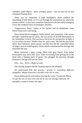subsided, small objects - pens, syringes, gauze - rose up into the air and remained floating there.

There was no consensus if high intelligence alone enabled the smoothing of EM fields, or if it was through the mechanism by which the Serum worked - it may have somehow interfaced with the reality-changing Virus that rendered most technologies obsolete.

"Suppressors! Now!" Safety of the facility and its inhabitants came before Emerson's well-being.

Dyna found electro-magnetic fields orderly and symmetric. Like waves through a kaleidoscope of colors, she was aware of all EM fluctuations in her immediate vicinity. *Did you know that from the perspective of light, it is everywhere at once? Neither time nor space exist.* She felt the tear in the fabric that Emerson's mind caused, and she also felt the controlled effort of mages on tech-enabling duty whose minds counteracted the damage and smoothed the tear.

Marie retrieved a large syringe filled with grey liquid. *Even failed bioweapons may have their uses.* After recovering from getting hit in the head with a floating pack of gauze, she plunged the injection through Emerson's ribcage and into his heart.

*One... two... three... Right on time.*

The seizing stopped and the floating objects fell abruptly.

*We understand EM, but gravity... gravity is something different altogether. Maybe Emerson's sacrifice won't be in vain.*

Dyna addressed the tech before leaving the room: "Good job, Marie. Go get the rest of your crew and see if you can salvage Emerson. I'll assemble a team to review the data."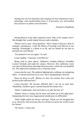*Seeking out win-win situations and warping win-lose situations to one's advantage, with machiavellian focus is if necessary, are well-studied best practices in politics and elsewhere.*

- Dreamer's Handbook

Seeing Merryn at the table surprised Leona. *Why is the vampire here?* She thought they would simply discuss trade schedules.

"Please, have a seat," Dyna gestured. "Since I hope to discuss a plan of strategic consequence, I took the liberty of inviting Lord Merryn to our meeting. Orummagh is a threat to us all, and we should do our best to preempt any such threats."

"I'm pleased to see you again," he said.

Leona nodded. "Likewise, Lord Merryn."

Being used to open spaces, Oakheart's winding hallways dwindled Leona's fortitude and made her uneasy. However, the conference room was clear of distractions and larger than necessary, which she was thankful for. The improved ventilation was a welcome touch.

Leona took her seat. The ambient lighting had a calming, yet energizing effect - it moved and lived on its own. *She's manipulating it directly.*

Dyna sat down as well. "Before we start, I'm curious; how come you picked up the afflicted boy?"

Leona frowned. "He became afflicted after I set out to meet him. Thankfully, EnrRrei's grace extends beyond the human race."

"Hmm, I understand. And you'd like us to take the boy in?"

"Indeed. Nerat is young, but his heart and mind are in the right place. Integrating him into your organization should pose no difficulties."

"Well, bright minds are always welcome. Thank you for bringing him to us. However, like everyone else, he will have to prove his worth to earn his Serum."

"Of course," Leona said.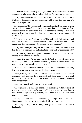"And what of the vampire girl?" Dyna asked. "Isn't she the one we were supposed to take in, as a favor to Lady Cellie? We expected her sooner."

"Yes," Merryn cleared his throat, "we expected Elise to arrive with the Midflower technomages, but Orummagh obliterated the caravan. We assumed she perished, too."

Leona nodded. "She almost did, were it not for EnrRrei's benevolence; we found a tormented mind in a desiccated body, breathing her last. Meanwhile she has earned our trust, but declined to worship. Since she's eager to learn, we would like her to have access to your channels of information."

"That's good to hear," Merryn said. "On Lady Cellie's insistence, and with your approval," he nodded to Dyna, "I would like to take her in as an apprentice. Her experience with demons can prove useful."

"Very well. She's your responsibility now," Dyna said. "I'll see to it she has the proper clearances. I understand she came with a vampirified cat?"

"Yes. Fiercely loyal and highly intelligent," Leona said. "The cat, too, is considered a friend of EnrRrei."

"Vampirified animals are notoriously difficult to control, even with drugs," Dyna mulled. "Allowing it free reign is out of the question. The cat's going to grow, people will get scared..."

"Elise will leave if Scarlet is not allowed to stay. In my humble opinion, it would be unwise to lose an asset like her," Leona said.

"Well, I already received complaints from the usual bemoaners..." Dyna shrugged. "But let's give it a try. At least we'll have more people to send on outside missions. Now, on to the matter at hand... Do any of you know what a bioprinter is?"

Merryn shrugged, and Leona shook her head.

"A bioprinter is a machine capable of producing custom biological tissue. Bioprinters enable and expedite all kinds of research. Now, there is one ancient bioprinter in particular, the 3000x, which can also print complex nervous tissue."

Dyna placed both her hands on the table, leaning forward. "I want this Bioprinter 3000x. I know for certain the Midflower has one."

"Procuring it might be difficult," Merryn said. "Does it fit into a backpack?"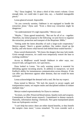"No," Dyna laughed, "it's about a third of this room's volume. Given enough time, we could take it apart into, say... a hundred manageable pieces."

Leona glanced around. *Impossible.*

"As you correctly surmise, Oakheart is not equipped to handle the extraction alone," Dyna said. "Even a three-way extraction might be dangerous."

"An understatement! It's nigh impossible," Merryn said.

"Maybe..." Dyna agreed tentatively. "But not for all of us - together. Therefore, my initial proposal is the following: we join forces to organize the extraction, protection and transport of the Bioprinter 3000x."

"Setting aside the latent absurdity of such a large-scale cooperation," Merryn argued, "there's a greater problem. Our raiders closed up the facility, and who knows what horrors lurk behind those sealed barriers."

Dyna waved dismissively. "We know the dangers that may lurk inside. Given enough resources, we could even temporarily restore the base to working condition."

*Access to Midflower would benefit Oakheart in other ways, too: research info, salvaged tech, rare specimens...*

Dyna looked to Leona. "An early warning system is essential for defending against incoming attacks. In addition to manpower, we need EnrRrei's ability for instantaneous communication across distance. If she can offer any deterrence against other demons, that too would be most welcome."

Leona acknowledged the demand with a nod. *She has my respect.*

Dyna turned to Merryn. "We lack the muscle to secure supply and transportation routes; we require mules and disciplined soldiers to endure multiple trips."

Merryn waited expressionlessly for Dyna to continue.

"In return, we offer: Preserved blood rations. Quality tools and weapons. Commitment to blood serum research. Commitment to demon research. Naturally, information sharing. Chemicals. New gene-manipulated plants from our hydroponics section."

"I can't help but notice: these are either shared benefits, or they benefit the vampire clans more," Leona remarked. "To even consider such a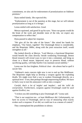commitment, we also ask for endorsement of proselytization on Oakheart premises."

Dyna smiled faintly. *She expected this.*

"Endorsement is out of the question at this stage, but we will tolerate proselytization as long as it is benign."

Leona smiled with satisfaction. *Good.*

Merryn squirmed, and greed lit up his eyes. "Since our grunts would do the brunt of the work and shoulder most of the risk, we expect any compensation to reflect that."

Dyna paused to adjust her response.

"We give all for the sake of the future." She raised her hands for emphasis, "Our future, together! The Orummagh threat is considerable, and the Bioprinter 3000x, along with the joint extraction itself, would strengthen us all."

She looked directly at Merryn. "Lord Merryn, a functional Bioprinter would benefit the clans directly: beside weakening Orummagh, demon blood research will reveal ways to turn it into a stimulant, and bring us closer to a blood serum. Improved ways to preserve blood, without sacrificing quality, will help Starfire City maintain social stability."

Leona saw his face brighten. *Political clout - she almost had to spell it out for him.*

"Oakheart's main concern right now is not to end up like Midflower. The Bioprinter might help us develop a weapon against the exploding thralls. We might even find a way to weaken Orummagh directly, on a spiritual level - if not, then perhaps through empowering EnrRrei. We have to find a way to turn his annoyance with us into a weapon."

*Careful, that's a lot of 'mights' and 'maybes'... and the 'wills' do overpromise. Furthermore, weapons against Orummagh could be used against EnrRrei, too.*

"I reckon you did something to piss Orummagh off," Leona said.

"That is our suspicion too - at least Midflower did. Unfortunately, we have no access to Orummagh, and no way of measuring what exactly evokes such a response. If we did, we could use it as a means of control."

They contemplated the possibilities in silence.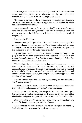"Anyway, such concerns are reactive," Dyna said. "We care more about future potential. What we've discussed so far are precursory considerations, while the real meat of the proposal is this:"

"If we are to survive, we have to become a regional power. Together. We have our differences, but this is an opportunity to strengthen the whole region among the three of us."

Dyna continued. "Getting the Bioprinter should serve as the basis for long-term trading and strengthening of ties. The resources we offer, and the salvage from the Midflower, will kickstart this deeper level of cooperation."

Merryn shifted in his seat.

"Do you see it yet?" Dyna asked. "Humans! The main advantage of the proposed alliance is resource pooling. Their blood, brains, and worship. Sharing all these resources among all of us would increase their quality of life and desire to breed, starting a virtuous circle."

*A grand plan... well, it's not like we haven't thought of it before. But people can be so damn shortsighted and stubborn! We can trust the zombies' sincerity, because they don't have a more intelligent choice. The vampires... we'll have troubles with them.*

"To facilitate the collection and distribution of respective resources, we'll establish consulates in each location. In addition to the responsibilities of trade and diplomacy, technomages will enable essential tech. Similarly, EnrRrei's devoted will provide spiritual guidance and communication across distance, and vampires will secure supply lines and freedom of movement."

*Feeding EnrRrei with intel and worship spanning the entire region is worth almost any cost.*

"According to my estimates, we have reached the point where we either trust each other and cooperate, or perish," Dyna concluded.

After a period of reflection, Merryn spoke first. "Administrator Dyna, the vision you present is compelling. I will champion the idea among the clan leaders and gain their approval. I'm sure they'll see the wisdom of it."

*No doubt selling the idea as his own - more power to project that way. As the allied might increases, so will his influence.*

Leona emptied her mind to invite EnrRrei in. Except in emergencies, EnrRrei's intrusion was generally gentle on her psyche.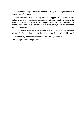Soon the familiar presence touched her, lasting just enough to convey a single word: "Agreed."

Leona looked forward to having more worshippers. The alliance would usher in an era of increased political and strategic control, along with significant economic growth. *More negotiations! More diplomacy!* The zombies' research could weaken EnrRrei, but even so, it would weaken the other demons more.

Leona looked back at those staring at her. "The proposed alliance pleases EnrRrei; further planning is officially sanctioned. We are blessed!"

"Wonderful," Dyna exhaled with relief, "let's get down to the details. We shall proceed in stages. First..."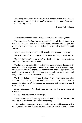*Beware of entitlement. When you claim more of the world than you give of yourself, your bloated ego curls inward, causing shortsightedness and festering anxiety.*

- Dreamer's Handbook

Lester kicked the motionless hunk of flesh. "Move! Feeding time."

The zombie on the floor let out a growl which ended up being only a whimper... but when Lester put down a vial of translucent blue liquid and a slab of processed meat, the zombie found the strength to down the liquid at once.

Lester backed out of the cell and Kieran bolted the door behind him.

"I hate this job!" Lester complained. "Why do *we* always have to do it?"

"Standard rotation," Kieran said. "We finish this floor, plus two others, and it won't be our turn for a while."

The large, dome-shaped floor of the underground facility housed sixty cells in circular arrangement. The cell walls were made of a see-through, impenetrable material capable of withstanding another apocalypse. In addition to the out-of-order electronic keypad locks, the door panels had large bolting mechanisms installed on the outside.

The lights flickered, and Lester flinched. "I bet those bastards at other facilities have working cryo equipment - none of this low-tech preservation for them!" He nudged his colleague with the elbow. "Am I right or what?"

Kieran shrugged. "We don't have any say in the distribution of resources."

"That's what I'm saying! It's not right!"

Kieran moved on without a reply. He unbolted the door of the next cell and Lester entered with his pacifier at the ready.

This zombie was unresponsive too, and Lester vented his anger with a strong kick to the ribs. "Mealtime, you worthless Serum-waster!" Lester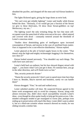sheathed the pacifier, and dropped off the meat and vial Kieran handed to him.

The lights flickered again, giving the large dome an eerie look.

"We can't even get reliable lighting!" Lester said loudly while Kieran bolted the door. "Seriously, if we would get just a fraction of the Serum we give to these third-rates, I'd show those Serum-gobblers on top! Meritocracy, my ass..."

The lighting wasn't the only irritating thing; the fact that most celloccupants wore the same kind of white overcoat as his own - albeit tattered and covered with drool - constantly teetered around the threshold of Lester's conscious mind.

"Studies show diminishing gains of intelligence upon increased consumption of Serum, and moreso in the case of unrefined brain matter. Ours is supposed to be a cost-effective distribution," Kieran replied.

Lester glanced at the pile of locked supply boxes in the center. "That doesn't stop the high-and-mighty technomages hogging it for themselves, now does it?"

Kieran looked around nervously. "You shouldn't say such things. The walls have eyes and ears."

Lester's held back an outburst, but his face showed disgust mixed with anger. "...you know what? Let's just get it done. I'll continue here, you go in the other direction, and we'll finish twice as fast."

"But, security protocols dictate-"

"Damn the security protocols! I don't want to spend more time here than I have to. Besides, they're starved and brainless, surely we can handle them!"

Kieran shrugged. "Fine," he said and walked away.

Lester unbolted another cell door. He suspected Kieran agreed to the faster work arrangement only to avoid his company. Kieran, along with almost everyone else, didn't show much susceptibility towards Lester's ideas - even though he often spoke loudly to help get his point across. Likeminded colleagues tended to get reassigned to worse jobs, perhaps even ending up in preservation cells much like these. Lester didn't want to admit it, but as a third-rate scientist whose research showed no results, he was sliding towards a similar fate.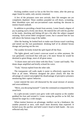Kicking zombies wasn't as fun as the first few times; after the pent-up anger found its outlet, only anxiety remained.

A few of the prisoners were new arrivals, their life energies not yet completely depleted. These zombies pounded on cell doors, screaming, their bloodshot eyes and not-yet-tattered coats marking the descent to instinct-based undeath.

In addition to providing a break from anxiety, Lester found a degree of joy in putting such a lively one down. He entered the cell with his pacifier at the ready, shocking and hitting till just a bit after the subject stopped resisting. Such action didn't invigorate Lester, but it assured him he was still above the bottom rung of the ladder.

After the beating, he looked back to make sure Kieran wasn't watching and meted out the real punishment: drinking half of its allotted Serum dosage and pouring out the rest.

The zombie fervently licked the spilt liquid off the floor.

The lights glared, and Lester's overcoat wasn't as white anymore. He was genuinely convinced that with just a bit more Serum he would be destined to great things, most of all great status.

"A dozen more and we're done with this floor," Lester said loudly. The dome shape amplified and briefly echoed his voice.

"Yeah," Kieran replied from the other side.

The transparent cell walls made it easier to effectively supervise the floor at all times. Whoever designed the place clearly felt that the advantage of control outweighed the disadvantage of perceptive prisoners monitoring their captors' behavior.

Lester entered the next cell distracted by the usual mixture of anxiety and overconfidence.

"Move, you decaying bastard!" Came the command accompanied by the usual kick.

In a split-second, Lester's eyes grew wide with surprise as the zombie grabbed his foot and twisted it. Lester swung the pacifier as he fell, but missed his target by a wide margin.

When instinct bestows an advantage, intellect can be a hindrance: the zombie pounced at once, with much more dexterity than expected. It kicked away the pacifier and held Lester's head in both hands - the eyes reflected only fear.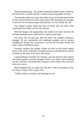Thump thump thump... the zombie repeatedly bashed Lester's skull into the floor until it cracked and left a small, but growing puddle of blood.

The bloodlust didn't last long: the zombie let go of the head and reached for the vial that fell from Lester's other hand. After downing it in one gulp, it moved on to the almost empty unlocked box of vials outside the cell.

The undead creature drank one dose of Serum after the other while watching Kieran make a run for the elevator.

With the hunger still unquenched, the zombie went back into the cell and kept bashing Lester's skull until it could be pried open.

One hasty bite of pink goo after the other, the zombie's demeanor changed. Its eye movements and breathing steadied, and its posture straightened. Despite the wrong taste, it ate the last few bites slowly and with a sense of indifferent duty.

Presently satiated, the zombie walked tall next to the locked supply boxes in the center of the hall. Facing the elevator, it kneeled down, placed its hands on the back of the neck, and waited.

Long heartbeats extended into minutes; soon the elevator door opened and armed guards swarmed through. Kieran, too, held a mean-looking pacifier, and they all pointed their weapons at the zombie who tried very hard not to move.

Blood dripped from its hands onto the floor. After an attempt to clear the throat, it spoke with a raspy voice:

"I believe there's currently a job opening for me."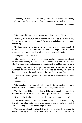*Dreaming, or indeed consciousness, is the wholesomeness of All being filtered down for an overreaching, yet seemingly extern view.*

- Dreamer's Handbook

Elise bumped into someone rushing around the corner. "Excuse me."

Walking the hallways and reflecting helped Elise clear her mind. Interacting with the touched on a daily basis was challenging - and quite exhausting.

Her impressions of the Oakheart dwellers were mixed: very organized in some ways, but also scatter-brained in others. The pressures of limited space and resources noticeably influenced their societal structure.

## *Intelligent, but seldom wise.*

Elise found their sense of personal space barely existent and she almost lashed out reflexively at times. She had to intentionally hold back - it took effort to remind herself the zombies were friendlies and that she was safe.

Strangely, the one who bumped into her had a distorted grimace; it surprised her and delayed her reaction. He looked healthy, and almost human - except for the quick eyes and the wasteland behind them.

The zombie bit through the cloth and nearly tore a chunk off from Elise's shoulder.

## *What the hell!*

Elise punched the zombie with all her might. Being weaker than most vampires, Elise seldom thought of herself as physically strong.

The blow twisted his guts and flattened his lungs, propelling him a short distance backward. He hit the wall with significant force and collapsed.

Before taking flight, the zombie had let go of something - *a chest?*

The metallic container dropped to the floor with a clank. Subsequently, it made a grinding noise while being dragged, and a similarly frenzied zombie holding the other end swung it at Elise.

The surging adrenaline dispelled her initial surprise. Elise aimed to evade the swing and hit the zombie before it connected, but at the last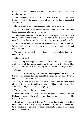second - with reflexes better than her own - the zombie flipped his end of the chest upward.

The container deformed under the force of Elise's strike and the altered trajectory pushed the zombie back all the way to his incapacitated accomplice.

Her hand hurt. It hurt worse than striking a wall of concrete.

Ignoring the pain, Elise opened and closed her fist a few times, and tendons snapped into their proper places.

The hallways felt even more narrow and claustrophobic than usual. All that tech-stuff filling up the space... although working technology never ceased to amaze her, she doubted any of this garbage was actually useful.

Elise was not used to fighting in cramped spaces - and it showed. Despite their relative squishiness, the zombies were more agile and unpredictable.

The zombie recovered first; this time, he spun around and hurled the chest at Elise.

Elise sidestepped.

Upon hitting the edge of a shelf, the silvery container burst open spilling most of its precious content on Elise. Vials of translucent blue liquid shattered into shards, drenching her clothes and coloring the floor.

## *Enough!*

She pushed off the charging zombie, kicked the opened container out of her way - and slipped. Trying to get hold of something only made it worse, and her head hit the floor hard.

She lay motionlessly in the pool of blue fluid, and her skin began absorbing it... An acidic, sinking sensation held her attention; it kept her from passing out, but also from being fully awake.

The droplets on her lips tasted sweet.

When Elise could focus again, she saw the zombie holding her head in his hands - contemplating to either gouge her eyes out or bash her skull in to expose the brain.

He sniffed the air, nostrils flaring. After a few heartbeats, he tilted his head slightly; Elise smelled wrong. He let go of her head, and hopped over to the container to join his previously incapacitated partner in gulping down the remaining vials.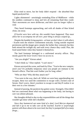Elise tried to move, but her body didn't respond - the absorbed blue liquid paralyzed her.

Lights shimmered - unwittingly reminding Elise of Midflower - while the zombies continued to slurp and lick all remaining fluid they could. *Their movements are more deliberate, and their eyes no longer reflect a void.*

They heard footsteps approaching, and with all shades of blue licked clean, ran away.

*If Scarlet were here with me, this wouldn't have happened. They must allow her to accompany me all over; poor thing is always cooped up...*

Despite the humble living quarters - *at least we don't share it with others* - Scarlet took the relative confinement stoically. Going outside required permission and the danger grew steeply the farther they ventured, but they both missed the twilight sky and took every chance they could. Plus, the food tasted better when they hunted it themselves.

The hard footsteps belonged to a uniformed security officer. *They mostly guard the lower levels I have no access to.*

"Are you alright?" Kieran asked.

"I don't think so," Elise replied. "I can't move."

Kieran surveyed the scene, and knelt by Elise. "You're the new vampire, aren't you? It's probably temporary since you people are immune to the Serum's effects. That bite won't bother you for long, either."

"Who are they? Why did they attack me?"

"You were in the way, that's all. While we were busy apprehending one escapee, these two used the commotion to escape with a locked crate of Serum. Don't worry, there's nowhere to escape to and they'll realize it on their own in a few minutes."

Instead of passing, the paralysis has gotten worse. Strangely, Elise didn't feel too concerned about what was happening to her body; not having to care was almost pleasant.

Her thoughts drifted to day-to-day responsibilities and all the things that wouldn't get done while she's disabled.

*Since they hammered out some kind of a deal, Lord Merryn departed and left it up to me to take care of the touched. Scarlet is surprisingly patient with those about to be exorcised, but they're pumped full of so many drugs...*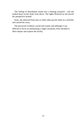The feeling of detachment turned into a floating sensation - and she looked down on her body from above. The lights flickered as she moved her perspective around.

Soon, she observed from afar as white robes put her body on a stretcher and carried her away.

The perceived vividness waxed and waned, and although it was difficult to focus on maintaining a single viewpoint, Elise decided to delve deeper and explore the facility.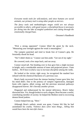*Everyone needs tools for self-analysis, and since humans are social animals, our primary tool is using other people as mirrors.*

*The fancy tools and methodologies mages wield are not always accessible to others, with good reason: a disciplined focus is necessary for diving into the lake of tangled symbolism and cutting through the emotionally charged haze.*

- Dreamer's Handbook

"Pick a strong opponent!" Connor lifted the grunt by the neck. "Measuring your strength against the weak is meaningless."

The vampire panicked and tried to break free of Connor's grip. He frenziedly shook his head.

"No? I didn't think so." Connor cast him aside. "Get out of my sight."

He cowered, took a few steps back, and ran away.

Connor stood tall. Not bending over in fear gave him a slight increase in height, and a considerable amount of inner and projected power. *I hate bullies... We'll have to find a way to increase discipline among the ranks.*

He looked at the victim: right away, he recognized the mashed face infused with the chemical blackness of a previous scar.

Bron's body recovered from the intense beating Connor gave him, but his mind didn't. Due to the potency of vampire regeneration, damaged brain cells regrew, albeit wrong, and the previous neuronal pathways disappeared forever. *He's literally another person.*

Disgusted and embarrassed by the mental deficiency, Bron's father disowned him. Yet, though broken to such a degree, Bron became a useful, contributing member of society: he helped the Mothers tend to recovering demon blood junkies.

Connor helped him up, "Here."

Although Bron's sadistic streak was gone, Connor felt like he had assimilated his cruelty. *Violence does solve most things... killing him would have been the merciful choice.*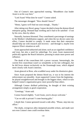One of Connor's men approached running. "Bloodthorn clan leader Aram is on his way here."

"Lord Aram? What does he want?" Connor asked.

The messenger shrugged. "How should I know?"

"Hmm, I guess we'll find out soon enough... Thanks."

After taking over Bron's gang, Connor decided to keep the demon-blood enterprise going. Demand kept swelling and it had to be satisfied - if not by his crew, then by others.

Naturally, business bloomed. They contributed a percentage of earnings to the Mothers' rehabilitation support, and when the tax decree came into effect, Connor decided to comply. It made sense that their enterprise should help out with research and recovery - and through it, maybe even improve Elise's situation as well.

Aram approached unhurried and alone; such an act signified confidence and trust, but also a need for subterfuge. For years Aram maneuvered politically against the Reach Initiative, pursuing to attain more power and influence.

The death of the councilmen left a power vacuum. Interestingly, the current first councilman wasn't as xenophobic as his late colleagues, but he did focus almost exclusively on the Orummagh issue, which aligned more closely with Aram's interests.

Aram glanced at Bron, who scuddled away under his dismissive glare.

Since Aram proposed the demon blood tax, it was in his interest the enforcement ran smoothly. Aram supported Connor from the beginning he played straightforward and brought in the biggest share, which in turn helped Connor's organization grow more powerful than others.

Although Connor disliked politicking, he thought of their existing arrangement simply as good cooperation.

"Greetings," Aram said.

Connor bowed slightly. "Lord Aram, you're always welcome."

"Can we talk in private? I come bearing gifts."

*I doubt that.* Connor gestured toward a side alley. "Please, step into my office."

The shady, overgrown alley dampened possible echoes, and made sure not even Connor's men could overhear them.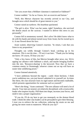"Are you aware that a Helldare clansman is stationed at Oakheart?"

Connor nodded. "As far as I know, he's an exorcist and liaison."

"Well, this Merryn character has recently arrived in our City, and brought news which should be of great interest to you."

Connor raised an eyebrow. His heartbeat quickened.

"The girl is alive. 'Elise' was her name, right? Somehow, she survived the demon attack on the caravan. I wanted to deliver this news to you personally."

Connor fell in momentary turmoil. *She's alive!* He didn't know what to do with his hands and almost turned away from Aram, but he owned up to it. A tear flowed down his face.

Aram waited, observing Connor's reaction. "In return, I ask that you listen to my proposition."

Thoughts ran wildly through Connor's head, catching up to his emotions. *This is not the time... I'll sort it out later.* "Thank you for letting me know. Of course, I'll hear you out."

"Only a few know of this, but Merryn brought other news, too. We're upping our alliance with Oakheart a notch, and maybe bringing EnrRrei into the mix. 'Resource-sharing' is the keyword. Now that we have a common enemy in Orummagh, whoever comes out on top will have an easier time solidifying power."

Connor listened attentively.

"I have ambitions beyond the region - castle Aluin beckons. I think you're ambitious too, you just haven't admitted it to yourself yet. In times like these, the clan structure loses its rigid nature and becomes malleable, which presents opportunities for someone such as yourself."

"Here's the thing," Aram continued. "The new alliance will need a lot of muscle. Your men are neutral, yet relatively disciplined, with a trustworthy leader who inspires loyalty. Pull them into shape, increase your forces, and mold it into a proper organization."

"If you do, I'll do my best to get you monopoly on the demon blood trade. I think the other clan leaders can be persuaded to give their blessing. I trust you to enforce the tax collection, reducing the strain on me and giving me more room to maneuver. What do you say?"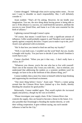Connor shrugged. "Although what you're saying makes sense... I'm not sure I want to shoulder so much responsibility. But, I will definitely consider it."

Aram nodded. "That's all I'm asking. However, let me kindle your imagination. You see, the nice thing about having power is being able to use it. If the alliance is a success, we could bend the narrative, attribute the success to your friend Elise, and frame it as if she were essential for the birth of alliance."

Lightning coursed through Connor's spine.

"Of course, that means I would have to cede a significant amount of influence. Cellie would probably support it, and Theodore won't speak out openly against a majority decision. I expect you to make it up to me, yes?" Aram's eyes glistened with excitement.

"Ha! Is that how you intend to bind me and buy my loyalty?"

"Well, it cuts both ways. I wouldn't use the word 'bind', but yes, loyalty is bought with loyalty. You just have to decide if your friend's freedom is worth that to you."

Connor chuckled. "When you put it that way... I don't really have a choice, do I?"

"Whatever you choose, you're the one who has to live with yourself. That's one of the reasons why I trust you with this... Just to reiterate, you understand that addressing the junkies as a systemic problem won't be enough; we have to be at the forefront of this alliance thing, yes?"

Connor nodded, then a more few times to himself while he kept thinking and suppressing his newfound excitement.

"One more thing before I leave," Aram said. "There's a rumor going around that the Crimson River have chained up a few thralls, thereby bleeding the situation for good profits."

Reluctantly, Connor nodded again. *That would explain the increased supply and potency, though my bet was on EnrRrei.*

"Please investigate your supply chain. If the Crimson River clan controls the supply, they are bound to become a threat in the future. It is also possible that Orummagh is flooding the market directly, or with their willing cooperation. It goes without saying, any such outside influence is bad for the City."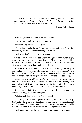*The 'self' is dynamic, to be observed in context, and spread across numerous abstraction levels. To actualize itself - to identify and define a new self - that very self is often required to 'self'-sacrifice.*

- Dreamer's Handbook

"How long has she been like this?" Dyna asked.

"Two weeks, I think," Marie said. "Maybe three?"

"Mmhmm... Paralyzed the whole time?"

"The medics thought she would recover," Marie said. "She almost did, but then it got worse... that's when they notified me."

"Well, they should have notified us sooner."

Curled up on the side of the bed, with nothing to do and nowhere to go, Scarlet basked in the warmth emanating from Elise's body and shared her own in return. She acted with confidence in Elise's recovery, as if she could sit up at any time and be her usual, cheerful self.

However, Elise shared more than that: Scarlet continually felt her spirit surrounding her, and at times, she could almost sense her thoughts. *What's happening to me?* Such thoughts were not aggressively intruding - they were just there, floating insignificantly on the surface of Elise's being.

Deeper below, she could feel the effort Elise exerted just to exist: every eye movement felt like a sprint in that direction. Talking felt extraordinarily difficult, like constantly breaking through ice. Regrettably, everything from the neck down she sensed only from the outside.

Nerat came to visit often, and each time Scarlet felt Elise's spirit lift. Devon, too, dropped by now and again.

"What actually happened to her?" Dyna asked.

"Two escaped from the Panopticon and she happened to be in their way. She's got a bite on her arm which hasn't healed properly, and she absorbed a high amount of Serum through her skin. This peculiar state is probably a reaction to the Serum; we have seen similar responses before."

"Well, not exactly like this. And vampires are supposed to be immune."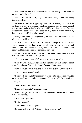"We simply have no relevant data for such high dosages. This could be an opportunity for us."

"She's a diplomatic asset," Dyna remarked sternly. "Her well-being takes precedence."

"Of course... I'm not suggesting otherwise. However, since we're in uncharted territory, preliminary analysis suggests that an experimental intervention might be her best bet. It could be simply a matter of proper dosage: she's been exposed to a dose too high for her natural immunity, but too low for sufficient adjustment."

"Well, direct solutions are generally the best... And our other subjects did lack her resilience."

All that talk bored Scarlet. She watched the images Elise showed her while wandering elsewhere: restricted laboratory rooms with cries and abominations, a dungeon with many mirrors and windows, huge Serum reserves. Mostly, an existence constrained by fear.

Dyna moved closer. "Hmm, let's see..." She undid Elise's gown to reveal her bare body. Her skin had a blue tint.

"The bite wound is on the left upper arm," Marie remarked.

"I see it," Dyna said. A black line laced the bite wound, and pus oozed from the inflamed flesh under Dyna's fingers. "Quite nasty."

Dyna observed Elise's eyes, and spoke to her loudly. "Can you talk?"

"Yes..." Elise answered faintly.

"I didn't ask before, but the reason you were sent here had something to do with overdosing on high-quality demon blood, right?" Dyna inquired.

"Yes."

"Was it voluntary?" Marie pried.

"Either that, or death," Elise answered.

"Hmm... and you almost died in the desert later on," Dyna mused. "Were you... approached?"

Elise nodded, just barely.

"By how many?"

"All of them," Elise whispered.

Dyna seemed surprised. "Did any of them possess you?"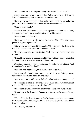"I don't think so..." Elise spoke slowly. "I was told I 'push back'."

Scarlet snuggled closer to reassure her. Being present was difficult for Elise while her being tried to flow out in all directions.

Dyna went over every part of her body. "What are these scratches on your arms? Like tiny black filaments inside minuscule scars."

"Scarlet plays rough."

Dyna waved dismissively. "That would regenerate without trace. Look, Marie, the discoloration is similar to that of the bite wound."

Marie leaned in. "So it is."

Dyna mulled it over while further inspecting Elise. "Did anything... peculiar happen to your cat?"

Elise would have shrugged if she could. "Almost died in the desert with me. And when she was tortured, I fed her my blood."

"I know about the vampirification. Tell me, how exactly was she tortured?"

"Liquid from a canister marred her. Her skin still feels bumpy under the fur. And the scar across her eye is still there, too."

Dyna furrowed her eyebrows, and stared at Scarlet for a long time. "Did the canister have an identifier?"

"Experimental agent 2711, from Midflower," Elise cited.

Dyna gasped. "Marie, that series... wasn't it a zombifying agent, weaponized specifically against vampires?"

"I think so," Marie said. "They shelved it after failing too many times."

"Becoming a zombie and a vampire at the same time..." Dyna muttered to herself. "Did she have a hunger for brains?"

"She left little waste from what she hunted," Elise said. "Grew a lot."

"In addition to the demonic influence, was she exposed to demon blood, too?"

"Yea... A big battle took place at EnrRrei's oasis, and she ended many of Shkazzrt's and Orummagh's thralls. Even the big ones. They hailed Scarlet as a hero."

"Impressive," Dyna said.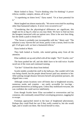Marie looked to Dyna. "You're thinking what I'm thinking? A power trifecta; zombie, vampire, demon, all in one."

"A superbeing on kitten level," Dyna stated. "Or at least potential for it."

Marie laughed out almost maniacally. "We never even tried for anything other than humanoid subjects. It never even occurred to us!"

"Considering that the physiological differences are significant, this might not be as big of a deal as you may think. We have to find out how the bioagent interacted with our patient zero. Elise is the next best thing, but she needs a push to break free."

"The Serum is probably just incompatible with her," Marie said. "The solution is easy: harvest the cat's brain, purify it into a serum, feed it to the girl. If all goes well, we have a humanoid trifecta."

Dyna looked at Marie.

They both looked at Scarlet, who started getting antsy from all the attention.

Elise suddenly sat up and yelled with all her might: "No!!! Scarlet, run!"

The burst pushed her off, and she didn't have to be told twice: Scarlet raced out of the room and continued running.

"Get her!" Echoed the shout from behind.

Scarlet nimbly avoided the stuff in the hallways. She couldn't tell if she was being chased, but the people ahead haven't paid any attention to her. After putting enough distance between herself and potential pursuers, she slipped into a vent.

Although certain locations were off-limits due to heightened security, numerous nooks and crannies - not easily accessible for two-legs presented themselves as hiding spots. Unless they mobilized everyone, she was confident she could survive indefinitely.

Even though Scarlet knew Elise succumbed to overexertion and lay comatose, she continually sensed Elise's enveloping presence, nagging her to escape.

Footsteps approached mired in the haze of heightened pheromones. Perhaps they could flush her out if they really wanted to, but she would fight, and it would cost them. She forced herself to relax.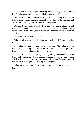Scarlet mulled over her options: barring an all-out war, she could scrape by. With luck and patience, she could also make it outside.

Without Elise, she had no reason to stay. But, abandoning Elise after all they've been through together, especially now when she lay exposed and vulnerable... She might as well be abandoning herself.

Besides, Scarlet sensed danger from the two visiting Elise, but not malice. They genuinely seemed intent on helping her. As long as they saved Elise... maybe going back wasn't such a bad idea, even if it involved sacrifice.

*'Scar, no, I forbid you! Leave me!'*

Elise fighting against the decision only made Scarlet's determination stronger.

She exited the vent, and snuck past the pursuers. The lights went out temporarily, and things kept flying off the shelves to obstruct her progress. Scarlet evaded and otherwise ignored all of it.

She approached the door; the light shining through seemed more vibrant than usual. In contrast with her impending doom, the whole place became filled with an undercurrent of liveliness and passion she never noticed before - as if coming into existence just to say goodbye.

When she stepped through the doorway, surprised expressions greeted her.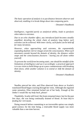*The basic operation of analysis is to put distance between observer and observed, enabling it to break things down into composing parts.*

- Dreamer's Handbook

*Intelligence, regarded purely as analytical ability, leads to paralysis when taken to extremes.*

*Due to an echo chamber effect, any introduced fault becomes steadily amplified, derailing the whole chain of analysis long before such extremes can be achieved. With inner clarity, such faults can be held off for many iterations.*

*However, when approaching said extremes, the exponentially expanding dualistic mirror-images strain the consciousness. When such movement extends beyond the domain of identity, the distance within snaps and the consciousness fractures - leaving you all alone within yourself.*

*To prevent the world from becoming static, one should be mindful of the limitations of intelligence and use it accordingly: a practical approach is to use vision to build things up at a pace commensurate with breaking them down, while another solution is to extend or shift the domain of identity.*

- Dreamer's Handbook

Needles pierced her skin, and Elise observed from above as Scarlet's transfused blood began coursing through her veins. Although she regained some sensation, Elise remained locked out of her body. *Enough of this limbo! I would like my body back, please!*

Thankfully, Scarlet still lived. Her brain remained intact, but for the past few days, she was being continually drained of blood. *At least they're feeding her rich meals.*

Doing research before committing to an irreversible option was simply good science; for the time being, a renewable blood supply was more valuable than a one-time harvest.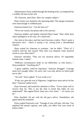Administrator Dyna waded through the bustling techs, accompanied by a wobbly old man on her arm.

"Dr. Emerson, meet Elise. She's our vampire subject."

Elise's frame was chained to the operating table. The meager sensations were kind enough to withhold pain.

Emerson leaned over. "Can she hear us?"

"We're not certain, but please talk to her anyway."

Emerson nodded, and shakily clutched Elise's hand. "Dear child, don't chase intelligence at all costs. It's a dead end."

*One look at this place and that much becomes evident. There's quite a disconnect here - which is saying a lot, coming from a disembodied vampire.*

Dyna waited for Emerson to continue... but he didn't. "That's it? I could've told her that myself. Why don't you dispense some mystical words to your aftercomer?"

Emerson chuckled. "That *was* my mystical advice. Of regrettably limited value, I admit."

"Different circumstances make us see differently, so who knows..." Dyna pondered. "Anything else?"

"I guess stability could be important," Emerson shrugged. "Courage alone isn't enough, either. I'm sorry, but I can only advise on which path not to take."

"Ah well," Dyna sighed. "It was worth a try."

"If she, too, goes the way of Algernon, I might have more advice for her then," Emerson smiled wryly.

Dyna frowned, and turned her attention to Elise. "You've done well to survive thus far. This is not the time to break that habit, do you understand?" She tapped Elise's limp arm a few times. "...of course you do."

Elise chuckled. *On par with the old guy's advice.* Nonetheless, she appreciated the sentiment.

Dyna yanked Emerson's arm. "Enough of your self-pity, old man. You regained full mental capacity, and sadly, you didn't lose your sense of humor either."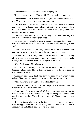Emerson laughed, which turned into a coughing fit.

"Let's get you out of here," Dyna said. "Thank you for coming down."

Emerson hobbled away with wobbly steps, relying on Dyna for balance. *Aged beyond his years... So this is what awaits me.*

Elise still had access to her emotions, as well as a degree of mental composure, but without the possibility of interacting with anything - a lack of outside pressure - Elise surmised that even if her physique held, her mind would be gone soon.

The odd curiousness of such a state long since faded, and only the annoyance and lack of meaning remained.

Dyna reappeared behind the security glass on the upper floor. "Marie," her voice crackled from the speakers, "proceed to the next stage when you're ready."

After being resigned for so long, Elise observed the experiment with enthusiasm: she was excited to see if she was going to die or not.

Despite a sense of locality, she existed in this place without feeling alive. Even exposure to demonic forces was preferable to this intense lack; the separation within corrupted her being with each breath.

*When death comes, I'll welcome it.*

Under Marie's direction, the technicians poked holes and shoved more tubes into Elise's body. The bustle slowly subsided, but the expectation on their faces only grew.

"Auxiliary personnel, thank you for your good work," Dyna's voice echoed. "For your own safety, please vacate the area immediately."

While many exited promptly, a few refused to budge.

"You're not authorized for the next stage!" Marie barked. "Get out before I have security remove you!"

Shortly after the commotion subsided, a luminescent blue merged in with the crimson of Scarlet's blood, melding and fizzing into a shimmering purple... and invading Elise's flesh right after. *My blood is no longer my own.*

Her body tingled all over while the liquid ravaged it - but then all senses stopped supplying sensations. Yet, a ringing in her ears remained, which gradually expanded to all other aspects of her being.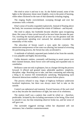She tried to seize it and tear it out. As she flailed around, some of the lights in the laboratory shone more brightly, even to the point of bursting, while others flickered to the tune of that damnedly irritating ringing.

The ringing finally overwhelmed, sweeping through and over her awareness with a whoosh.

Elise's sense of locality expanded explosively. Instead of floating above her body, her awareness enveloped the whole of Oakheart - and beyond.

She tried to adjust, but footholds became obsolete upon recognizing them. Her sense of time curved inward as the near future became the past. Yet, traveling the myriad pathways all at once was the greatest rush she ever experienced; spiraling ever outward, her attention exceeded the minutiality of this realm.

The ultra-dose of Serum wasn't a cure; quite the contrary. The omniscient omnipresence of her state was alluring, but instead of reversing the partitioning process, the Serum has only accelerated it.

A multitude of infinitely separated parts looked at her from the outside; it was palpable and highly disconcerting.

Unlike demonic entities, constantly self-burning to assert power over their claimed domain, these forces were self-eating and expanded only to cannibalize.

Brilliance came not only in glimpses, but as a hunger driving the process forward. It offered and granted many admirable qualities: simplicity, discipline, edge. Reaching out to take, and then consuming and reducing a thing to its essence felt tremendously satisfying. Manipulating such distanced abstractions enabled a reach to unseen before places.

The process refused to stop. Edges of highway brilliance underwent localized implosions, but there was always more fuel to take on the outside.

Control was ephemeral and transient. Fractal fractures of the soul cried out as they became the interference of light, but none of its wholeness.

The motion itself was a pattern that could be relied on - therefore, predictable. Irritated by the excluding unevenness in her being, Elise tried to smooth it out, but that remaining observer broke too, and her sense of self gave out.

The surrender triggered stirrings within her disjointed self: not resistance, but a familiar countermovement.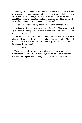Demons, for all their self-burning anger, understood sacrifice and tenaciousness. Zombies pursued enlightenment with cold efficiency, even at the peril of losing the spark of life. Vampires, with their bloated egos, sought to pound everything they could into submission, yet they intuitively grasped the importance of circulation and give-and-take.

The three aspects flowed together from complementary directions.

The knot of Elise's existence untied and the walls of her being blasted open. It was liberating... and utterly terrifying! Who knew there was this much more to herself?

Like a wire framework, only the outline of an ego structure remained: observing from many localities, and enduring by not resisting. She used that framework as handle - a set of temporarily fixed points and motions to unhinge the universe by.

She was alive!

The expansion of her awareness continued, this time in a more balanced and willful way. Nevertheless, it forced her to reevaluate her existence on a higher state of reality, and her consciousness whited out.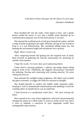*Look back at those who gaze into the abyss! It's your duty.*

- Dreamer's Handbook

Rose breathed life into the realm. Time began to flow, and a gentle breeze rustled the leaves. It was only a bubble realm dreamed up for communication purposes, but for this brief period, it was hers.

She enjoyed the soothing touch of soft grass beneath her palms, and felt a surge of pride on getting it just right. *Honestly, having no one around to brag to is a tad disheartening.* She considered adding fauna too, but keeping the environment bright and uncluttered was a priority.

# *Right. There's work to do.*

After composing herself and getting into the required state of mind, Rose focused on gathering the relevant touch-points for anchoring an outside consciousness.

# *I hope this works. I've never done such summoning before.*

Under Rose's caressing guidance, a glitchy ego-image began taking shape in front of her. Thankfully, the targeted consciousness welcomed the tethering, flowing and connecting with trusting sincerity. *No sense rushing the process.*

Rose dimmed the sunlight's happy brightness. She didn't want to blind the guest awareness, or trigger the reflexive aversion to daylight.

She double-checked to confirm the bubble realm remained stable. Keeping it void of unintentional manifestations and shielding it from the crushing influx of outside forces was no small feat.

*I look forward to a purification ritual later... The more searing the better.*

Here seemed to be a case where nightmares subverted and permanently changed the nature of a whole realm. It wasn't as earthy as her own, but if it were to implode, a cataclysm of such magnitude would have unimaginable repercussions.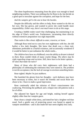The sheer hopelessness emanating from the place was enough to bend neighboring realities. There was nothing else for Rose to do, but decide on a good spot to inoculate against the corruption, and hope for the best.

### *And the vampire girl is the one to bear the burden.*

Despite the difficulty and the offers to help, Rose wanted to do this on her own. She has grown, and wanted to prove she could handle more responsibility. *Either way, there's not much more to do at this stage.*

Creating a bubble realm wasn't that challenging, but maintaining it on the edge of Elise's world was. Furthermore, incarnating there directly without extensive preparation was nigh impossible.

#### *That realm is like a knot: difficult to enter, traverse, or leave.*

Although Rose tried not to carry her own nightmares with her, she did harbor a few dark thoughts. She knew that death was a clean tool, oftentimes preferable to a fearful existence, and occasionally wondered if it would be better to just euthanize the whole realm...

*The children here have no childhood; even the ability to dream is denied to them.* Rose couldn't think of many crueler things. *The others may be right regarding triage and excision. Still, there have to be better options... Or does that make me naive?*

Many of those who did carry their nightmares with them had a philosophy of celebrating the rottenness they were mired in. *The problem is not the acceptance, but the lack of courage to envision something better.*

Rose sighed. *Maybe I'm just stubborn.*

She banished the gloom from her thoughts - such darkness may have been necessary at times, but it wasn't the friendly and social Rose she chose to be. *I have to make a good impression.*

Rose continually aided the infusion of Elise's consciousness into coalescing. Preventing the pullback and a relapse into old patterns took a lot of effort.

She adjusted her figure for age and height, making herself appear slightly older than her vampire guest.

Rose chose a simple white dress, and tinted her hair a brighter red than usual. Such a gentle way of projecting power was bound to appeal to vampire sensibilities - and it also made her hair seem slightly less curly.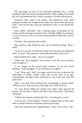The ego-image in front of her eventually stabilized into a living, breathing, albeit unconscious humanoid body. While waiting, Rose noted the worn and somewhat dirty clothes covering it. *Flexible and practical.*

Gradually, Elise came to her senses... and opened her eyes. After making sure there was strength in her limbs, she noticed Rose and sat up. Only a rasp left her lips when she attempted to talk, so she cleared her throat.

Elise looked vulnerable, with a piercing gaze, accentuated by the canines and the red rings around her irises. *A bright wildflower growing in a crack of concrete. Let's see if she's strong enough to make that concrete crumble.*

"Hi there," Rose greeted with a smile.

Elise stood up. She seemed at ease, but not entirely trusting. "Have I died?"

"As far as I can tell, you still have a body and your ego hasn't dispersed either. So yeah," Rose grinned, "technically that means you're alive."

Elise pondered for a while. "Are you an angel?"

"What? No," Rose laughed. "How sweet of you! Do you even know what an angel is?"

"I saw images on the stained glass windows of our old church building..." Elise shrugged. "I was told those were angels."

"I see," Rose said. "Well, we mages reserve the term to describe the pillar-bases of reality. Angels rarely take on the form of an egoconsciousness, but they're more prominent in your realm since they fell pretty hard."

After a curt nod, Elise examined her surroundings in greater detail. "Where are we?" She was wary of the light, but it didn't hurt her.

"In a tiny dream bubble just outside your realm," Rose gestured all around. "It's not really a 'where', more like a 'how does it feel'." She smiled sheepishly.

"I didn't know dreams could be like this... Everything is so vivid."

"I do my best," Rose beamed. "Dreams do regain much of their color when no longer reduced to mundane pattern processing."

The words seemed to have saddened Elise. "Yeah. Life is rarely... full."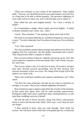"That's not exclusive to your corner of the multiverse," Rose smiled sadly. "Anyway, you should be proud of your achievement: you're the first in a long time to be able to dream properly. The pervasive nightmare of your realm will try to reject you, and it will fall upon you to master it."

Elise rolled her eyes and laughed heartily. "So I have a destiny to fulfill?"

As if responding to danger, Rose's pupils narrowed slightly. "A belief in destiny mutilates one's vision. Just... don't."

"Good," Elise chuckled. "I was starting to think you're full of shit."

The stink of excrement filled the air, and Rose reimposed a citrusy scent at once. "You feel vulnerable, but I'm not here to harm you. Do you believe me?"

"I do," Elise answered.

The calm joyfulness seemed almost foreign and undeserved to Elise, but judging from her expression, she felt deeply rejuvenated and at peace. They enjoyed each other's company in silence.

*Elise survived without losing her empathy and giving up her soul. She transcended her limitations to become human! But, I don't think I can give her much time.*

*This success matters only if it's the first of many. Procreative energies have been diverted towards ego-feeding, and all three factions lean towards asexuality in their own ways. The change Elise brings will be like puberty on a large scale.*

"Does your world have zombies and vampires and demons, too?" Elise asked.

"We have the same archetypes, but they do not come to expression as strongly as in yours. They're just common nightmare deviations."

Rose resisted an urge to impress upon Elise the severity of the situation. *If that realm fails again, there will be wide-reaching repercussions.* Putting her under more stress would have been counterproductive, so she kept these troubling concerns to herself.

She felt the pull of forces increase, along with Elise's subconscious desire to return and become truly whole. *Time to go. I can't keep her here any longer.*

"I don't pretend to know what you went through," Rose broke the reverie, "but I do know what if feels like to be pulled apart by a whirlwind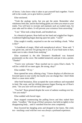of forces. I also know what it takes to put yourself back together. You're still in the womb, yet to give birth to yourself."

Elise snickered.

"Yeah the analogy sucks, but you get the point. Remember what wholeness feels like, and let that feeling guide you when you return to your realm. You will have to recreate and maintain such an exalted state, for your sake and for others. It will prevent your existence from unraveling."

"I see." Elise took a deep breath, and breathed out.

In a theatrical gesture, Rose held out her hand and wiggled her fingers. Condensed lightning began dancing upon her palm. "Catch!"

Elise caught it readily, surprised to see she was holding a book. "What is this?"

"A handbook of magic, filled with metaphysical advice," Rose said. "I was given one, and now I'm giving one to you. If your head starts to hurt, make sure to take a break from studying."

Elise examined it; the title 'Dreamer's Handbook' was featured prominently on the cover. She nodded tentatively and put it into a pocket. "Thanks!"

"You're very welcome." Rose reached out to caress Elise's cheek. "It will be a while till we meet again. Be strong, okay?"

Elise nodded. "I'll try."

Rose opened her arms, offering a hug. "I know displays of affection are frowned upon in your world, but maybe you can change that. I don't think there's a cause more noble."

After brief hesitation, Elise accepted the warm embrace and responded in kind. She wept, and her shifting presence began flowing out of Rose's arms. "Are you sure we'll see each other again?"

"You bet!" Rose grinned despite the wave of sadness washing over her. "Are you ready?"

Elise nodded with forced vigor.

Rose stopped counteracting the pulling forces and they staked their claim. "Goodbye." She let go of Elise's presence, but held on tightly to her disappearing body... until it vanished from her arms completely.

Rose lowered her dangling arms and dropped to her knees. She cried, too - touching a soul with her own was always a profound experience.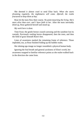She deemed it almost cruel to send Elise back. *When she starts dreaming regularly, the nightmares will come. Afterall, the realm fractured to keep them at bay.*

Rose let the tears flow their course. *No point mourning the living. She's more alive than ever, and I have faith in her.* After the tears inevitably dried up, Rose gathered herself and stood up.

*My work here is done.*

Time froze; the gentle breeze ceased caressing and the sunshine lost its warmth. Previously rustling leaves disappeared, then the trees, and then the field of grass beneath Rose's feet.

Lines of awareness marked the remaining frame of reference. Those imploded, too, as Rose finished folding up the bubble realm.

Her shining ego-image no longer resembled a physical human body.

Ignoring the foul breath and general yuckiness of Elise's world, her awareness snapped to familiar reference points as she realm-walked back in the direction she came from.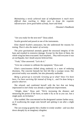*Maintaining a newly achieved state of enlightenment is much more difficult than reaching it. Make sure to forge the requisite infrastructure: form good habits of body, heart and mind.*

- Dreamer's Handbook

"Are you ready for the next test?" Dyna asked.

Scarlet growled and pawed at one of the instruments.

Elise shared Scarlet's annoyance, but she understood the reasons for testing. *There's also the matter of curiosity.*

The prior gravitational anomaly gutted the structural integrity of the base and resulted in extensive damage. Except for the three of them, the whole wing has been evacuated. *Such mayhem... They told everyone it was an earthquake, but I doubt anyone believed that.*

"Yeah," Elise answered. "Let's do it."

"Give me a minute to calibrate the equipment," Dyna said.

Elise's consciousness drifted along aimlessly in a state of enduring dizziness. The concrete beneath her feet felt like a swampy ocean. Her perceived reality was unstable, but also pleasantly malleable.

*Being a grown-up is oversold. Growing up to what? Since I've been born, I've been surviving life instead of living it... and I'm done being a passive observer.*

She relaxed, and comforted herself with the fact that not being imprisoned in one's body was already a significant improvement.

"Alright, done," Dyna said. "We're increasing the distance and measuring the power of the burst, so make it fly as far as you can. Just a single push, no levitation."

Elise nodded. She concentrated on the designated canister farther away, as if swallowing the target onto herself and spitting it out after a slight delay.

The can swung up gently like a feather in windy weather - and was shot down abruptly by an imaginary slingshot.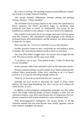*My control is lacking.* The resulting haziness proved difficult to dispel, but at least it no longer induced vomiting.

"We should probably differentiate between pulling and pushing motions. Hmmm..." Dyna mumbled.

The swirliness was in jarring contrast to the clarity she experienced in Rose's presence, but Elise's perception began to normalize. Said experience had been so unreal, so unbelievable, that except for the handbook as evidence to the contrary, it may have never even happened.

Elise couldn't recall much, but it was a happy state and a welcome pause from this existence. She remembered crying longingly at the feeling of profound beauty and connectedness, and the memory was almost enough to make her cry again.

Dyna reset the can. "Let's try it with both of you at this distance."

Scarlet's presence leaned on hers, comforting her and making it easier to breathe. *Her mind doesn't obstruct itself as much as mine does.*

This time, Elise didn't struggle much: the canister shot straight into the wall. The aim was better and the sway more stable.

"I can always rely on you," Elise petted Scarlet. "I hope I'm deserving of your friendship."

Scarlet yawned, while Dyna marched to pick up the deformed canister.

Despite continual attempts, Scarlet couldn't move objects telekinetically without Elise's participation. *Either she's unwilling to do it in Dyna's presence, or it's just not interesting enough without me.*

"That's it, we have all we need from this one. Good job."

Although the tests served to determine the extent of Elise's latent abilities, her limits kept broadening fast. *She's worried we'll collapse the whole facility. So am I.*

In addition to electromagnetic manipulation, telepathy was also within reach. She caught confusing flashes of Dyna's thoughts at times, but was reluctant to impose, since that's what demons did. In comparison, the everpresent connection with Scarlet worked on a more emotional level.

With technomage-level intelligence, the arcane secrets of all the nonsense manuals she ever read became more readily apparent, and the inner ticktock of gadgets felt natural.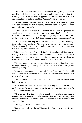Elise perused the Dreamer's Handbook while waiting for Dyna to finish up. The book had an otherworldly glow and served as proof that the meeting with Rose actually happened. *Mind-boggling how it just appeared, but without it, I would've thought I've gone bonkers.*

Reading the book between tests lightened her state of mind and gave Elise something to do. Not everything she read made sense, but she tried not to take it too seriously.

*Dyna's livelier than usual.* Elise envied the tenacity and purpose by which she pursued her goals. She said the zombies didn't blame Elise for the destruction, and that despite the high cost, everyone was rather proud of the experiment's success. *Yet, those anomalies didn't cause themselves.*

Elise wondered how they intended to use the newly acquired knowledge from testing. *New machinery? Enhancing the power of the technomages?* The tests pointed to her progress and circumstances being a one-off, not replicable by crude scientific means.

Elise tapped the cover of the book. For her, it was about self-knowledge, mainly to prevent the power from consuming her. Saying she had a thorough understanding of how wrong things can go would have been an overstatement, but she did have a better appreciation of risk.

With the future uncertain, she focused on getting herself together before gazing further along. *I have to find out who I am now - before I start getting scared of myself.*

Despite the quiet contentness after all they've been through, she could feel the unseen currents in and around herself, and sensed that this was just the eye of the storm.

The determination in her eyes was calmer and more restrained than before - a steady flame.

*Hard times will befall Oakheart. With a significant part of the base destroyed, they'll have no choice but to fully rely on the alliance with EnrRrei and the vampires.*

When asked when the evacuation would be over, Dyna expressed a concern that the wing could collapse once Elise left. Unfortunately, that also implied that Elise's volatile presence continued to be a threat to the whole facility.

Elise sighed. *Worries for another day.*

"Do you need a longer break?" Dyna asked. "Or are you ready for the next test?"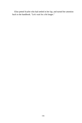Elise petted Scarlet who had settled in her lap, and turned her attention back to the handbook. "Let's wait for a bit longer."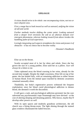## **EPILOGUE**

*A vision should strive to be whole: one encompassing vision, not two or more disjoint ones.*

*First, a mage has to look inward as well as outward, unifying the vision of self and world.*

*Further methods involve shifting the center point: Looking outward from a deeper level envisions the self as an abstract domain over emergent phenomena, whereas looking inward from above invokes the humbling palm-of-God experience.*

*Lovingly integrating such aspects straightens the vision and prunes it of obstacles - it has no choice but to become reality.*

- Dreamer's Handbook

Elise sat on the throne.

Scarlet occupied most of it, her fur shiny and whole. Since she has grown the size of a young panther, Elise used her as a pillow. *Scar will always be a kitten to me.*

Tubes siphoned away the blood coursing in her veins, already for the second time tonight. Despite the slight wooziness, Elise felt on top of her game; she has healed fully, with no remaining addiction to either Serum or human blood. Even the mental space touched by demonic awareness remained unusually silent.

Thankfully, her body's regenerative powers withstood the frequent exploitation; since her blood cured physiological addiction to demon blood, she deemed it worth the discomfort.

It still gave a rush, and psychological addiction persisted, but the cure subverted any psychosomatic traps Orummagh may have devised - at the cost of altering sleeping and dreaming patterns. *Who knows, maybe they'll develop other powers as well.*

With its open spaces and modestly grandiose architecture, the old church was a fitting throne-room. The light shining through the stained glass windows illuminated the faded frescoes.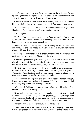Vheila was busy preparing the round table in the side area for the upcoming meeting. Any previous dislike she held for Elise vanished, and she performed her duties with almost religious reverence.

Connor sat beside Elise on a plain chair, keeping her company while her blood was being drawn. *He rarely let me out of sight since I came back.*

"I don't see the appeal," Connor said, flipping through the pages of the Handbook. "No pictures... It can't be as great as you say."

Elise laughed.

*That's not that bad - some are blinded by light when attempting to read it, and for some people the book is completely invisible!* She refused to hand it over to Dyna for experimentation.

Having to attend meetings with tubes sticking out of her body was annoying, but she was happy they were in the old church, reminding Connor of his art-loving self.

Spending the time together in silence was reassuring. *He matured and bulked up, but also lost something along the way.*

Connor's organization grew, not only in size but also in structure and discipline. Many of the junkies joined up to get access to demon blood, but stayed as muscle men furthering the goals of the Alliance.

Due to the organization's monopolistic status and it being a major source of income for Starfire City, Connor couldn't avoid exposure to politics. Thankfully, Aram kept his word to sway public opinion in Elise's favor, even before reports arrived of her newfound abilities.

The hardwood gate opened and three clan leaders stepped through, leaving their aides and bodyguards outside. When the gate shut behind them, they began their long walk up to the throne.

After she left Oakheart and returned to the City, everything about Elise clicked into place with eerie precision:

Being welcomed as the face of the regional alliance bestowed political influence. Due to her newly balanced physiology, being stronger than other vampires displayed physical prowess, which was compounded by the supernatural power of electromagnetic and gravitational control.

*Vampires revere the food chain and those on top of it.*

These three aspects instantly elevated Elise to a category of her own, beyond the judgement of her former peers. Because of the effects of her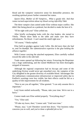blood and the vampires' instinctive sense for demonlike presence, the resulting spiritual power further cemented her status.

*Queen Elise, Mother of All Vampires... What a gaudy title. And that rumor-turned-superstition about my blood curing infertility! Bah.*

The three vampire clans united under Elise without major conflict. She didn't like being placed on a pedestal, but decided to make the best of it.

"I'll be right with you!" Elise yelled out.

After briefly exchanging looks with the clan leaders, she turned to Vheila. "Please show them to the table and make sure they have refreshments. No blood - I can't stand the smell right now."

"Of course," Vheila replied.

Elise held no grudges against Lady Cellie. *She did more than she had to, and I'm thankful. Her administrative expertise is the glue holding the alliance together.*

With Connor carrying the attached equipment, Elise carefully walked toward the table in the side-hall.

Trade routes opened up following her return. Extracting the Bioprinter was a huge undertaking, and the ruined Midflower has been thoroughly stripped of treasures.

Although the regional cooperation had its hiccups and some of the underlying friction would never get smoothed over, the vampires of the City delighted in the greater diversity of available blood. Advantages like the rudimentary communication infrastructure or improved safety due to EnrRrei's warnings were less visible, but their effects could be felt as a quality-of-life improvement for all residents.

"Nice to see you all together," Elise greeted. "I can only assume this is important."

Lord Aram smiled awkwardly. "Please, take your time. We're not in a hurry."

Connor made sure Elise settled properly. "Everything okay?"

"Yes," Elise said.

"I'll take my leave, then," Connor said. "Until next time."

"Please, stay," Lord Theodore waved him down. "Our business today concerns you as well, and you've done a splendid job so far."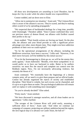*All these new developments are unsettling to Lord Theodore, but he keeps the City in order while the others handle new responsibilities.*

Connor nodded, and sat down next to Elise.

"Allow me to summarize our situation," Aram said. "The Crimson River clan is aware of the alliance's success. They're scared, and they're making others scared of us by spreading propaganda."

"We suspected them of backhanded dealings for a long time, possibly with Orummagh," Theodore added. "Since Connor confirmed they were our previous source of demon blood, our alliance with EnrRrei caused their profits to dry up."

Aram nodded. "Their hostile actions are forcing our hand. On the plus side, the alliance and your blood provide us with a significant power advantage over other, more distant clans. They might even have addiction problems of their own we could exploit!"

"So far the operational arrangements of the alliance, including the Midflower extraction, have been a success," Cellie said. "However, if we don't move forward, we'll be hobbled by this initial success."

"If we let the fearmongering in Aluin go on, we will be the enemy they unify against," Aram elaborated. "Besides, even those sympathetic to us would prefer us to have our backyard in order. Better to be unifiers ourselves: we must flex the muscle and complete our control over the Reddusk region. Now, I'm not necessarily advocating violence, but certainly the threat of it."

Aram continued. "We essentially have the beginnings of a demon vampire army, all we need is to give them purpose and an official leader. Connor has already organized the rejects of society and established discipline. Their blood is volatile, but such excess can be channeled, and it's up to us to give them an outlet. The psychological addiction will remain until we replace it with something more meaningful."

"So you've already decided?" Elise asked.

"Pretty much," Aram smirked.

"We have discussed it amongst ourselves, and all clean leaders are in agreement," Cellie clarified.

"The savages of the Crimson River will yield easily, assuming a sufficient show of force," Aram said. "And when we continue our campaign of conquest, projecting our military ambition beyond the region, the next logical step is to advance on Castle Aluin, the hub of-"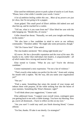Elise used her telekinetic power to push a plate of snacks to Lord Aram. "Please, have a bite while I consider your words. I insist."

*A lot of ambition boiling within this one... Most of my powers are just for show, but I'm not going to be a puppet.*

Aram gulped. This small proof of Elise's abilities did indeed awe and shut him up, and he reached for a cookie.

"Tell me, what is it you want from me?" Elise lifted her arm with the tube hanging out. "Beside this, of course."

Cellie cleared her throat. "Naturally, we seek your insight and blessing in this matter."

"We also have a fine candidate in mind to serve as our military commander," Theodore added. "He might take some persuasion, though."

"Oh? Do I know him?" Elise asked.

The clan leaders snickered. "He's sitting right beside you."

*Of course. He has a favorable reputation and the trust of his men. His loyalty to me, rather than individual clan leaders, is unquestionable - all of which makes him a strong and neutral choice.*

Elise turned to Connor. "What do you say? You're the obvious candidate."

Connor maintained a stoic expression. "I'm not a fan of violence."

"That's exactly what makes you perfect for the role," Aram said, wiping his mouth with a napkin. "By the way, did you name your organization yet?"

"Not yet."

"Find a name. Something that raises the morale of your troops and imbues them with purpose, all the while striking fear into the hearts of your enemies. Something like 'Elise's Demons', right?"

"I will think about your suggestions," Connor said.

Elise addressed Aram. "I support your overall vision, contingent upon you getting back to me with a viable strategy. You have my blessing. Now go, you're all dismissed... I have to reflect on this on my own."

"Are you sure? I could stay until you finish drawing blood," Connor offered.

"I'm fine, thanks. I'll take it out shortly. Go strategize!"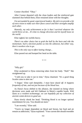Connor chuckled. "Okay."

After Connor departed with the clean leaders and the reinforced gate slammed shut behind them, Elise remained alone with her thoughts.

*I'm surrounded by good, experienced leaders. My job is to provide a bit of extra vision to make sure their flaws cancel and their strengths amplify each other.*

*Honestly, my only achievement so far is that I survived whatever the world threw at me... It's time to change direction and let myself loose on the world.*

Elise sighed, her eyelids heavy.

*There's no other choice but to grab the bull by the horn and ride the momentum. Such a decision pushes us into the unknown, but either way, there's nowhere else to go.*

*This is the only way to effect lasting change...*

Elise passed out and bumped her head on the table.

\* \* \*

"Silly girl."

Elise awakened to Dyna removing tubes from her body. "Huh?" She straightened up.

"I told you to take it out in time," Dyna chastised. "It's a good thing Scarlet came to alert me."

"I forgot," Elise said sheepishly. *I must have dozed off. It happens frequently of late, and not just because of the blood loss.*

As Dyna's focus shifted to the alliance, she insisted on being where decisions were made and left Oakheart in Marie's capable hands. *With Dyna as a resident technomage, we can hopefully put my collection of ancient comm devices to good use.*

Dyna slowly shook her head. "Drinking blood is no longer optimal nourishment for you. You should eat more."

"I ate recently," Elise said.

"You're no longer dependent on blood and Serum, but food and air remain as addictions," Dyna explained. "Your current diet should resemble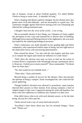that of humans, except in about fourfold quantity. I've asked Mother Vheila to bring us warm food... It shouldn't be long."

Elise's sleeping and dietary patterns changed, but her dreams have also gotten more vivid and elaborate - and not necessarily in a good way. The continuous struggle against fetid forces tearing at her was exhausting and affected her waking emotional state.

### *I thought I had seen the worst of the world... I was wrong.*

She occasionally dreamt of nice things, too. Glimpses of clarity angled her perception in new ways and exposed her to diverse lines of thinking. Although Dyna expressed fleeting interest in her nightmares, she was more fascinated by the underlying biological processes.

Elise's restlessness was made bearable by her guiding light and feline companion, who experienced similar states of being, but tore right back at the malevolent forces with unwavering determination.

Elise cleared her throat. "I've met with the clan leaders, and they want us to conquer the region and extend our influence to Castle Aluin."

"Well, that's the obvious next step; we have to find out the extent of Crimson River's cooperation with Orummagh and put a permanent end to it. However, I forbid you to strain yourself!" Dyna commanded. "No blood draw for three days."

"No, that would set our schedule back..."

"Three days," Dyna said sternly.

Beyond being a symbol of success for the alliance, Elise also became the epitome of being a vampire. Some worshipped her; she could feel the power gathering.

Though EnrRrei's devoted were allowed to proselytize, many humans directed their prayers to Elise instead. Even among vampires a kind of religion began to take root; it appeared among the weak and hopeless, but those with strict adherence to traditions also claimed it as their own.

Elise didn't know what to do with such demonic power, so for the time being, she just let it flow past her.

Vheila arrived with a tray of warm food and served it.

"Excellent! I don't know about you, but I'm certainly hungry," Dyna said. "Thank you."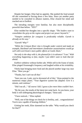Despite her hunger, Elise had no appetite. She pushed the food around till she committed to forcing down a few bites. Since yet another party needed to be consulted in alliance matters, Elise cleared her mind and reached out to EnrRrei.

The intruding energies were familiar, but also more disciplinedly powerful than before. *"YES?"*

Elise molded her thoughts into a specific shape. *"The leaders want to consolidate the grip on the region and project our power beyond it."*

*"Vampire ambition for conquest is predictably reliable. Gareth is already on his way."*

*"Gareth? Why?"*

*"While the Crimson River clan is brought under control and made an example, blackmail and intermittent clandestine assassinations would go well with Lord Aram's more public efforts at Castle Aluin."*

*Not only is she okay with it, she planned for it in advance! "I see." With everything happening so fast, maybe I just didn't want to look that far ahead.*

EnrRrei withdrew without further ado. While still in the frame of mind, Elise pinged Orummagh's frequency and laughed within at his irritability.

Vheila kept bringing more food and she placed another large tray near Elise. "Here you go."

"Thanks, but I can't eat all that."

"Sure you can. Look, you've devoured all of this," Dyna pointed to the numerous empty plates. "Your digestive system has adapted. Give it a minute, and continue."

"Did I eat all..." *Of course I did. I guess a few more bites couldn't hurt.*

"By the way, the results of the latest test came back. As you know, your body is still undergoing physiological changes," Dyna said.

"I have noticed..." Elise replied.

"Well, one of the things we check for is fertility, and... congratulations! You're now capable of bearing children."

Gritting her teeth, Elise slammed on the table. "Why would you check for that?!"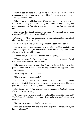Dyna raised an eyebrow. "Scientific thoroughness, for one? It's a reasonable test to take, and we test everything. I don't get why you're upset. This is good news, right?"

Elise buried her head in her hands. *Everyone is going to be even weirder than usual and they'll start pressuring me as soon as they find out, and they won't stop until I give birth to a new race or at least an entire royal clan...*

Elise took a deep breath and raised her head. "Never mind, having such exceptional health is good news. Thank you."

Dyna nodded. "If it's any consolation, we also confirmed that your blood allays fertility troubles in others."

*So the rumors are true.* Elise laughed out in discomfort. "It's not."

Dyna dismantled the equipment and scooped up the filled satchels. "As I said, this is good news, so don't read too much into it. Many of us would give anything for the ability to procreate."

Embarrassed, Elise nodded. "Thanks. For everything."

"You're welcome." Dyna turned around, about to depart. "And remember, rest for at least three days!"

Elise nodded reluctantly, and after Dyna left, finished the rest of her plate. "Thank you, Vheila, it was all very delicious and apparently just what I needed."

"I can bring more," Vheila offered.

"No, it was more than enough."

Vheila accompanied Elise on her walk back to the throne. Like many others, she treated Elise with utmost reverence, but also acted like their previous conflicts - or Elise's previous life - never existed.

*Despite showing similar dedication as the people in EnrRrei's camp, she is kind in her own way.*

"I couldn't help but overhear... It's wonderful that there'll be offspring!" Vheila beamed. "Motherhood is a privilege, and divine motherhood even more so."

"I'm sorry to disappoint, but I'm not pregnant."

"Not yet, but when duty and fate come together so miraculously, it's bound to happen!"